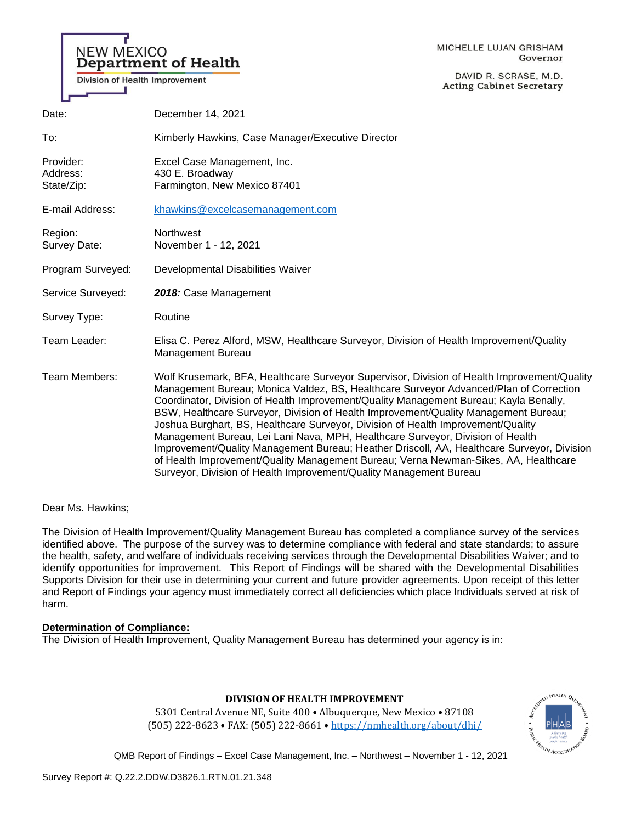# **NEW MEXICO** Department of Health

**Division of Health Improvement** 

DAVID R. SCRASE, M.D. **Acting Cabinet Secretary** 

| ш                                   |                                                                                                                                                                                                                                                                                                                                                                                                                                                                                                                                                                                                                                                                                                                                                                                                       |
|-------------------------------------|-------------------------------------------------------------------------------------------------------------------------------------------------------------------------------------------------------------------------------------------------------------------------------------------------------------------------------------------------------------------------------------------------------------------------------------------------------------------------------------------------------------------------------------------------------------------------------------------------------------------------------------------------------------------------------------------------------------------------------------------------------------------------------------------------------|
| Date:                               | December 14, 2021                                                                                                                                                                                                                                                                                                                                                                                                                                                                                                                                                                                                                                                                                                                                                                                     |
| To:                                 | Kimberly Hawkins, Case Manager/Executive Director                                                                                                                                                                                                                                                                                                                                                                                                                                                                                                                                                                                                                                                                                                                                                     |
| Provider:<br>Address:<br>State/Zip: | Excel Case Management, Inc.<br>430 E. Broadway<br>Farmington, New Mexico 87401                                                                                                                                                                                                                                                                                                                                                                                                                                                                                                                                                                                                                                                                                                                        |
| E-mail Address:                     | khawkins@excelcasemanagement.com                                                                                                                                                                                                                                                                                                                                                                                                                                                                                                                                                                                                                                                                                                                                                                      |
| Region:<br>Survey Date:             | <b>Northwest</b><br>November 1 - 12, 2021                                                                                                                                                                                                                                                                                                                                                                                                                                                                                                                                                                                                                                                                                                                                                             |
| Program Surveyed:                   | Developmental Disabilities Waiver                                                                                                                                                                                                                                                                                                                                                                                                                                                                                                                                                                                                                                                                                                                                                                     |
| Service Surveyed:                   | 2018: Case Management                                                                                                                                                                                                                                                                                                                                                                                                                                                                                                                                                                                                                                                                                                                                                                                 |
| Survey Type:                        | Routine                                                                                                                                                                                                                                                                                                                                                                                                                                                                                                                                                                                                                                                                                                                                                                                               |
| Team Leader:                        | Elisa C. Perez Alford, MSW, Healthcare Surveyor, Division of Health Improvement/Quality<br><b>Management Bureau</b>                                                                                                                                                                                                                                                                                                                                                                                                                                                                                                                                                                                                                                                                                   |
| Team Members:                       | Wolf Krusemark, BFA, Healthcare Surveyor Supervisor, Division of Health Improvement/Quality<br>Management Bureau; Monica Valdez, BS, Healthcare Surveyor Advanced/Plan of Correction<br>Coordinator, Division of Health Improvement/Quality Management Bureau; Kayla Benally,<br>BSW, Healthcare Surveyor, Division of Health Improvement/Quality Management Bureau;<br>Joshua Burghart, BS, Healthcare Surveyor, Division of Health Improvement/Quality<br>Management Bureau, Lei Lani Nava, MPH, Healthcare Surveyor, Division of Health<br>Improvement/Quality Management Bureau; Heather Driscoll, AA, Healthcare Surveyor, Division<br>of Health Improvement/Quality Management Bureau; Verna Newman-Sikes, AA, Healthcare<br>Surveyor, Division of Health Improvement/Quality Management Bureau |

Dear Ms. Hawkins;

The Division of Health Improvement/Quality Management Bureau has completed a compliance survey of the services identified above. The purpose of the survey was to determine compliance with federal and state standards; to assure the health, safety, and welfare of individuals receiving services through the Developmental Disabilities Waiver; and to identify opportunities for improvement. This Report of Findings will be shared with the Developmental Disabilities Supports Division for their use in determining your current and future provider agreements. Upon receipt of this letter and Report of Findings your agency must immediately correct all deficiencies which place Individuals served at risk of harm.

#### **Determination of Compliance:**

The Division of Health Improvement, Quality Management Bureau has determined your agency is in:



**DIVISION OF HEALTH IMPROVEMENT**

5301 Central Avenue NE, Suite 400 • Albuquerque, New Mexico • 87108 (505) 222-8623 • FAX: (505) 222-8661 • <https://nmhealth.org/about/dhi/>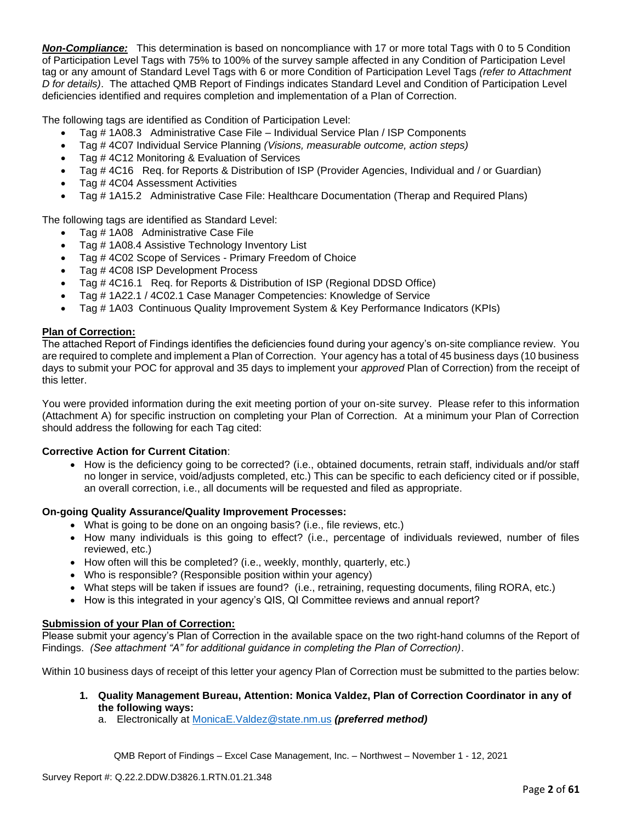*Non-Compliance:* This determination is based on noncompliance with 17 or more total Tags with 0 to 5 Condition of Participation Level Tags with 75% to 100% of the survey sample affected in any Condition of Participation Level tag or any amount of Standard Level Tags with 6 or more Condition of Participation Level Tags *(refer to Attachment D for details)*. The attached QMB Report of Findings indicates Standard Level and Condition of Participation Level deficiencies identified and requires completion and implementation of a Plan of Correction.

The following tags are identified as Condition of Participation Level:

- Tag # 1A08.3 Administrative Case File Individual Service Plan / ISP Components
- Tag # 4C07 Individual Service Planning *(Visions, measurable outcome, action steps)*
- Tag # 4C12 Monitoring & Evaluation of Services
- Tag # 4C16 Req. for Reports & Distribution of ISP (Provider Agencies, Individual and / or Guardian)
- Tag # 4C04 Assessment Activities
- Tag # 1A15.2 Administrative Case File: Healthcare Documentation (Therap and Required Plans)

The following tags are identified as Standard Level:

- Tag # 1A08 Administrative Case File
- Tag # 1A08.4 Assistive Technology Inventory List
- Tag # 4C02 Scope of Services Primary Freedom of Choice
- Tag #4C08 ISP Development Process
- Tag # 4C16.1 Req. for Reports & Distribution of ISP (Regional DDSD Office)
- Tag # 1A22.1 / 4C02.1 Case Manager Competencies: Knowledge of Service
- Tag # 1A03 Continuous Quality Improvement System & Key Performance Indicators (KPIs)

#### **Plan of Correction:**

The attached Report of Findings identifies the deficiencies found during your agency's on-site compliance review. You are required to complete and implement a Plan of Correction. Your agency has a total of 45 business days (10 business days to submit your POC for approval and 35 days to implement your *approved* Plan of Correction) from the receipt of this letter.

You were provided information during the exit meeting portion of your on-site survey. Please refer to this information (Attachment A) for specific instruction on completing your Plan of Correction. At a minimum your Plan of Correction should address the following for each Tag cited:

#### **Corrective Action for Current Citation**:

• How is the deficiency going to be corrected? (i.e., obtained documents, retrain staff, individuals and/or staff no longer in service, void/adjusts completed, etc.) This can be specific to each deficiency cited or if possible, an overall correction, i.e., all documents will be requested and filed as appropriate.

#### **On-going Quality Assurance/Quality Improvement Processes:**

- What is going to be done on an ongoing basis? (i.e., file reviews, etc.)
- How many individuals is this going to effect? (i.e., percentage of individuals reviewed, number of files reviewed, etc.)
- How often will this be completed? (i.e., weekly, monthly, quarterly, etc.)
- Who is responsible? (Responsible position within your agency)
- What steps will be taken if issues are found? (i.e., retraining, requesting documents, filing RORA, etc.)
- How is this integrated in your agency's QIS, QI Committee reviews and annual report?

#### **Submission of your Plan of Correction:**

Please submit your agency's Plan of Correction in the available space on the two right-hand columns of the Report of Findings. *(See attachment "A" for additional guidance in completing the Plan of Correction)*.

Within 10 business days of receipt of this letter your agency Plan of Correction must be submitted to the parties below:

- **1. Quality Management Bureau, Attention: Monica Valdez, Plan of Correction Coordinator in any of the following ways:**
	- a. Electronically at [MonicaE.Valdez@state.nm.us](mailto:MonicaE.Valdez@state.nm.us) *(preferred method)*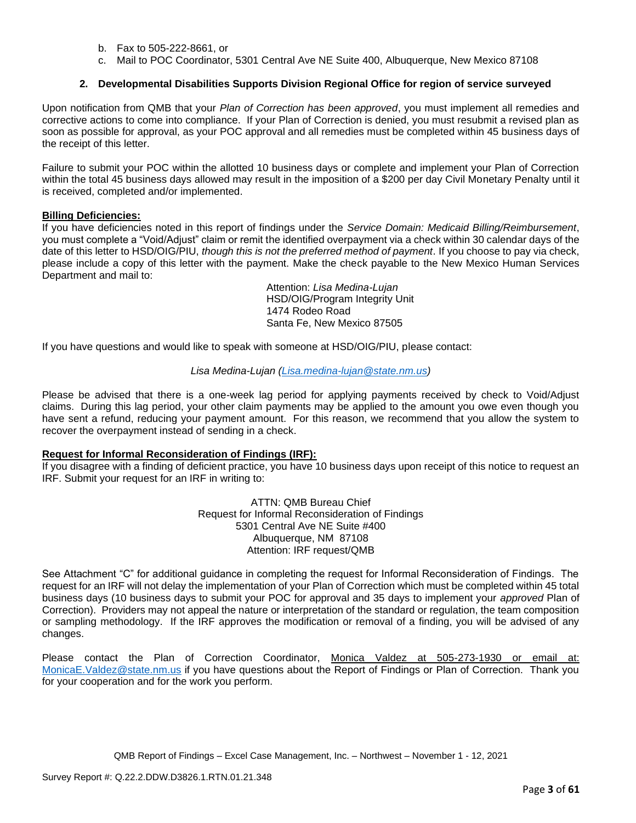- b. Fax to 505-222-8661, or
- c. Mail to POC Coordinator, 5301 Central Ave NE Suite 400, Albuquerque, New Mexico 87108

## **2. Developmental Disabilities Supports Division Regional Office for region of service surveyed**

Upon notification from QMB that your *Plan of Correction has been approved*, you must implement all remedies and corrective actions to come into compliance. If your Plan of Correction is denied, you must resubmit a revised plan as soon as possible for approval, as your POC approval and all remedies must be completed within 45 business days of the receipt of this letter.

Failure to submit your POC within the allotted 10 business days or complete and implement your Plan of Correction within the total 45 business days allowed may result in the imposition of a \$200 per day Civil Monetary Penalty until it is received, completed and/or implemented.

#### **Billing Deficiencies:**

If you have deficiencies noted in this report of findings under the *Service Domain: Medicaid Billing/Reimbursement*, you must complete a "Void/Adjust" claim or remit the identified overpayment via a check within 30 calendar days of the date of this letter to HSD/OIG/PIU, *though this is not the preferred method of payment*. If you choose to pay via check, please include a copy of this letter with the payment. Make the check payable to the New Mexico Human Services Department and mail to:

> Attention: *Lisa Medina-Lujan* HSD/OIG/Program Integrity Unit 1474 Rodeo Road Santa Fe, New Mexico 87505

If you have questions and would like to speak with someone at HSD/OIG/PIU, please contact:

#### *Lisa Medina-Lujan [\(Lisa.medina-lujan@state.nm.us\)](mailto:Lisa.medina-lujan@state.nm.us)*

Please be advised that there is a one-week lag period for applying payments received by check to Void/Adjust claims. During this lag period, your other claim payments may be applied to the amount you owe even though you have sent a refund, reducing your payment amount. For this reason, we recommend that you allow the system to recover the overpayment instead of sending in a check.

#### **Request for Informal Reconsideration of Findings (IRF):**

If you disagree with a finding of deficient practice, you have 10 business days upon receipt of this notice to request an IRF. Submit your request for an IRF in writing to:

> ATTN: QMB Bureau Chief Request for Informal Reconsideration of Findings 5301 Central Ave NE Suite #400 Albuquerque, NM 87108 Attention: IRF request/QMB

See Attachment "C" for additional guidance in completing the request for Informal Reconsideration of Findings. The request for an IRF will not delay the implementation of your Plan of Correction which must be completed within 45 total business days (10 business days to submit your POC for approval and 35 days to implement your *approved* Plan of Correction). Providers may not appeal the nature or interpretation of the standard or regulation, the team composition or sampling methodology. If the IRF approves the modification or removal of a finding, you will be advised of any changes.

Please contact the Plan of Correction Coordinator, Monica Valdez at 505-273-1930 or email at: [MonicaE.Valdez@state.nm.us](mailto:MonicaE.Valdez@state.nm.us) if you have questions about the Report of Findings or Plan of Correction. Thank you for your cooperation and for the work you perform.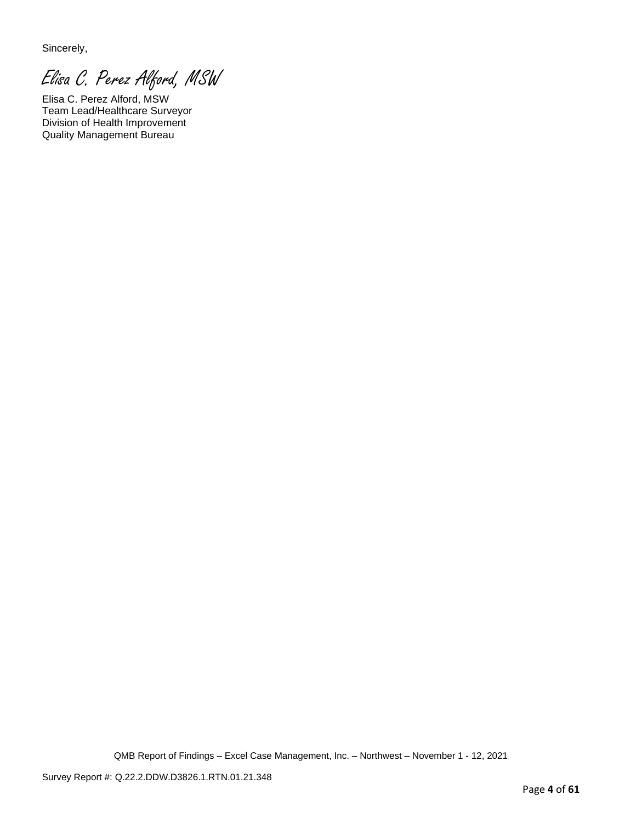Sincerely,

Elisa C. Perez Alford, MSW

Elisa C. Perez Alford, MSW Team Lead/Healthcare Surveyor Division of Health Improvement Quality Management Bureau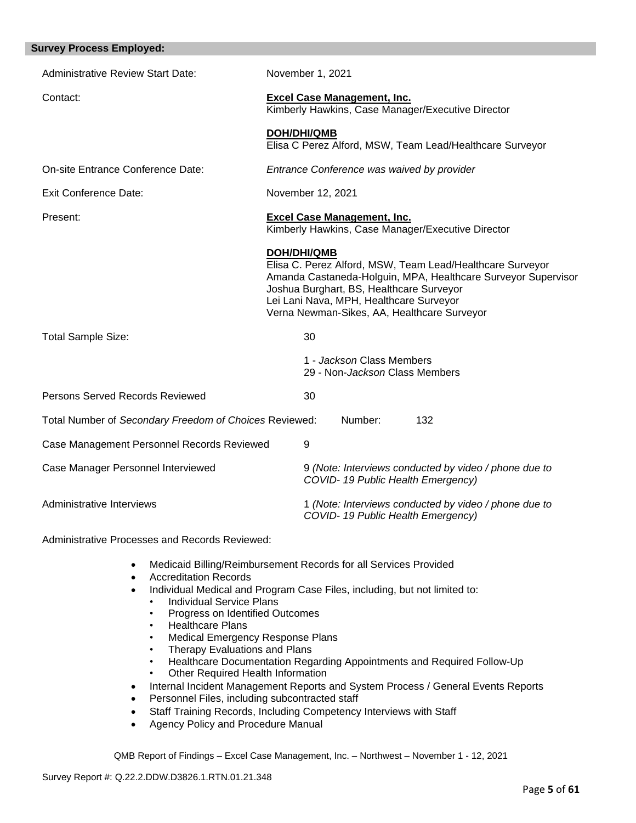| <b>Survey Process Employed:</b>                        |                                                                                                                                                                                                                                                                                        |
|--------------------------------------------------------|----------------------------------------------------------------------------------------------------------------------------------------------------------------------------------------------------------------------------------------------------------------------------------------|
| <b>Administrative Review Start Date:</b>               | November 1, 2021                                                                                                                                                                                                                                                                       |
| Contact:                                               | <b>Excel Case Management, Inc.</b><br>Kimberly Hawkins, Case Manager/Executive Director                                                                                                                                                                                                |
|                                                        | <b>DOH/DHI/QMB</b><br>Elisa C Perez Alford, MSW, Team Lead/Healthcare Surveyor                                                                                                                                                                                                         |
| On-site Entrance Conference Date:                      | Entrance Conference was waived by provider                                                                                                                                                                                                                                             |
| <b>Exit Conference Date:</b>                           | November 12, 2021                                                                                                                                                                                                                                                                      |
| Present:                                               | <b>Excel Case Management, Inc.</b><br>Kimberly Hawkins, Case Manager/Executive Director                                                                                                                                                                                                |
|                                                        | <b>DOH/DHI/QMB</b><br>Elisa C. Perez Alford, MSW, Team Lead/Healthcare Surveyor<br>Amanda Castaneda-Holguin, MPA, Healthcare Surveyor Supervisor<br>Joshua Burghart, BS, Healthcare Surveyor<br>Lei Lani Nava, MPH, Healthcare Surveyor<br>Verna Newman-Sikes, AA, Healthcare Surveyor |
| <b>Total Sample Size:</b>                              | 30                                                                                                                                                                                                                                                                                     |
|                                                        | 1 - Jackson Class Members<br>29 - Non-Jackson Class Members                                                                                                                                                                                                                            |
| Persons Served Records Reviewed                        | 30                                                                                                                                                                                                                                                                                     |
| Total Number of Secondary Freedom of Choices Reviewed: | Number:<br>132                                                                                                                                                                                                                                                                         |
| Case Management Personnel Records Reviewed             | 9                                                                                                                                                                                                                                                                                      |
| Case Manager Personnel Interviewed                     | 9 (Note: Interviews conducted by video / phone due to<br>COVID-19 Public Health Emergency)                                                                                                                                                                                             |
| Administrative Interviews                              | 1 (Note: Interviews conducted by video / phone due to<br>COVID-19 Public Health Emergency)                                                                                                                                                                                             |

Administrative Processes and Records Reviewed:

- Medicaid Billing/Reimbursement Records for all Services Provided
- Accreditation Records
- Individual Medical and Program Case Files, including, but not limited to:
	- Individual Service Plans
	- Progress on Identified Outcomes
	- Healthcare Plans
	- Medical Emergency Response Plans
	- Therapy Evaluations and Plans
	- Healthcare Documentation Regarding Appointments and Required Follow-Up
	- Other Required Health Information
- Internal Incident Management Reports and System Process / General Events Reports
- Personnel Files, including subcontracted staff
- Staff Training Records, Including Competency Interviews with Staff
- Agency Policy and Procedure Manual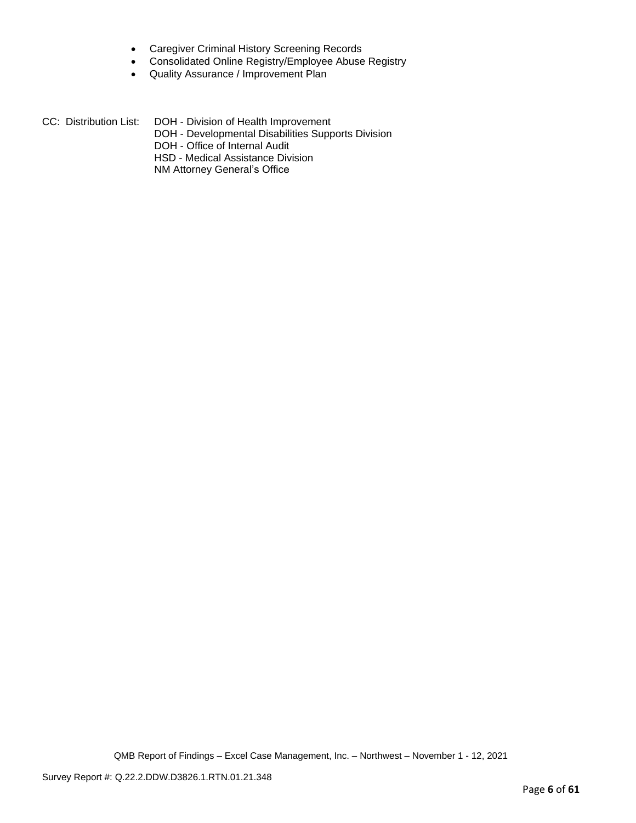- Caregiver Criminal History Screening Records
- Consolidated Online Registry/Employee Abuse Registry
- Quality Assurance / Improvement Plan

CC: Distribution List: DOH - Division of Health Improvement DOH - Developmental Disabilities Supports Division DOH - Office of Internal Audit HSD - Medical Assistance Division NM Attorney General's Office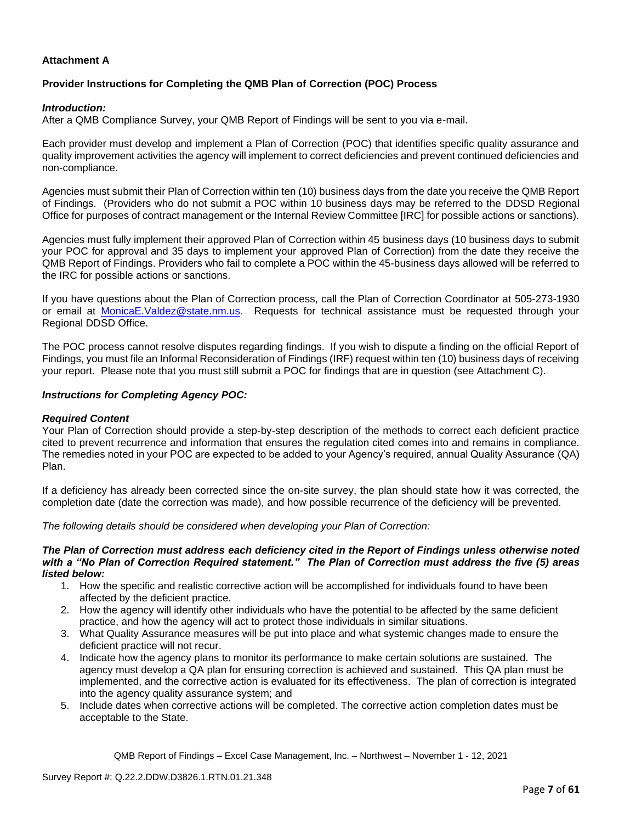## **Attachment A**

## **Provider Instructions for Completing the QMB Plan of Correction (POC) Process**

#### *Introduction:*

After a QMB Compliance Survey, your QMB Report of Findings will be sent to you via e-mail.

Each provider must develop and implement a Plan of Correction (POC) that identifies specific quality assurance and quality improvement activities the agency will implement to correct deficiencies and prevent continued deficiencies and non-compliance.

Agencies must submit their Plan of Correction within ten (10) business days from the date you receive the QMB Report of Findings. (Providers who do not submit a POC within 10 business days may be referred to the DDSD Regional Office for purposes of contract management or the Internal Review Committee [IRC] for possible actions or sanctions).

Agencies must fully implement their approved Plan of Correction within 45 business days (10 business days to submit your POC for approval and 35 days to implement your approved Plan of Correction) from the date they receive the QMB Report of Findings. Providers who fail to complete a POC within the 45-business days allowed will be referred to the IRC for possible actions or sanctions.

If you have questions about the Plan of Correction process, call the Plan of Correction Coordinator at 505-273-1930 or email at [MonicaE.Valdez@state.nm.us.](mailto:MonicaE.Valdez@state.nm.us) Requests for technical assistance must be requested through your Regional DDSD Office.

The POC process cannot resolve disputes regarding findings. If you wish to dispute a finding on the official Report of Findings, you must file an Informal Reconsideration of Findings (IRF) request within ten (10) business days of receiving your report. Please note that you must still submit a POC for findings that are in question (see Attachment C).

#### *Instructions for Completing Agency POC:*

#### *Required Content*

Your Plan of Correction should provide a step-by-step description of the methods to correct each deficient practice cited to prevent recurrence and information that ensures the regulation cited comes into and remains in compliance. The remedies noted in your POC are expected to be added to your Agency's required, annual Quality Assurance (QA) Plan.

If a deficiency has already been corrected since the on-site survey, the plan should state how it was corrected, the completion date (date the correction was made), and how possible recurrence of the deficiency will be prevented.

*The following details should be considered when developing your Plan of Correction:*

#### *The Plan of Correction must address each deficiency cited in the Report of Findings unless otherwise noted with a "No Plan of Correction Required statement." The Plan of Correction must address the five (5) areas listed below:*

- 1. How the specific and realistic corrective action will be accomplished for individuals found to have been affected by the deficient practice.
- 2. How the agency will identify other individuals who have the potential to be affected by the same deficient practice, and how the agency will act to protect those individuals in similar situations.
- 3. What Quality Assurance measures will be put into place and what systemic changes made to ensure the deficient practice will not recur.
- 4. Indicate how the agency plans to monitor its performance to make certain solutions are sustained. The agency must develop a QA plan for ensuring correction is achieved and sustained. This QA plan must be implemented, and the corrective action is evaluated for its effectiveness. The plan of correction is integrated into the agency quality assurance system; and
- 5. Include dates when corrective actions will be completed. The corrective action completion dates must be acceptable to the State.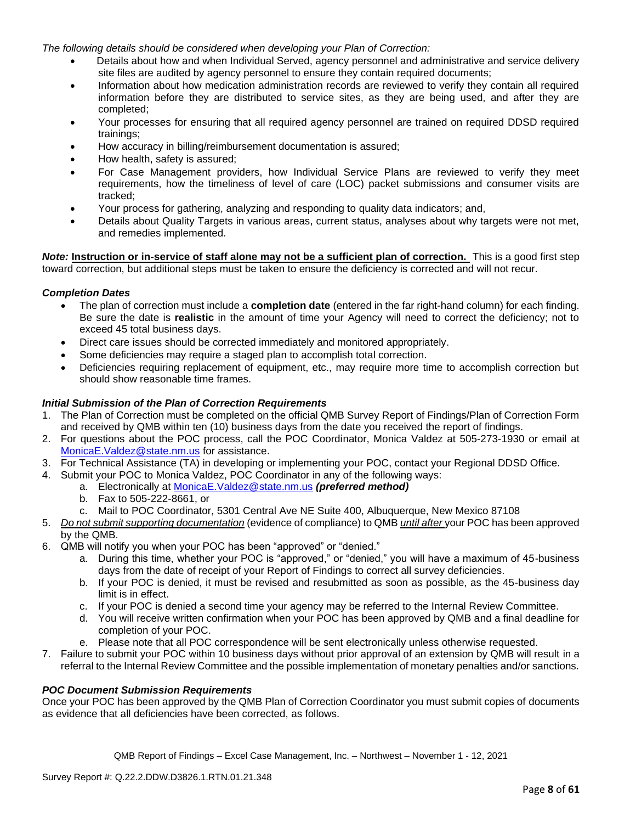*The following details should be considered when developing your Plan of Correction:*

- Details about how and when Individual Served, agency personnel and administrative and service delivery site files are audited by agency personnel to ensure they contain required documents;
- Information about how medication administration records are reviewed to verify they contain all required information before they are distributed to service sites, as they are being used, and after they are completed;
- Your processes for ensuring that all required agency personnel are trained on required DDSD required trainings;
- How accuracy in billing/reimbursement documentation is assured;
- How health, safety is assured;
- For Case Management providers, how Individual Service Plans are reviewed to verify they meet requirements, how the timeliness of level of care (LOC) packet submissions and consumer visits are tracked;
- Your process for gathering, analyzing and responding to quality data indicators; and,
- Details about Quality Targets in various areas, current status, analyses about why targets were not met, and remedies implemented.

*Note:* **Instruction or in-service of staff alone may not be a sufficient plan of correction.** This is a good first step toward correction, but additional steps must be taken to ensure the deficiency is corrected and will not recur.

#### *Completion Dates*

- The plan of correction must include a **completion date** (entered in the far right-hand column) for each finding. Be sure the date is **realistic** in the amount of time your Agency will need to correct the deficiency; not to exceed 45 total business days.
- Direct care issues should be corrected immediately and monitored appropriately.
- Some deficiencies may require a staged plan to accomplish total correction.
- Deficiencies requiring replacement of equipment, etc., may require more time to accomplish correction but should show reasonable time frames.

## *Initial Submission of the Plan of Correction Requirements*

- 1. The Plan of Correction must be completed on the official QMB Survey Report of Findings/Plan of Correction Form and received by QMB within ten (10) business days from the date you received the report of findings.
- 2. For questions about the POC process, call the POC Coordinator, Monica Valdez at 505-273-1930 or email at [MonicaE.Valdez@state.nm.us](mailto:MonicaE.Valdez@state.nm.us) for assistance.
- 3. For Technical Assistance (TA) in developing or implementing your POC, contact your Regional DDSD Office.
- 4. Submit your POC to Monica Valdez, POC Coordinator in any of the following ways:
	- a. Electronically at [MonicaE.Valdez@state.nm.us](mailto:MonicaE.Valdez@state.nm.us) *(preferred method)*
	- b. Fax to 505-222-8661, or
	- c. Mail to POC Coordinator, 5301 Central Ave NE Suite 400, Albuquerque, New Mexico 87108
- 5. *Do not submit supporting documentation* (evidence of compliance) to QMB *until after* your POC has been approved by the QMB.
- 6. QMB will notify you when your POC has been "approved" or "denied."
	- a. During this time, whether your POC is "approved," or "denied," you will have a maximum of 45-business days from the date of receipt of your Report of Findings to correct all survey deficiencies.
	- b. If your POC is denied, it must be revised and resubmitted as soon as possible, as the 45-business day limit is in effect.
	- c. If your POC is denied a second time your agency may be referred to the Internal Review Committee.
	- d. You will receive written confirmation when your POC has been approved by QMB and a final deadline for completion of your POC.
	- e. Please note that all POC correspondence will be sent electronically unless otherwise requested.
- 7. Failure to submit your POC within 10 business days without prior approval of an extension by QMB will result in a referral to the Internal Review Committee and the possible implementation of monetary penalties and/or sanctions.

#### *POC Document Submission Requirements*

Once your POC has been approved by the QMB Plan of Correction Coordinator you must submit copies of documents as evidence that all deficiencies have been corrected, as follows.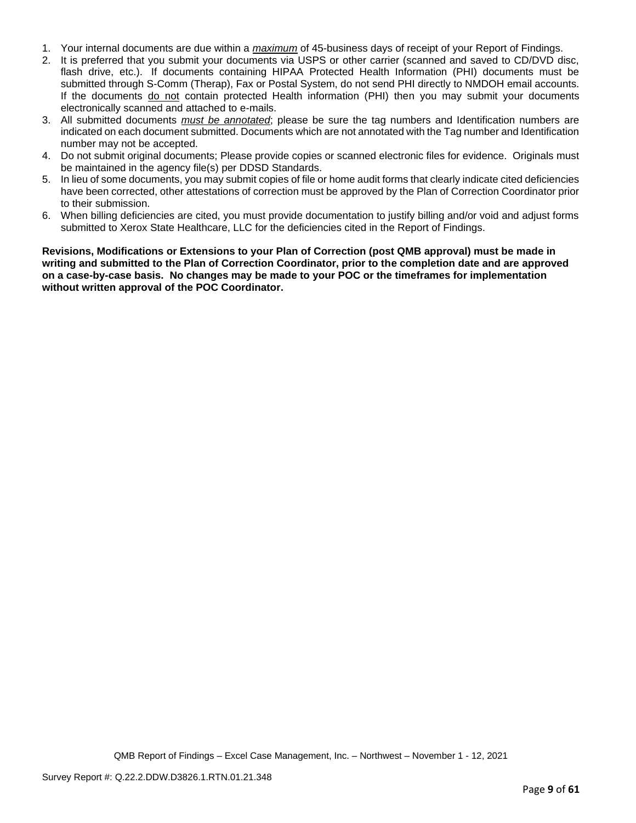- 1. Your internal documents are due within a *maximum* of 45-business days of receipt of your Report of Findings.
- 2. It is preferred that you submit your documents via USPS or other carrier (scanned and saved to CD/DVD disc, flash drive, etc.). If documents containing HIPAA Protected Health Information (PHI) documents must be submitted through S-Comm (Therap), Fax or Postal System, do not send PHI directly to NMDOH email accounts. If the documents do not contain protected Health information (PHI) then you may submit your documents electronically scanned and attached to e-mails.
- 3. All submitted documents *must be annotated*; please be sure the tag numbers and Identification numbers are indicated on each document submitted. Documents which are not annotated with the Tag number and Identification number may not be accepted.
- 4. Do not submit original documents; Please provide copies or scanned electronic files for evidence. Originals must be maintained in the agency file(s) per DDSD Standards.
- 5. In lieu of some documents, you may submit copies of file or home audit forms that clearly indicate cited deficiencies have been corrected, other attestations of correction must be approved by the Plan of Correction Coordinator prior to their submission.
- 6. When billing deficiencies are cited, you must provide documentation to justify billing and/or void and adjust forms submitted to Xerox State Healthcare, LLC for the deficiencies cited in the Report of Findings.

**Revisions, Modifications or Extensions to your Plan of Correction (post QMB approval) must be made in writing and submitted to the Plan of Correction Coordinator, prior to the completion date and are approved on a case-by-case basis. No changes may be made to your POC or the timeframes for implementation without written approval of the POC Coordinator.**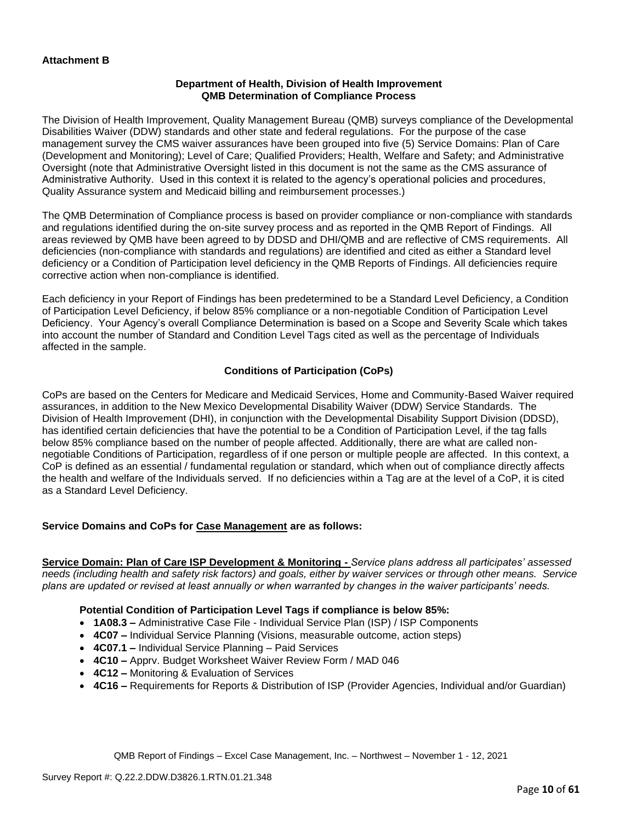## **Department of Health, Division of Health Improvement QMB Determination of Compliance Process**

The Division of Health Improvement, Quality Management Bureau (QMB) surveys compliance of the Developmental Disabilities Waiver (DDW) standards and other state and federal regulations. For the purpose of the case management survey the CMS waiver assurances have been grouped into five (5) Service Domains: Plan of Care (Development and Monitoring); Level of Care; Qualified Providers; Health, Welfare and Safety; and Administrative Oversight (note that Administrative Oversight listed in this document is not the same as the CMS assurance of Administrative Authority. Used in this context it is related to the agency's operational policies and procedures, Quality Assurance system and Medicaid billing and reimbursement processes.)

The QMB Determination of Compliance process is based on provider compliance or non-compliance with standards and regulations identified during the on-site survey process and as reported in the QMB Report of Findings. All areas reviewed by QMB have been agreed to by DDSD and DHI/QMB and are reflective of CMS requirements. All deficiencies (non-compliance with standards and regulations) are identified and cited as either a Standard level deficiency or a Condition of Participation level deficiency in the QMB Reports of Findings. All deficiencies require corrective action when non-compliance is identified.

Each deficiency in your Report of Findings has been predetermined to be a Standard Level Deficiency, a Condition of Participation Level Deficiency, if below 85% compliance or a non-negotiable Condition of Participation Level Deficiency. Your Agency's overall Compliance Determination is based on a Scope and Severity Scale which takes into account the number of Standard and Condition Level Tags cited as well as the percentage of Individuals affected in the sample.

# **Conditions of Participation (CoPs)**

CoPs are based on the Centers for Medicare and Medicaid Services, Home and Community-Based Waiver required assurances, in addition to the New Mexico Developmental Disability Waiver (DDW) Service Standards. The Division of Health Improvement (DHI), in conjunction with the Developmental Disability Support Division (DDSD), has identified certain deficiencies that have the potential to be a Condition of Participation Level, if the tag falls below 85% compliance based on the number of people affected. Additionally, there are what are called nonnegotiable Conditions of Participation, regardless of if one person or multiple people are affected. In this context, a CoP is defined as an essential / fundamental regulation or standard, which when out of compliance directly affects the health and welfare of the Individuals served. If no deficiencies within a Tag are at the level of a CoP, it is cited as a Standard Level Deficiency.

# **Service Domains and CoPs for Case Management are as follows:**

**Service Domain: Plan of Care ISP Development & Monitoring -** *Service plans address all participates' assessed needs (including health and safety risk factors) and goals, either by waiver services or through other means. Service plans are updated or revised at least annually or when warranted by changes in the waiver participants' needs.*

#### **Potential Condition of Participation Level Tags if compliance is below 85%:**

- **1A08.3 –** Administrative Case File Individual Service Plan (ISP) / ISP Components
- **4C07 –** Individual Service Planning (Visions, measurable outcome, action steps)
- **4C07.1 –** Individual Service Planning Paid Services
- **4C10 –** Apprv. Budget Worksheet Waiver Review Form / MAD 046
- **4C12 –** Monitoring & Evaluation of Services
- **4C16 –** Requirements for Reports & Distribution of ISP (Provider Agencies, Individual and/or Guardian)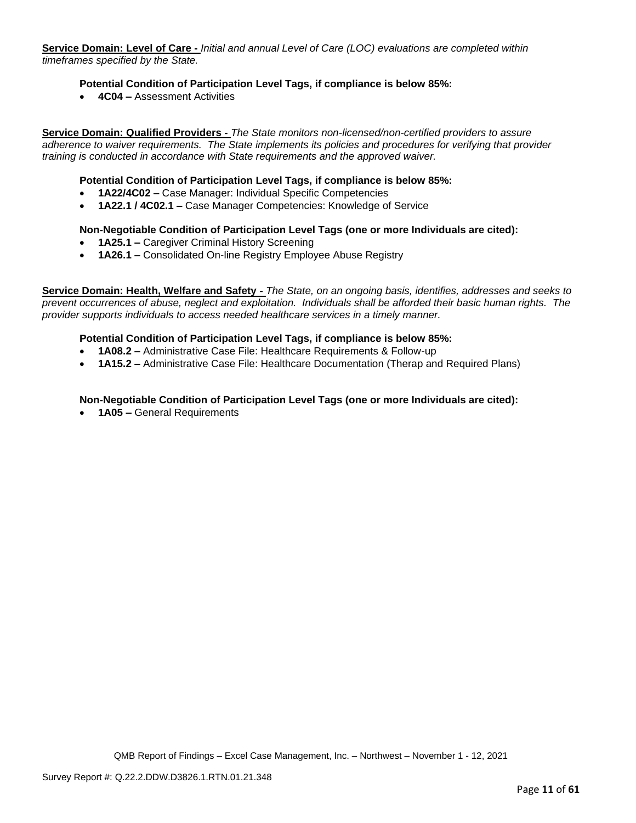**Service Domain: Level of Care -** *Initial and annual Level of Care (LOC) evaluations are completed within timeframes specified by the State.*

## **Potential Condition of Participation Level Tags, if compliance is below 85%:**

• **4C04 –** Assessment Activities

**Service Domain: Qualified Providers -** *The State monitors non-licensed/non-certified providers to assure adherence to waiver requirements. The State implements its policies and procedures for verifying that provider training is conducted in accordance with State requirements and the approved waiver.*

#### **Potential Condition of Participation Level Tags, if compliance is below 85%:**

- **1A22/4C02 –** Case Manager: Individual Specific Competencies
- **1A22.1 / 4C02.1 –** Case Manager Competencies: Knowledge of Service

#### **Non-Negotiable Condition of Participation Level Tags (one or more Individuals are cited):**

- **1A25.1 –** Caregiver Criminal History Screening
- **1A26.1 –** Consolidated On-line Registry Employee Abuse Registry

**Service Domain: Health, Welfare and Safety -** *The State, on an ongoing basis, identifies, addresses and seeks to prevent occurrences of abuse, neglect and exploitation. Individuals shall be afforded their basic human rights. The provider supports individuals to access needed healthcare services in a timely manner.*

#### **Potential Condition of Participation Level Tags, if compliance is below 85%:**

- **1A08.2 –** Administrative Case File: Healthcare Requirements & Follow-up
- **1A15.2 –** Administrative Case File: Healthcare Documentation (Therap and Required Plans)

#### **Non-Negotiable Condition of Participation Level Tags (one or more Individuals are cited):**

• **1A05 –** General Requirements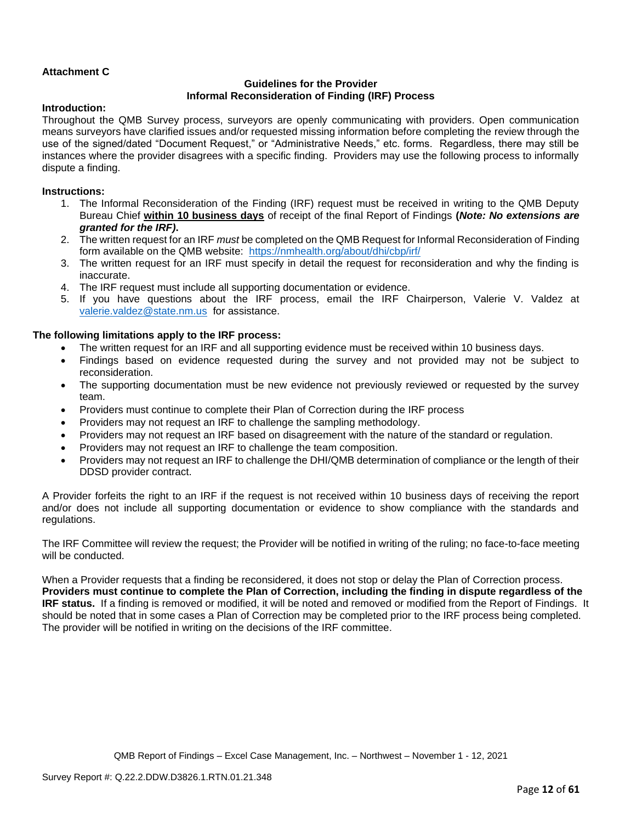# **Attachment C**

## **Guidelines for the Provider Informal Reconsideration of Finding (IRF) Process**

### **Introduction:**

Throughout the QMB Survey process, surveyors are openly communicating with providers. Open communication means surveyors have clarified issues and/or requested missing information before completing the review through the use of the signed/dated "Document Request," or "Administrative Needs," etc. forms. Regardless, there may still be instances where the provider disagrees with a specific finding. Providers may use the following process to informally dispute a finding.

## **Instructions:**

- 1. The Informal Reconsideration of the Finding (IRF) request must be received in writing to the QMB Deputy Bureau Chief **within 10 business days** of receipt of the final Report of Findings **(***Note: No extensions are granted for the IRF)***.**
- 2. The written request for an IRF *must* be completed on the QMB Request for Informal Reconsideration of Finding form available on the QMB website: <https://nmhealth.org/about/dhi/cbp/irf/>
- 3. The written request for an IRF must specify in detail the request for reconsideration and why the finding is inaccurate.
- 4. The IRF request must include all supporting documentation or evidence.
- 5. If you have questions about the IRF process, email the IRF Chairperson, Valerie V. Valdez at [valerie.valdez@state.nm.us](mailto:valerie.valdez@state.nm.us) for assistance.

## **The following limitations apply to the IRF process:**

- The written request for an IRF and all supporting evidence must be received within 10 business days.
- Findings based on evidence requested during the survey and not provided may not be subject to reconsideration.
- The supporting documentation must be new evidence not previously reviewed or requested by the survey team.
- Providers must continue to complete their Plan of Correction during the IRF process
- Providers may not request an IRF to challenge the sampling methodology.
- Providers may not request an IRF based on disagreement with the nature of the standard or regulation.
- Providers may not request an IRF to challenge the team composition.
- Providers may not request an IRF to challenge the DHI/QMB determination of compliance or the length of their DDSD provider contract.

A Provider forfeits the right to an IRF if the request is not received within 10 business days of receiving the report and/or does not include all supporting documentation or evidence to show compliance with the standards and regulations.

The IRF Committee will review the request; the Provider will be notified in writing of the ruling; no face-to-face meeting will be conducted.

When a Provider requests that a finding be reconsidered, it does not stop or delay the Plan of Correction process. **Providers must continue to complete the Plan of Correction, including the finding in dispute regardless of the IRF status.** If a finding is removed or modified, it will be noted and removed or modified from the Report of Findings. It should be noted that in some cases a Plan of Correction may be completed prior to the IRF process being completed. The provider will be notified in writing on the decisions of the IRF committee.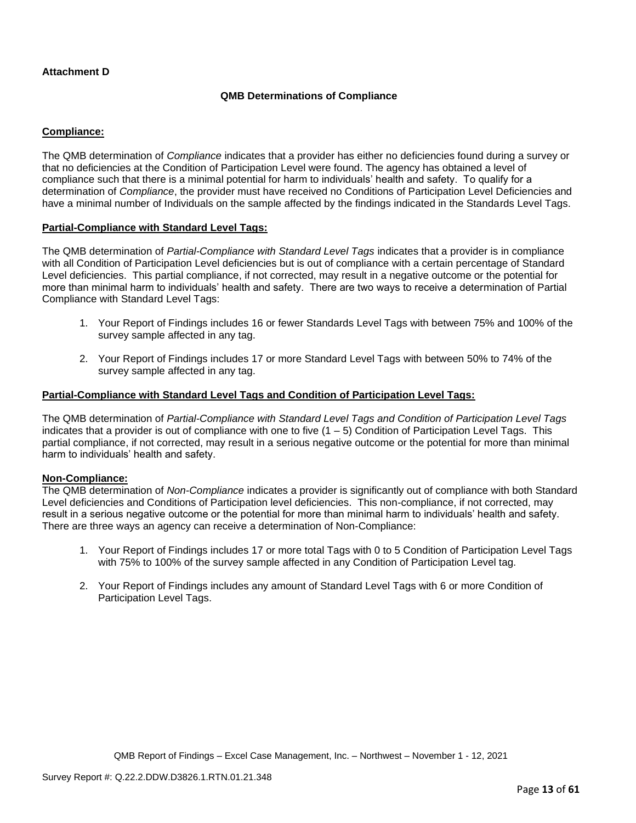# **Attachment D**

## **QMB Determinations of Compliance**

## **Compliance:**

The QMB determination of *Compliance* indicates that a provider has either no deficiencies found during a survey or that no deficiencies at the Condition of Participation Level were found. The agency has obtained a level of compliance such that there is a minimal potential for harm to individuals' health and safety. To qualify for a determination of *Compliance*, the provider must have received no Conditions of Participation Level Deficiencies and have a minimal number of Individuals on the sample affected by the findings indicated in the Standards Level Tags.

#### **Partial-Compliance with Standard Level Tags:**

The QMB determination of *Partial-Compliance with Standard Level Tags* indicates that a provider is in compliance with all Condition of Participation Level deficiencies but is out of compliance with a certain percentage of Standard Level deficiencies. This partial compliance, if not corrected, may result in a negative outcome or the potential for more than minimal harm to individuals' health and safety. There are two ways to receive a determination of Partial Compliance with Standard Level Tags:

- 1. Your Report of Findings includes 16 or fewer Standards Level Tags with between 75% and 100% of the survey sample affected in any tag.
- 2. Your Report of Findings includes 17 or more Standard Level Tags with between 50% to 74% of the survey sample affected in any tag.

## **Partial-Compliance with Standard Level Tags and Condition of Participation Level Tags:**

The QMB determination of *Partial-Compliance with Standard Level Tags and Condition of Participation Level Tags*  indicates that a provider is out of compliance with one to five  $(1 - 5)$  Condition of Participation Level Tags. This partial compliance, if not corrected, may result in a serious negative outcome or the potential for more than minimal harm to individuals' health and safety.

#### **Non-Compliance:**

The QMB determination of *Non-Compliance* indicates a provider is significantly out of compliance with both Standard Level deficiencies and Conditions of Participation level deficiencies. This non-compliance, if not corrected, may result in a serious negative outcome or the potential for more than minimal harm to individuals' health and safety. There are three ways an agency can receive a determination of Non-Compliance:

- 1. Your Report of Findings includes 17 or more total Tags with 0 to 5 Condition of Participation Level Tags with 75% to 100% of the survey sample affected in any Condition of Participation Level tag.
- 2. Your Report of Findings includes any amount of Standard Level Tags with 6 or more Condition of Participation Level Tags.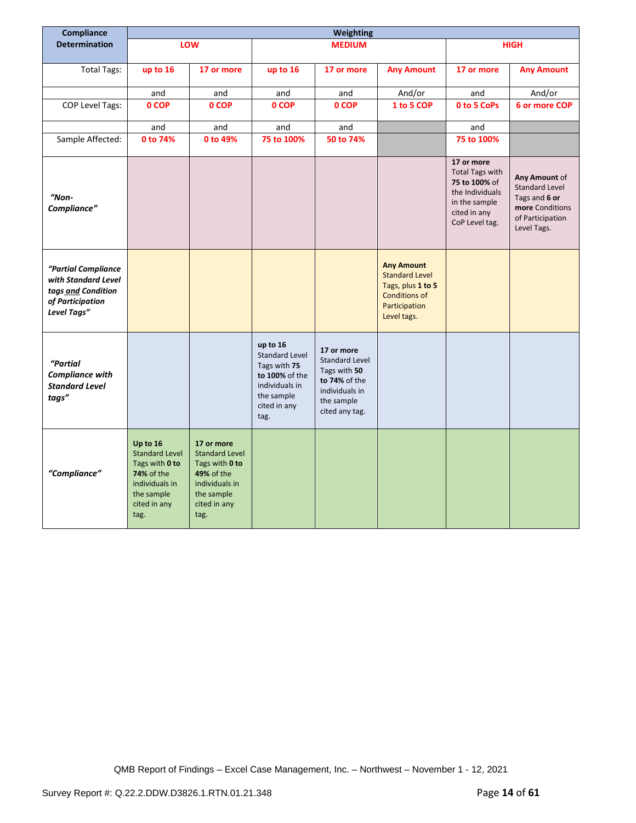| Compliance                                                                                          | Weighting                                                                                                                 |                                                                                                                                    |                                                                                                                             |                                                                                                                        |                                                                                                                         |                                                                                                                             |                                                                                                               |
|-----------------------------------------------------------------------------------------------------|---------------------------------------------------------------------------------------------------------------------------|------------------------------------------------------------------------------------------------------------------------------------|-----------------------------------------------------------------------------------------------------------------------------|------------------------------------------------------------------------------------------------------------------------|-------------------------------------------------------------------------------------------------------------------------|-----------------------------------------------------------------------------------------------------------------------------|---------------------------------------------------------------------------------------------------------------|
| <b>Determination</b>                                                                                |                                                                                                                           | <b>LOW</b>                                                                                                                         |                                                                                                                             | <b>MEDIUM</b>                                                                                                          |                                                                                                                         |                                                                                                                             | <b>HIGH</b>                                                                                                   |
|                                                                                                     |                                                                                                                           |                                                                                                                                    |                                                                                                                             |                                                                                                                        |                                                                                                                         |                                                                                                                             |                                                                                                               |
| <b>Total Tags:</b>                                                                                  | up to 16                                                                                                                  | 17 or more                                                                                                                         | up to 16                                                                                                                    | 17 or more                                                                                                             | <b>Any Amount</b>                                                                                                       | 17 or more                                                                                                                  | <b>Any Amount</b>                                                                                             |
|                                                                                                     | and                                                                                                                       | and                                                                                                                                | and                                                                                                                         | and                                                                                                                    | And/or                                                                                                                  | and                                                                                                                         | And/or                                                                                                        |
| <b>COP Level Tags:</b>                                                                              | 0 COP                                                                                                                     | 0 COP                                                                                                                              | 0 COP                                                                                                                       | 0 COP                                                                                                                  | 1 to 5 COP                                                                                                              | 0 to 5 CoPs                                                                                                                 | 6 or more COP                                                                                                 |
|                                                                                                     | and                                                                                                                       | and                                                                                                                                | and                                                                                                                         | and                                                                                                                    |                                                                                                                         | and                                                                                                                         |                                                                                                               |
| Sample Affected:                                                                                    | 0 to 74%                                                                                                                  | 0 to 49%                                                                                                                           | 75 to 100%                                                                                                                  | 50 to 74%                                                                                                              |                                                                                                                         | 75 to 100%                                                                                                                  |                                                                                                               |
| "Non-<br>Compliance"                                                                                |                                                                                                                           |                                                                                                                                    |                                                                                                                             |                                                                                                                        |                                                                                                                         | 17 or more<br><b>Total Tags with</b><br>75 to 100% of<br>the Individuals<br>in the sample<br>cited in any<br>CoP Level tag. | Any Amount of<br><b>Standard Level</b><br>Tags and 6 or<br>more Conditions<br>of Participation<br>Level Tags. |
| "Partial Compliance<br>with Standard Level<br>tags and Condition<br>of Participation<br>Level Tags" |                                                                                                                           |                                                                                                                                    |                                                                                                                             |                                                                                                                        | <b>Any Amount</b><br><b>Standard Level</b><br>Tags, plus 1 to 5<br><b>Conditions of</b><br>Participation<br>Level tags. |                                                                                                                             |                                                                                                               |
| "Partial<br>Compliance with<br><b>Standard Level</b><br>tags"                                       |                                                                                                                           |                                                                                                                                    | up to 16<br><b>Standard Level</b><br>Tags with 75<br>to 100% of the<br>individuals in<br>the sample<br>cited in any<br>tag. | 17 or more<br><b>Standard Level</b><br>Tags with 50<br>to 74% of the<br>individuals in<br>the sample<br>cited any tag. |                                                                                                                         |                                                                                                                             |                                                                                                               |
| "Compliance"                                                                                        | Up to 16<br><b>Standard Level</b><br>Tags with 0 to<br>74% of the<br>individuals in<br>the sample<br>cited in any<br>tag. | 17 or more<br><b>Standard Level</b><br>Tags with 0 to<br><b>49% of the</b><br>individuals in<br>the sample<br>cited in any<br>tag. |                                                                                                                             |                                                                                                                        |                                                                                                                         |                                                                                                                             |                                                                                                               |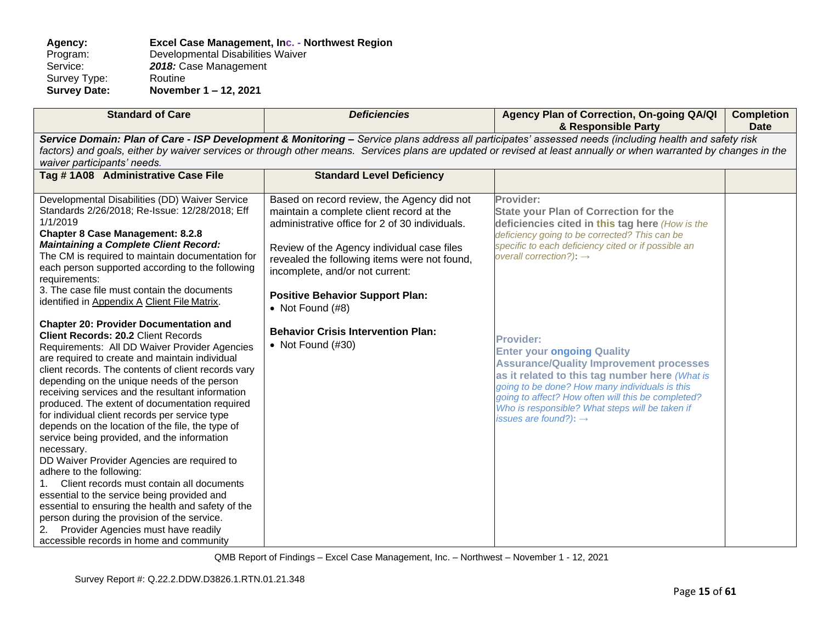## **Agency: Excel Case Management, Inc. - Northwest Region** Program: Developmental Disabilities Waiver<br>Service: 2018: Case Management 2018: Case Management<br>Routine Survey Type:<br>Survey Date: **Survey Date: November 1 – 12, 2021**

| <b>Standard of Care</b>                                                                                                                                                                                                                                                                                                                                                                                                                                                                                                                                                                                                                                                                                                                                                                                                                                                                                                                            | <b>Deficiencies</b>                                                                                                                                                                                                                                                                                                                       | Agency Plan of Correction, On-going QA/QI<br>& Responsible Party                                                                                                                                                                                                                                                                                          | <b>Completion</b><br><b>Date</b> |  |  |
|----------------------------------------------------------------------------------------------------------------------------------------------------------------------------------------------------------------------------------------------------------------------------------------------------------------------------------------------------------------------------------------------------------------------------------------------------------------------------------------------------------------------------------------------------------------------------------------------------------------------------------------------------------------------------------------------------------------------------------------------------------------------------------------------------------------------------------------------------------------------------------------------------------------------------------------------------|-------------------------------------------------------------------------------------------------------------------------------------------------------------------------------------------------------------------------------------------------------------------------------------------------------------------------------------------|-----------------------------------------------------------------------------------------------------------------------------------------------------------------------------------------------------------------------------------------------------------------------------------------------------------------------------------------------------------|----------------------------------|--|--|
| Service Domain: Plan of Care - ISP Development & Monitoring - Service plans address all participates' assessed needs (including health and safety risk<br>factors) and goals, either by waiver services or through other means. Services plans are updated or revised at least annually or when warranted by changes in the<br>waiver participants' needs.                                                                                                                                                                                                                                                                                                                                                                                                                                                                                                                                                                                         |                                                                                                                                                                                                                                                                                                                                           |                                                                                                                                                                                                                                                                                                                                                           |                                  |  |  |
| Tag #1A08 Administrative Case File                                                                                                                                                                                                                                                                                                                                                                                                                                                                                                                                                                                                                                                                                                                                                                                                                                                                                                                 | <b>Standard Level Deficiency</b>                                                                                                                                                                                                                                                                                                          |                                                                                                                                                                                                                                                                                                                                                           |                                  |  |  |
| Developmental Disabilities (DD) Waiver Service<br>Standards 2/26/2018; Re-Issue: 12/28/2018; Eff<br>1/1/2019<br><b>Chapter 8 Case Management: 8.2.8</b><br><b>Maintaining a Complete Client Record:</b><br>The CM is required to maintain documentation for<br>each person supported according to the following<br>requirements:<br>3. The case file must contain the documents<br>identified in Appendix A Client File Matrix.                                                                                                                                                                                                                                                                                                                                                                                                                                                                                                                    | Based on record review, the Agency did not<br>maintain a complete client record at the<br>administrative office for 2 of 30 individuals.<br>Review of the Agency individual case files<br>revealed the following items were not found,<br>incomplete, and/or not current:<br><b>Positive Behavior Support Plan:</b><br>• Not Found $(H8)$ | Provider:<br><b>State your Plan of Correction for the</b><br>deficiencies cited in this tag here (How is the<br>deficiency going to be corrected? This can be<br>specific to each deficiency cited or if possible an<br>overall correction?): $\rightarrow$                                                                                               |                                  |  |  |
| <b>Chapter 20: Provider Documentation and</b><br><b>Client Records: 20.2 Client Records</b><br>Requirements: All DD Waiver Provider Agencies<br>are required to create and maintain individual<br>client records. The contents of client records vary<br>depending on the unique needs of the person<br>receiving services and the resultant information<br>produced. The extent of documentation required<br>for individual client records per service type<br>depends on the location of the file, the type of<br>service being provided, and the information<br>necessary.<br>DD Waiver Provider Agencies are required to<br>adhere to the following:<br>Client records must contain all documents<br>essential to the service being provided and<br>essential to ensuring the health and safety of the<br>person during the provision of the service.<br>Provider Agencies must have readily<br>2.<br>accessible records in home and community | <b>Behavior Crisis Intervention Plan:</b><br>• Not Found $(\#30)$                                                                                                                                                                                                                                                                         | <b>Provider:</b><br><b>Enter your ongoing Quality</b><br><b>Assurance/Quality Improvement processes</b><br>as it related to this tag number here (What is<br>going to be done? How many individuals is this<br>going to affect? How often will this be completed?<br>Who is responsible? What steps will be taken if<br>issues are found?): $\rightarrow$ |                                  |  |  |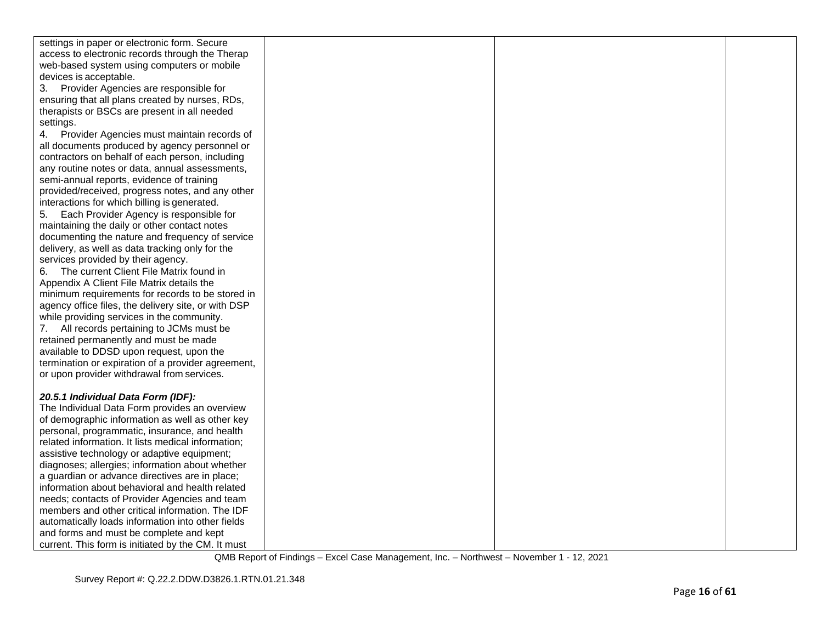| settings in paper or electronic form. Secure        |  |  |
|-----------------------------------------------------|--|--|
| access to electronic records through the Therap     |  |  |
| web-based system using computers or mobile          |  |  |
| devices is acceptable.                              |  |  |
| 3.<br>Provider Agencies are responsible for         |  |  |
| ensuring that all plans created by nurses, RDs,     |  |  |
| therapists or BSCs are present in all needed        |  |  |
| settings.                                           |  |  |
| 4.<br>Provider Agencies must maintain records of    |  |  |
| all documents produced by agency personnel or       |  |  |
| contractors on behalf of each person, including     |  |  |
| any routine notes or data, annual assessments,      |  |  |
| semi-annual reports, evidence of training           |  |  |
| provided/received, progress notes, and any other    |  |  |
| interactions for which billing is generated.        |  |  |
| 5.<br>Each Provider Agency is responsible for       |  |  |
| maintaining the daily or other contact notes        |  |  |
| documenting the nature and frequency of service     |  |  |
| delivery, as well as data tracking only for the     |  |  |
| services provided by their agency.                  |  |  |
|                                                     |  |  |
| 6. The current Client File Matrix found in          |  |  |
| Appendix A Client File Matrix details the           |  |  |
| minimum requirements for records to be stored in    |  |  |
| agency office files, the delivery site, or with DSP |  |  |
| while providing services in the community.          |  |  |
| 7. All records pertaining to JCMs must be           |  |  |
| retained permanently and must be made               |  |  |
| available to DDSD upon request, upon the            |  |  |
| termination or expiration of a provider agreement,  |  |  |
| or upon provider withdrawal from services.          |  |  |
|                                                     |  |  |
| 20.5.1 Individual Data Form (IDF):                  |  |  |
| The Individual Data Form provides an overview       |  |  |
| of demographic information as well as other key     |  |  |
| personal, programmatic, insurance, and health       |  |  |
| related information. It lists medical information;  |  |  |
| assistive technology or adaptive equipment;         |  |  |
| diagnoses; allergies; information about whether     |  |  |
| a guardian or advance directives are in place;      |  |  |
| information about behavioral and health related     |  |  |
| needs; contacts of Provider Agencies and team       |  |  |
| members and other critical information. The IDF     |  |  |
| automatically loads information into other fields   |  |  |
| and forms and must be complete and kept             |  |  |
| current. This form is initiated by the CM. It must  |  |  |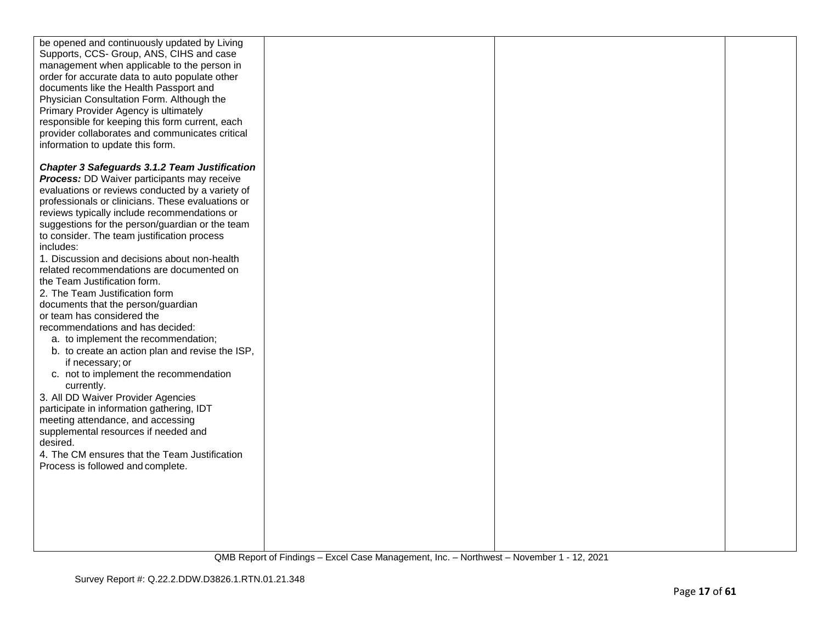| be opened and continuously updated by Living         |  |  |
|------------------------------------------------------|--|--|
| Supports, CCS- Group, ANS, CIHS and case             |  |  |
| management when applicable to the person in          |  |  |
| order for accurate data to auto populate other       |  |  |
| documents like the Health Passport and               |  |  |
| Physician Consultation Form. Although the            |  |  |
| Primary Provider Agency is ultimately                |  |  |
| responsible for keeping this form current, each      |  |  |
|                                                      |  |  |
| provider collaborates and communicates critical      |  |  |
| information to update this form.                     |  |  |
|                                                      |  |  |
| <b>Chapter 3 Safeguards 3.1.2 Team Justification</b> |  |  |
| <b>Process:</b> DD Waiver participants may receive   |  |  |
| evaluations or reviews conducted by a variety of     |  |  |
| professionals or clinicians. These evaluations or    |  |  |
| reviews typically include recommendations or         |  |  |
| suggestions for the person/guardian or the team      |  |  |
| to consider. The team justification process          |  |  |
| includes:                                            |  |  |
| 1. Discussion and decisions about non-health         |  |  |
|                                                      |  |  |
| related recommendations are documented on            |  |  |
| the Team Justification form.                         |  |  |
| 2. The Team Justification form                       |  |  |
| documents that the person/guardian                   |  |  |
| or team has considered the                           |  |  |
| recommendations and has decided:                     |  |  |
| a. to implement the recommendation;                  |  |  |
| b. to create an action plan and revise the ISP,      |  |  |
| if necessary; or                                     |  |  |
|                                                      |  |  |
| c. not to implement the recommendation               |  |  |
| currently.                                           |  |  |
| 3. All DD Waiver Provider Agencies                   |  |  |
| participate in information gathering, IDT            |  |  |
| meeting attendance, and accessing                    |  |  |
| supplemental resources if needed and                 |  |  |
| desired.                                             |  |  |
| 4. The CM ensures that the Team Justification        |  |  |
| Process is followed and complete.                    |  |  |
|                                                      |  |  |
|                                                      |  |  |
|                                                      |  |  |
|                                                      |  |  |
|                                                      |  |  |
|                                                      |  |  |
|                                                      |  |  |
|                                                      |  |  |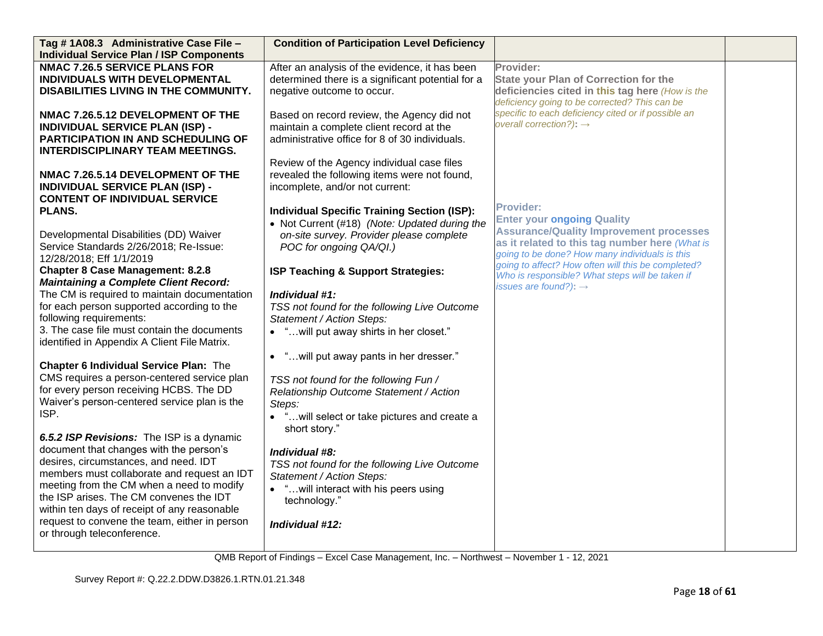| Tag #1A08.3 Administrative Case File -                                                  | <b>Condition of Participation Level Deficiency</b> |                                                                                            |  |
|-----------------------------------------------------------------------------------------|----------------------------------------------------|--------------------------------------------------------------------------------------------|--|
| <b>Individual Service Plan / ISP Components</b>                                         |                                                    |                                                                                            |  |
| <b>NMAC 7.26.5 SERVICE PLANS FOR</b>                                                    | After an analysis of the evidence, it has been     | Provider:                                                                                  |  |
| INDIVIDUALS WITH DEVELOPMENTAL                                                          | determined there is a significant potential for a  | <b>State your Plan of Correction for the</b>                                               |  |
| DISABILITIES LIVING IN THE COMMUNITY.                                                   | negative outcome to occur.                         | deficiencies cited in this tag here (How is the                                            |  |
|                                                                                         |                                                    | deficiency going to be corrected? This can be                                              |  |
| NMAC 7.26.5.12 DEVELOPMENT OF THE                                                       | Based on record review, the Agency did not         | specific to each deficiency cited or if possible an<br>overall correction?): $\rightarrow$ |  |
| <b>INDIVIDUAL SERVICE PLAN (ISP) -</b>                                                  | maintain a complete client record at the           |                                                                                            |  |
| PARTICIPATION IN AND SCHEDULING OF                                                      | administrative office for 8 of 30 individuals.     |                                                                                            |  |
| <b>INTERDISCIPLINARY TEAM MEETINGS.</b>                                                 |                                                    |                                                                                            |  |
|                                                                                         | Review of the Agency individual case files         |                                                                                            |  |
| NMAC 7.26.5.14 DEVELOPMENT OF THE                                                       | revealed the following items were not found,       |                                                                                            |  |
| <b>INDIVIDUAL SERVICE PLAN (ISP) -</b>                                                  | incomplete, and/or not current:                    |                                                                                            |  |
| <b>CONTENT OF INDIVIDUAL SERVICE</b>                                                    |                                                    | <b>Provider:</b>                                                                           |  |
| <b>PLANS.</b>                                                                           | <b>Individual Specific Training Section (ISP):</b> | <b>Enter your ongoing Quality</b>                                                          |  |
|                                                                                         | • Not Current (#18) (Note: Updated during the      | <b>Assurance/Quality Improvement processes</b>                                             |  |
| Developmental Disabilities (DD) Waiver                                                  | on-site survey. Provider please complete           | as it related to this tag number here (What is                                             |  |
| Service Standards 2/26/2018; Re-Issue:                                                  | POC for ongoing QA/QI.)                            | going to be done? How many individuals is this                                             |  |
| 12/28/2018; Eff 1/1/2019                                                                |                                                    | going to affect? How often will this be completed?                                         |  |
| <b>Chapter 8 Case Management: 8.2.8</b><br><b>Maintaining a Complete Client Record:</b> | ISP Teaching & Support Strategies:                 | Who is responsible? What steps will be taken if                                            |  |
| The CM is required to maintain documentation                                            | Individual #1:                                     | issues are found?): $\rightarrow$                                                          |  |
| for each person supported according to the                                              | TSS not found for the following Live Outcome       |                                                                                            |  |
| following requirements:                                                                 | Statement / Action Steps:                          |                                                                                            |  |
| 3. The case file must contain the documents                                             | • " will put away shirts in her closet."           |                                                                                            |  |
| identified in Appendix A Client File Matrix.                                            |                                                    |                                                                                            |  |
|                                                                                         | "will put away pants in her dresser."<br>$\bullet$ |                                                                                            |  |
| <b>Chapter 6 Individual Service Plan: The</b>                                           |                                                    |                                                                                            |  |
| CMS requires a person-centered service plan                                             | TSS not found for the following Fun /              |                                                                                            |  |
| for every person receiving HCBS. The DD                                                 | Relationship Outcome Statement / Action            |                                                                                            |  |
| Waiver's person-centered service plan is the                                            | Steps:                                             |                                                                                            |  |
| ISP.                                                                                    | • "will select or take pictures and create a       |                                                                                            |  |
|                                                                                         | short story."                                      |                                                                                            |  |
| 6.5.2 ISP Revisions: The ISP is a dynamic                                               |                                                    |                                                                                            |  |
| document that changes with the person's                                                 | Individual #8:                                     |                                                                                            |  |
| desires, circumstances, and need. IDT                                                   | TSS not found for the following Live Outcome       |                                                                                            |  |
| members must collaborate and request an IDT                                             | Statement / Action Steps:                          |                                                                                            |  |
| meeting from the CM when a need to modify                                               | • "will interact with his peers using              |                                                                                            |  |
| the ISP arises. The CM convenes the IDT                                                 | technology."                                       |                                                                                            |  |
| within ten days of receipt of any reasonable                                            |                                                    |                                                                                            |  |
| request to convene the team, either in person<br>or through teleconference.             | Individual #12:                                    |                                                                                            |  |
|                                                                                         |                                                    |                                                                                            |  |
|                                                                                         |                                                    |                                                                                            |  |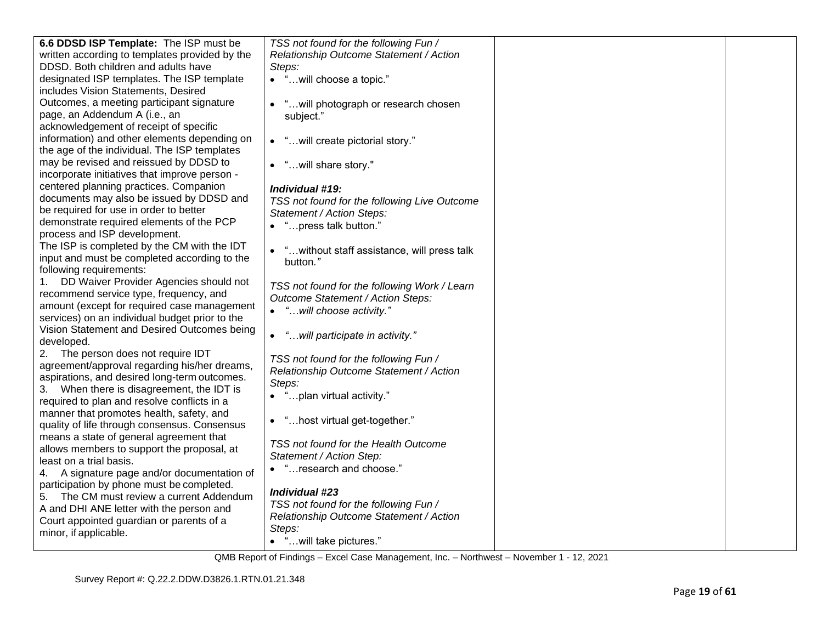| 6.6 DDSD ISP Template: The ISP must be                                                        | TSS not found for the following Fun /        |  |
|-----------------------------------------------------------------------------------------------|----------------------------------------------|--|
| written according to templates provided by the                                                | Relationship Outcome Statement / Action      |  |
| DDSD. Both children and adults have                                                           | Steps:                                       |  |
| designated ISP templates. The ISP template                                                    | • "will choose a topic."                     |  |
| includes Vision Statements, Desired                                                           |                                              |  |
| Outcomes, a meeting participant signature                                                     | " will photograph or research chosen         |  |
| page, an Addendum A (i.e., an                                                                 | subject."                                    |  |
| acknowledgement of receipt of specific                                                        |                                              |  |
| information) and other elements depending on                                                  | • "will create pictorial story."             |  |
| the age of the individual. The ISP templates                                                  |                                              |  |
| may be revised and reissued by DDSD to                                                        | • "will share story."                        |  |
| incorporate initiatives that improve person -                                                 |                                              |  |
| centered planning practices. Companion                                                        | Individual #19:                              |  |
| documents may also be issued by DDSD and                                                      | TSS not found for the following Live Outcome |  |
| be required for use in order to better                                                        | Statement / Action Steps:                    |  |
| demonstrate required elements of the PCP                                                      | • "press talk button."                       |  |
| process and ISP development.                                                                  |                                              |  |
| The ISP is completed by the CM with the IDT                                                   | • "without staff assistance, will press talk |  |
| input and must be completed according to the                                                  | button."                                     |  |
| following requirements:                                                                       |                                              |  |
| DD Waiver Provider Agencies should not<br>1.                                                  | TSS not found for the following Work / Learn |  |
| recommend service type, frequency, and                                                        | Outcome Statement / Action Steps:            |  |
| amount (except for required case management                                                   | • "will choose activity."                    |  |
| services) on an individual budget prior to the<br>Vision Statement and Desired Outcomes being |                                              |  |
| developed.                                                                                    | "will participate in activity."<br>$\bullet$ |  |
| The person does not require IDT<br>2.                                                         |                                              |  |
| agreement/approval regarding his/her dreams,                                                  | TSS not found for the following Fun /        |  |
| aspirations, and desired long-term outcomes.                                                  | Relationship Outcome Statement / Action      |  |
| 3. When there is disagreement, the IDT is                                                     | Steps:                                       |  |
| required to plan and resolve conflicts in a                                                   | • "plan virtual activity."                   |  |
| manner that promotes health, safety, and                                                      |                                              |  |
| quality of life through consensus. Consensus                                                  | • "host virtual get-together."               |  |
| means a state of general agreement that                                                       |                                              |  |
| allows members to support the proposal, at                                                    | TSS not found for the Health Outcome         |  |
| least on a trial basis.                                                                       | Statement / Action Step:                     |  |
| 4. A signature page and/or documentation of                                                   | • "research and choose."                     |  |
| participation by phone must be completed.                                                     |                                              |  |
| 5. The CM must review a current Addendum                                                      | Individual #23                               |  |
| A and DHI ANE letter with the person and                                                      | TSS not found for the following Fun /        |  |
| Court appointed guardian or parents of a                                                      | Relationship Outcome Statement / Action      |  |
| minor, if applicable.                                                                         | Steps:                                       |  |
|                                                                                               | "will take pictures."                        |  |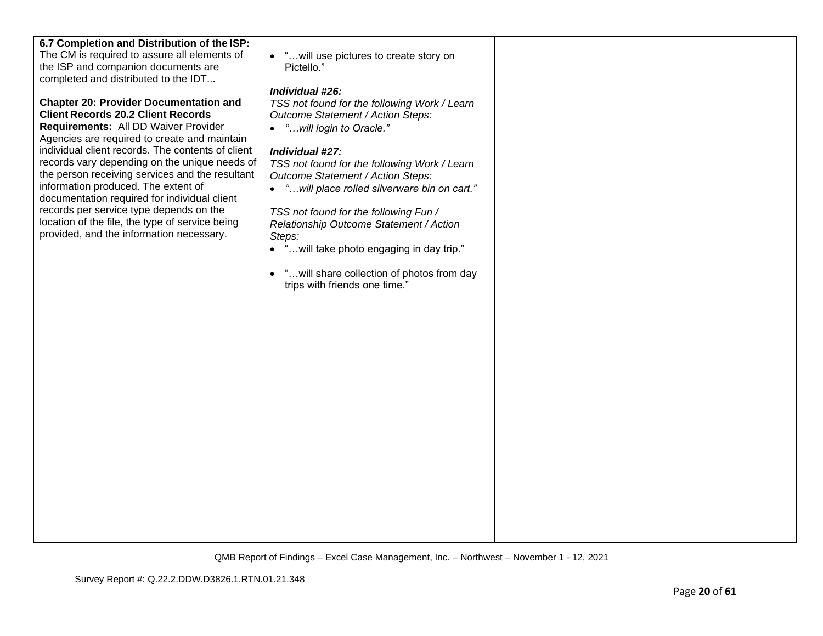| 6.7 Completion and Distribution of the ISP:<br>The CM is required to assure all elements of<br>the ISP and companion documents are<br>completed and distributed to the IDT<br><b>Chapter 20: Provider Documentation and</b><br><b>Client Records 20.2 Client Records</b><br>Requirements: All DD Waiver Provider<br>Agencies are required to create and maintain<br>individual client records. The contents of client<br>records vary depending on the unique needs of<br>the person receiving services and the resultant<br>information produced. The extent of<br>documentation required for individual client<br>records per service type depends on the<br>location of the file, the type of service being<br>provided, and the information necessary. | • " will use pictures to create story on<br>Pictello."<br>Individual #26:<br>TSS not found for the following Work / Learn<br>Outcome Statement / Action Steps:<br>• "will login to Oracle."<br>Individual #27:<br>TSS not found for the following Work / Learn<br>Outcome Statement / Action Steps:<br>• "will place rolled silverware bin on cart."<br>TSS not found for the following Fun /<br>Relationship Outcome Statement / Action<br>Steps:<br>• " will take photo engaging in day trip."<br>" will share collection of photos from day<br>$\bullet$ |  |
|------------------------------------------------------------------------------------------------------------------------------------------------------------------------------------------------------------------------------------------------------------------------------------------------------------------------------------------------------------------------------------------------------------------------------------------------------------------------------------------------------------------------------------------------------------------------------------------------------------------------------------------------------------------------------------------------------------------------------------------------------------|-------------------------------------------------------------------------------------------------------------------------------------------------------------------------------------------------------------------------------------------------------------------------------------------------------------------------------------------------------------------------------------------------------------------------------------------------------------------------------------------------------------------------------------------------------------|--|
|                                                                                                                                                                                                                                                                                                                                                                                                                                                                                                                                                                                                                                                                                                                                                            | trips with friends one time."                                                                                                                                                                                                                                                                                                                                                                                                                                                                                                                               |  |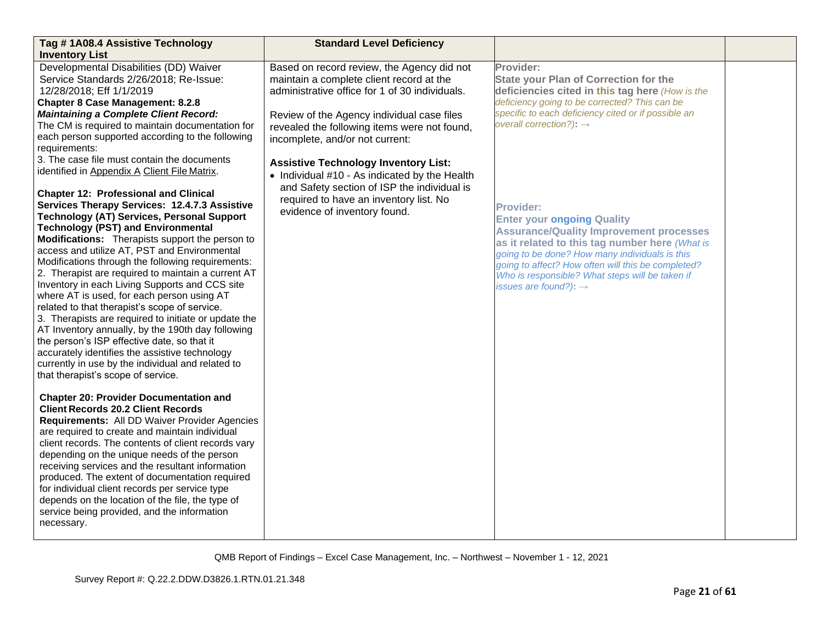| Tag #1A08.4 Assistive Technology                                                                                                                                                                                                                                                                                                                                                                                                                                                                                                                                                                                                                                                                                                                                                                                                                                                                                                                                       | <b>Standard Level Deficiency</b>                                                                                                                                                                                                                                          |                                                                                                                                                                                                                                                                                                                                                           |  |
|------------------------------------------------------------------------------------------------------------------------------------------------------------------------------------------------------------------------------------------------------------------------------------------------------------------------------------------------------------------------------------------------------------------------------------------------------------------------------------------------------------------------------------------------------------------------------------------------------------------------------------------------------------------------------------------------------------------------------------------------------------------------------------------------------------------------------------------------------------------------------------------------------------------------------------------------------------------------|---------------------------------------------------------------------------------------------------------------------------------------------------------------------------------------------------------------------------------------------------------------------------|-----------------------------------------------------------------------------------------------------------------------------------------------------------------------------------------------------------------------------------------------------------------------------------------------------------------------------------------------------------|--|
| <b>Inventory List</b><br>Developmental Disabilities (DD) Waiver<br>Service Standards 2/26/2018; Re-Issue:<br>12/28/2018; Eff 1/1/2019<br><b>Chapter 8 Case Management: 8.2.8</b><br><b>Maintaining a Complete Client Record:</b><br>The CM is required to maintain documentation for<br>each person supported according to the following<br>requirements:                                                                                                                                                                                                                                                                                                                                                                                                                                                                                                                                                                                                              | Based on record review, the Agency did not<br>maintain a complete client record at the<br>administrative office for 1 of 30 individuals.<br>Review of the Agency individual case files<br>revealed the following items were not found,<br>incomplete, and/or not current: | Provider:<br><b>State your Plan of Correction for the</b><br>deficiencies cited in this tag here (How is the<br>deficiency going to be corrected? This can be<br>specific to each deficiency cited or if possible an<br>overall correction?): $\rightarrow$                                                                                               |  |
| 3. The case file must contain the documents<br>identified in Appendix A Client File Matrix.<br><b>Chapter 12: Professional and Clinical</b><br>Services Therapy Services: 12.4.7.3 Assistive<br><b>Technology (AT) Services, Personal Support</b><br><b>Technology (PST) and Environmental</b><br>Modifications: Therapists support the person to<br>access and utilize AT, PST and Environmental<br>Modifications through the following requirements:<br>2. Therapist are required to maintain a current AT<br>Inventory in each Living Supports and CCS site<br>where AT is used, for each person using AT<br>related to that therapist's scope of service.<br>3. Therapists are required to initiate or update the<br>AT Inventory annually, by the 190th day following<br>the person's ISP effective date, so that it<br>accurately identifies the assistive technology<br>currently in use by the individual and related to<br>that therapist's scope of service. | <b>Assistive Technology Inventory List:</b><br>• Individual #10 - As indicated by the Health<br>and Safety section of ISP the individual is<br>required to have an inventory list. No<br>evidence of inventory found.                                                     | <b>Provider:</b><br><b>Enter your ongoing Quality</b><br><b>Assurance/Quality Improvement processes</b><br>as it related to this tag number here (What is<br>going to be done? How many individuals is this<br>going to affect? How often will this be completed?<br>Who is responsible? What steps will be taken if<br>issues are found?): $\rightarrow$ |  |
| <b>Chapter 20: Provider Documentation and</b><br><b>Client Records 20.2 Client Records</b><br>Requirements: All DD Waiver Provider Agencies<br>are required to create and maintain individual<br>client records. The contents of client records vary<br>depending on the unique needs of the person<br>receiving services and the resultant information<br>produced. The extent of documentation required<br>for individual client records per service type<br>depends on the location of the file, the type of<br>service being provided, and the information<br>necessary.                                                                                                                                                                                                                                                                                                                                                                                           |                                                                                                                                                                                                                                                                           |                                                                                                                                                                                                                                                                                                                                                           |  |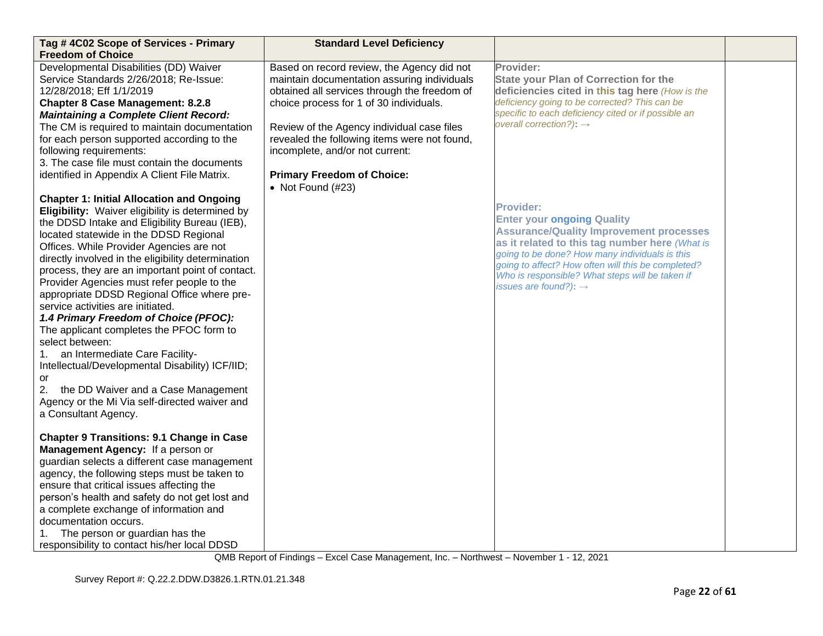| Tag #4C02 Scope of Services - Primary<br><b>Freedom of Choice</b>                                                                                                                                                                                                                                                                                                                                                                                                                                                                                                                                                                                                                                                                                                  | <b>Standard Level Deficiency</b>                                                                                                                                                                                                                                                                                      |                                                                                                                                                                                                                                                                                                                                       |  |
|--------------------------------------------------------------------------------------------------------------------------------------------------------------------------------------------------------------------------------------------------------------------------------------------------------------------------------------------------------------------------------------------------------------------------------------------------------------------------------------------------------------------------------------------------------------------------------------------------------------------------------------------------------------------------------------------------------------------------------------------------------------------|-----------------------------------------------------------------------------------------------------------------------------------------------------------------------------------------------------------------------------------------------------------------------------------------------------------------------|---------------------------------------------------------------------------------------------------------------------------------------------------------------------------------------------------------------------------------------------------------------------------------------------------------------------------------------|--|
| Developmental Disabilities (DD) Waiver<br>Service Standards 2/26/2018; Re-Issue:<br>12/28/2018; Eff 1/1/2019<br><b>Chapter 8 Case Management: 8.2.8</b><br><b>Maintaining a Complete Client Record:</b><br>The CM is required to maintain documentation<br>for each person supported according to the<br>following requirements:<br>3. The case file must contain the documents                                                                                                                                                                                                                                                                                                                                                                                    | Based on record review, the Agency did not<br>maintain documentation assuring individuals<br>obtained all services through the freedom of<br>choice process for 1 of 30 individuals.<br>Review of the Agency individual case files<br>revealed the following items were not found,<br>incomplete, and/or not current: | Provider:<br><b>State your Plan of Correction for the</b><br>deficiencies cited in this tag here (How is the<br>deficiency going to be corrected? This can be<br>specific to each deficiency cited or if possible an<br>overall correction?): $\rightarrow$                                                                           |  |
| identified in Appendix A Client File Matrix.<br><b>Chapter 1: Initial Allocation and Ongoing</b>                                                                                                                                                                                                                                                                                                                                                                                                                                                                                                                                                                                                                                                                   | <b>Primary Freedom of Choice:</b><br>• Not Found $(\#23)$                                                                                                                                                                                                                                                             | <b>Provider:</b>                                                                                                                                                                                                                                                                                                                      |  |
| Eligibility: Waiver eligibility is determined by<br>the DDSD Intake and Eligibility Bureau (IEB),<br>located statewide in the DDSD Regional<br>Offices. While Provider Agencies are not<br>directly involved in the eligibility determination<br>process, they are an important point of contact.<br>Provider Agencies must refer people to the<br>appropriate DDSD Regional Office where pre-<br>service activities are initiated.<br>1.4 Primary Freedom of Choice (PFOC):<br>The applicant completes the PFOC form to<br>select between:<br>an Intermediate Care Facility-<br>1.<br>Intellectual/Developmental Disability) ICF/IID;<br>or<br>2.<br>the DD Waiver and a Case Management<br>Agency or the Mi Via self-directed waiver and<br>a Consultant Agency. |                                                                                                                                                                                                                                                                                                                       | <b>Enter your ongoing Quality</b><br><b>Assurance/Quality Improvement processes</b><br>as it related to this tag number here (What is<br>going to be done? How many individuals is this<br>going to affect? How often will this be completed?<br>Who is responsible? What steps will be taken if<br>issues are found?): $\rightarrow$ |  |
| <b>Chapter 9 Transitions: 9.1 Change in Case</b><br>Management Agency: If a person or<br>guardian selects a different case management<br>agency, the following steps must be taken to<br>ensure that critical issues affecting the<br>person's health and safety do not get lost and<br>a complete exchange of information and<br>documentation occurs.<br>The person or guardian has the<br>responsibility to contact his/her local DDSD                                                                                                                                                                                                                                                                                                                          |                                                                                                                                                                                                                                                                                                                       |                                                                                                                                                                                                                                                                                                                                       |  |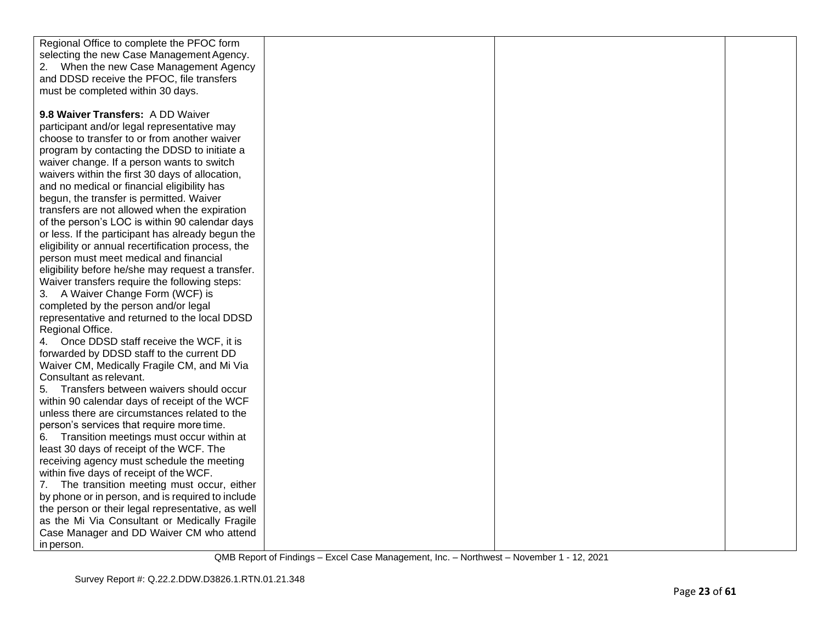| Regional Office to complete the PFOC form          |  |  |
|----------------------------------------------------|--|--|
| selecting the new Case Management Agency.          |  |  |
| When the new Case Management Agency                |  |  |
| and DDSD receive the PFOC, file transfers          |  |  |
| must be completed within 30 days.                  |  |  |
|                                                    |  |  |
| 9.8 Waiver Transfers: A DD Waiver                  |  |  |
| participant and/or legal representative may        |  |  |
| choose to transfer to or from another waiver       |  |  |
| program by contacting the DDSD to initiate a       |  |  |
| waiver change. If a person wants to switch         |  |  |
| waivers within the first 30 days of allocation,    |  |  |
| and no medical or financial eligibility has        |  |  |
| begun, the transfer is permitted. Waiver           |  |  |
|                                                    |  |  |
| transfers are not allowed when the expiration      |  |  |
| of the person's LOC is within 90 calendar days     |  |  |
| or less. If the participant has already begun the  |  |  |
| eligibility or annual recertification process, the |  |  |
| person must meet medical and financial             |  |  |
| eligibility before he/she may request a transfer.  |  |  |
| Waiver transfers require the following steps:      |  |  |
| 3. A Waiver Change Form (WCF) is                   |  |  |
| completed by the person and/or legal               |  |  |
| representative and returned to the local DDSD      |  |  |
| Regional Office.                                   |  |  |
| Once DDSD staff receive the WCF, it is<br>4.       |  |  |
| forwarded by DDSD staff to the current DD          |  |  |
| Waiver CM, Medically Fragile CM, and Mi Via        |  |  |
| Consultant as relevant.                            |  |  |
| Transfers between waivers should occur<br>5.       |  |  |
| within 90 calendar days of receipt of the WCF      |  |  |
| unless there are circumstances related to the      |  |  |
| person's services that require more time.          |  |  |
| Transition meetings must occur within at<br>6.     |  |  |
| least 30 days of receipt of the WCF. The           |  |  |
| receiving agency must schedule the meeting         |  |  |
| within five days of receipt of the WCF.            |  |  |
| The transition meeting must occur, either<br>7.    |  |  |
| by phone or in person, and is required to include  |  |  |
| the person or their legal representative, as well  |  |  |
| as the Mi Via Consultant or Medically Fragile      |  |  |
| Case Manager and DD Waiver CM who attend           |  |  |
| in person.                                         |  |  |
|                                                    |  |  |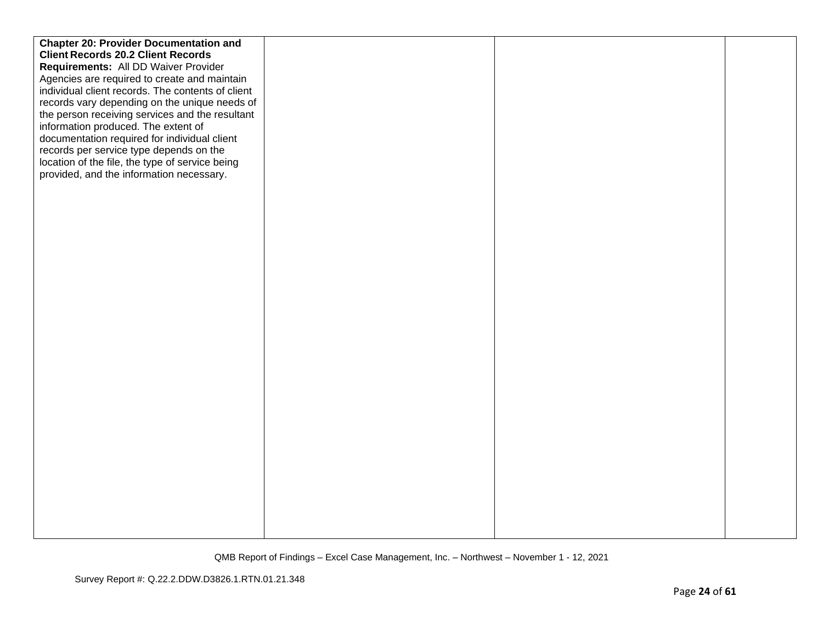| <b>Chapter 20: Provider Documentation and</b>     |  |  |
|---------------------------------------------------|--|--|
| <b>Client Records 20.2 Client Records</b>         |  |  |
| Requirements: All DD Waiver Provider              |  |  |
| Agencies are required to create and maintain      |  |  |
| individual client records. The contents of client |  |  |
| records vary depending on the unique needs of     |  |  |
| the person receiving services and the resultant   |  |  |
| information produced. The extent of               |  |  |
| documentation required for individual client      |  |  |
| records per service type depends on the           |  |  |
| location of the file, the type of service being   |  |  |
| provided, and the information necessary.          |  |  |
|                                                   |  |  |
|                                                   |  |  |
|                                                   |  |  |
|                                                   |  |  |
|                                                   |  |  |
|                                                   |  |  |
|                                                   |  |  |
|                                                   |  |  |
|                                                   |  |  |
|                                                   |  |  |
|                                                   |  |  |
|                                                   |  |  |
|                                                   |  |  |
|                                                   |  |  |
|                                                   |  |  |
|                                                   |  |  |
|                                                   |  |  |
|                                                   |  |  |
|                                                   |  |  |
|                                                   |  |  |
|                                                   |  |  |
|                                                   |  |  |
|                                                   |  |  |
|                                                   |  |  |
|                                                   |  |  |
|                                                   |  |  |
|                                                   |  |  |
|                                                   |  |  |
|                                                   |  |  |
|                                                   |  |  |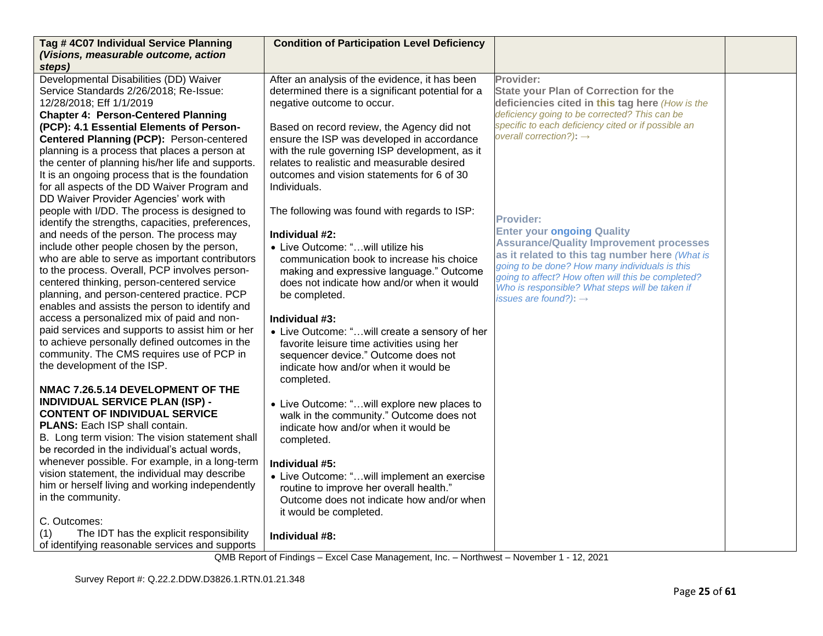| Tag #4C07 Individual Service Planning                                                                                                                                                                                                                                                        | <b>Condition of Participation Level Deficiency</b>                                                                               |                                                     |  |
|----------------------------------------------------------------------------------------------------------------------------------------------------------------------------------------------------------------------------------------------------------------------------------------------|----------------------------------------------------------------------------------------------------------------------------------|-----------------------------------------------------|--|
| (Visions, measurable outcome, action                                                                                                                                                                                                                                                         |                                                                                                                                  |                                                     |  |
| steps)<br>Developmental Disabilities (DD) Waiver                                                                                                                                                                                                                                             | After an analysis of the evidence, it has been                                                                                   | Provider:                                           |  |
| Service Standards 2/26/2018; Re-Issue:                                                                                                                                                                                                                                                       | determined there is a significant potential for a                                                                                | <b>State your Plan of Correction for the</b>        |  |
| 12/28/2018; Eff 1/1/2019                                                                                                                                                                                                                                                                     | negative outcome to occur.                                                                                                       | deficiencies cited in this tag here (How is the     |  |
| <b>Chapter 4: Person-Centered Planning</b>                                                                                                                                                                                                                                                   |                                                                                                                                  | deficiency going to be corrected? This can be       |  |
| (PCP): 4.1 Essential Elements of Person-                                                                                                                                                                                                                                                     | Based on record review, the Agency did not                                                                                       | specific to each deficiency cited or if possible an |  |
| Centered Planning (PCP): Person-centered                                                                                                                                                                                                                                                     | ensure the ISP was developed in accordance                                                                                       | overall correction?): $\rightarrow$                 |  |
| planning is a process that places a person at                                                                                                                                                                                                                                                | with the rule governing ISP development, as it                                                                                   |                                                     |  |
| the center of planning his/her life and supports.                                                                                                                                                                                                                                            | relates to realistic and measurable desired                                                                                      |                                                     |  |
| It is an ongoing process that is the foundation                                                                                                                                                                                                                                              | outcomes and vision statements for 6 of 30                                                                                       |                                                     |  |
| for all aspects of the DD Waiver Program and                                                                                                                                                                                                                                                 | Individuals.                                                                                                                     |                                                     |  |
| DD Waiver Provider Agencies' work with                                                                                                                                                                                                                                                       |                                                                                                                                  |                                                     |  |
| people with I/DD. The process is designed to                                                                                                                                                                                                                                                 | The following was found with regards to ISP:                                                                                     | <b>Provider:</b>                                    |  |
| identify the strengths, capacities, preferences,                                                                                                                                                                                                                                             |                                                                                                                                  | <b>Enter your ongoing Quality</b>                   |  |
| and needs of the person. The process may                                                                                                                                                                                                                                                     | Individual #2:                                                                                                                   | <b>Assurance/Quality Improvement processes</b>      |  |
| include other people chosen by the person,                                                                                                                                                                                                                                                   | • Live Outcome: "will utilize his                                                                                                | as it related to this tag number here (What is      |  |
| who are able to serve as important contributors                                                                                                                                                                                                                                              | communication book to increase his choice                                                                                        | going to be done? How many individuals is this      |  |
| to the process. Overall, PCP involves person-                                                                                                                                                                                                                                                | making and expressive language." Outcome                                                                                         | going to affect? How often will this be completed?  |  |
| centered thinking, person-centered service<br>planning, and person-centered practice. PCP                                                                                                                                                                                                    | does not indicate how and/or when it would                                                                                       | Who is responsible? What steps will be taken if     |  |
| enables and assists the person to identify and                                                                                                                                                                                                                                               | be completed.                                                                                                                    | issues are found?): $\rightarrow$                   |  |
| access a personalized mix of paid and non-                                                                                                                                                                                                                                                   | Individual #3:                                                                                                                   |                                                     |  |
| paid services and supports to assist him or her                                                                                                                                                                                                                                              | • Live Outcome: "will create a sensory of her                                                                                    |                                                     |  |
| to achieve personally defined outcomes in the                                                                                                                                                                                                                                                | favorite leisure time activities using her                                                                                       |                                                     |  |
| community. The CMS requires use of PCP in                                                                                                                                                                                                                                                    | sequencer device." Outcome does not                                                                                              |                                                     |  |
| the development of the ISP.                                                                                                                                                                                                                                                                  | indicate how and/or when it would be                                                                                             |                                                     |  |
|                                                                                                                                                                                                                                                                                              | completed.                                                                                                                       |                                                     |  |
| NMAC 7.26.5.14 DEVELOPMENT OF THE                                                                                                                                                                                                                                                            |                                                                                                                                  |                                                     |  |
| <b>INDIVIDUAL SERVICE PLAN (ISP) -</b>                                                                                                                                                                                                                                                       | • Live Outcome: "will explore new places to                                                                                      |                                                     |  |
| <b>CONTENT OF INDIVIDUAL SERVICE</b>                                                                                                                                                                                                                                                         | walk in the community." Outcome does not                                                                                         |                                                     |  |
| PLANS: Each ISP shall contain.                                                                                                                                                                                                                                                               | indicate how and/or when it would be                                                                                             |                                                     |  |
| B. Long term vision: The vision statement shall                                                                                                                                                                                                                                              | completed.                                                                                                                       |                                                     |  |
| be recorded in the individual's actual words,                                                                                                                                                                                                                                                |                                                                                                                                  |                                                     |  |
|                                                                                                                                                                                                                                                                                              | Individual #5:                                                                                                                   |                                                     |  |
|                                                                                                                                                                                                                                                                                              | • Live Outcome: "will implement an exercise                                                                                      |                                                     |  |
|                                                                                                                                                                                                                                                                                              |                                                                                                                                  |                                                     |  |
|                                                                                                                                                                                                                                                                                              |                                                                                                                                  |                                                     |  |
|                                                                                                                                                                                                                                                                                              |                                                                                                                                  |                                                     |  |
|                                                                                                                                                                                                                                                                                              |                                                                                                                                  |                                                     |  |
|                                                                                                                                                                                                                                                                                              |                                                                                                                                  |                                                     |  |
| whenever possible. For example, in a long-term<br>vision statement, the individual may describe<br>him or herself living and working independently<br>in the community.<br>C. Outcomes:<br>The IDT has the explicit responsibility<br>(1)<br>of identifying reasonable services and supports | routine to improve her overall health."<br>Outcome does not indicate how and/or when<br>it would be completed.<br>Individual #8: |                                                     |  |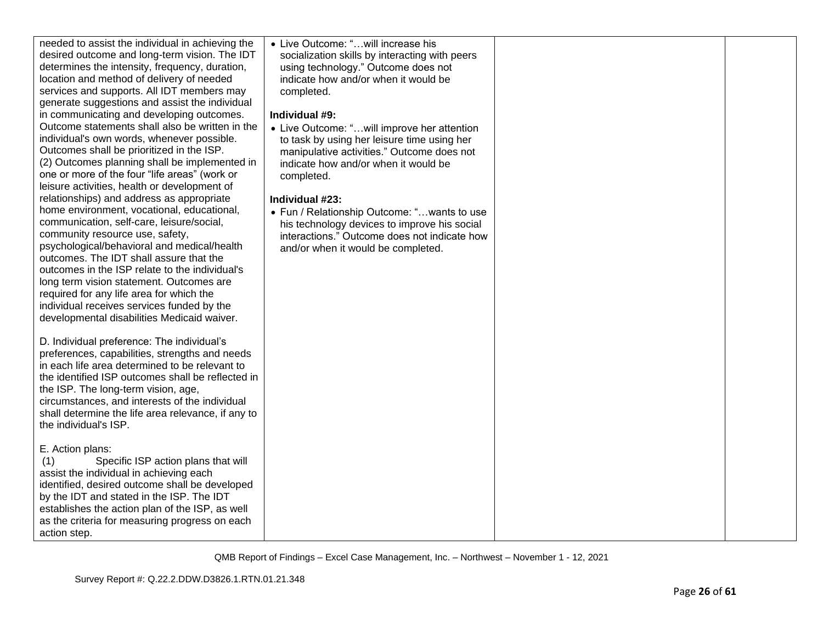| needed to assist the individual in achieving the<br>desired outcome and long-term vision. The IDT<br>determines the intensity, frequency, duration,<br>location and method of delivery of needed<br>services and supports. All IDT members may<br>generate suggestions and assist the individual<br>in communicating and developing outcomes.<br>Outcome statements shall also be written in the<br>individual's own words, whenever possible.<br>Outcomes shall be prioritized in the ISP.<br>(2) Outcomes planning shall be implemented in<br>one or more of the four "life areas" (work or<br>leisure activities, health or development of<br>relationships) and address as appropriate<br>home environment, vocational, educational,<br>communication, self-care, leisure/social,<br>community resource use, safety,<br>psychological/behavioral and medical/health<br>outcomes. The IDT shall assure that the<br>outcomes in the ISP relate to the individual's<br>long term vision statement. Outcomes are<br>required for any life area for which the<br>individual receives services funded by the<br>developmental disabilities Medicaid waiver.<br>D. Individual preference: The individual's<br>preferences, capabilities, strengths and needs<br>in each life area determined to be relevant to<br>the identified ISP outcomes shall be reflected in<br>the ISP. The long-term vision, age,<br>circumstances, and interests of the individual<br>shall determine the life area relevance, if any to<br>the individual's ISP. | • Live Outcome: "will increase his<br>socialization skills by interacting with peers<br>using technology." Outcome does not<br>indicate how and/or when it would be<br>completed.<br>Individual #9:<br>• Live Outcome: "will improve her attention<br>to task by using her leisure time using her<br>manipulative activities." Outcome does not<br>indicate how and/or when it would be<br>completed.<br>Individual #23:<br>• Fun / Relationship Outcome: "wants to use<br>his technology devices to improve his social<br>interactions." Outcome does not indicate how<br>and/or when it would be completed. |  |
|------------------------------------------------------------------------------------------------------------------------------------------------------------------------------------------------------------------------------------------------------------------------------------------------------------------------------------------------------------------------------------------------------------------------------------------------------------------------------------------------------------------------------------------------------------------------------------------------------------------------------------------------------------------------------------------------------------------------------------------------------------------------------------------------------------------------------------------------------------------------------------------------------------------------------------------------------------------------------------------------------------------------------------------------------------------------------------------------------------------------------------------------------------------------------------------------------------------------------------------------------------------------------------------------------------------------------------------------------------------------------------------------------------------------------------------------------------------------------------------------------------------------------------------|---------------------------------------------------------------------------------------------------------------------------------------------------------------------------------------------------------------------------------------------------------------------------------------------------------------------------------------------------------------------------------------------------------------------------------------------------------------------------------------------------------------------------------------------------------------------------------------------------------------|--|
| E. Action plans:<br>Specific ISP action plans that will<br>(1)<br>assist the individual in achieving each<br>identified, desired outcome shall be developed<br>by the IDT and stated in the ISP. The IDT<br>establishes the action plan of the ISP, as well<br>as the criteria for measuring progress on each<br>action step.                                                                                                                                                                                                                                                                                                                                                                                                                                                                                                                                                                                                                                                                                                                                                                                                                                                                                                                                                                                                                                                                                                                                                                                                            |                                                                                                                                                                                                                                                                                                                                                                                                                                                                                                                                                                                                               |  |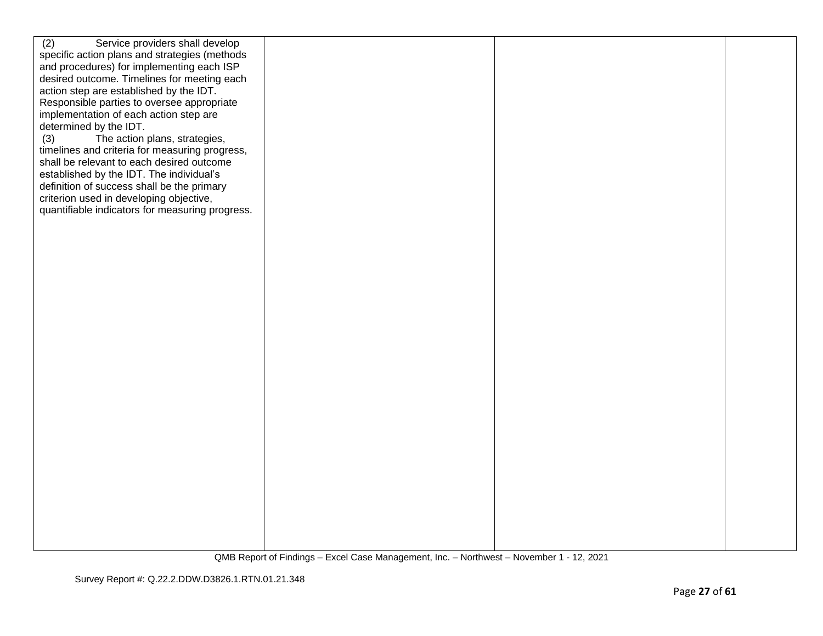| (2)<br>Service providers shall develop<br>specific action plans and strategies (methods<br>and procedures) for implementing each ISP<br>desired outcome. Timelines for meeting each<br>action step are established by the IDT.<br>Responsible parties to oversee appropriate<br>implementation of each action step are<br>determined by the IDT.<br>(3)<br>The action plans, strategies,<br>timelines and criteria for measuring progress,<br>shall be relevant to each desired outcome<br>established by the IDT. The individual's<br>definition of success shall be the primary<br>criterion used in developing objective,<br>quantifiable indicators for measuring progress. |
|---------------------------------------------------------------------------------------------------------------------------------------------------------------------------------------------------------------------------------------------------------------------------------------------------------------------------------------------------------------------------------------------------------------------------------------------------------------------------------------------------------------------------------------------------------------------------------------------------------------------------------------------------------------------------------|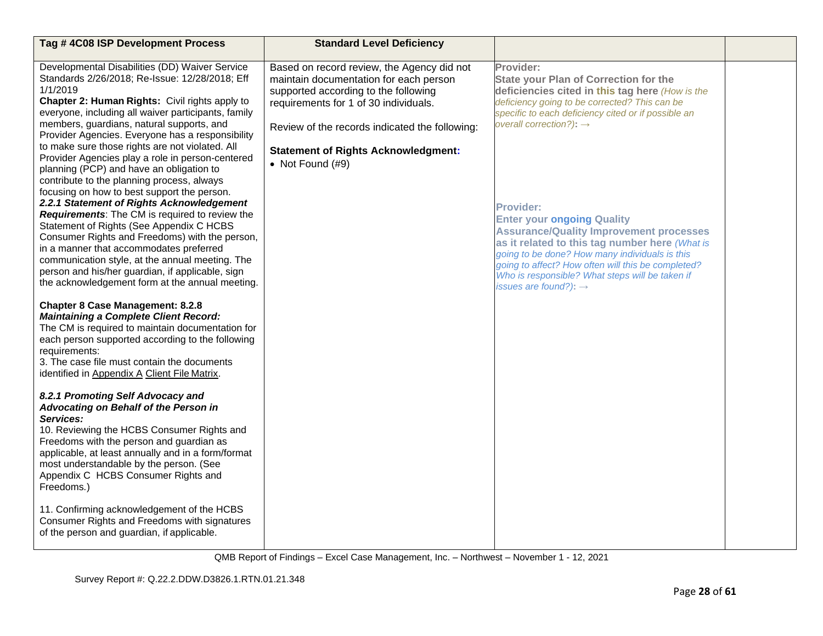| Tag #4C08 ISP Development Process                                                                                                                                                                                                                                                                                                                                                                                                                                                                                       | <b>Standard Level Deficiency</b>                                                                                                                                                                                                                                                            |                                                                                                                                                                                                                                                                                                                                                           |  |
|-------------------------------------------------------------------------------------------------------------------------------------------------------------------------------------------------------------------------------------------------------------------------------------------------------------------------------------------------------------------------------------------------------------------------------------------------------------------------------------------------------------------------|---------------------------------------------------------------------------------------------------------------------------------------------------------------------------------------------------------------------------------------------------------------------------------------------|-----------------------------------------------------------------------------------------------------------------------------------------------------------------------------------------------------------------------------------------------------------------------------------------------------------------------------------------------------------|--|
| Developmental Disabilities (DD) Waiver Service<br>Standards 2/26/2018; Re-Issue: 12/28/2018; Eff<br>1/1/2019<br>Chapter 2: Human Rights: Civil rights apply to<br>everyone, including all waiver participants, family<br>members, guardians, natural supports, and<br>Provider Agencies. Everyone has a responsibility<br>to make sure those rights are not violated. All<br>Provider Agencies play a role in person-centered<br>planning (PCP) and have an obligation to<br>contribute to the planning process, always | Based on record review, the Agency did not<br>maintain documentation for each person<br>supported according to the following<br>requirements for 1 of 30 individuals.<br>Review of the records indicated the following:<br><b>Statement of Rights Acknowledgment:</b><br>• Not Found $(H9)$ | Provider:<br><b>State your Plan of Correction for the</b><br>deficiencies cited in this tag here (How is the<br>deficiency going to be corrected? This can be<br>specific to each deficiency cited or if possible an<br>overall correction?): $\rightarrow$                                                                                               |  |
| focusing on how to best support the person.<br>2.2.1 Statement of Rights Acknowledgement<br>Requirements: The CM is required to review the<br>Statement of Rights (See Appendix C HCBS<br>Consumer Rights and Freedoms) with the person,<br>in a manner that accommodates preferred<br>communication style, at the annual meeting. The<br>person and his/her guardian, if applicable, sign<br>the acknowledgement form at the annual meeting.                                                                           |                                                                                                                                                                                                                                                                                             | <b>Provider:</b><br><b>Enter your ongoing Quality</b><br><b>Assurance/Quality Improvement processes</b><br>as it related to this tag number here (What is<br>going to be done? How many individuals is this<br>going to affect? How often will this be completed?<br>Who is responsible? What steps will be taken if<br>issues are found?): $\rightarrow$ |  |
| <b>Chapter 8 Case Management: 8.2.8</b><br><b>Maintaining a Complete Client Record:</b><br>The CM is required to maintain documentation for<br>each person supported according to the following<br>requirements:<br>3. The case file must contain the documents<br>identified in Appendix A Client File Matrix.                                                                                                                                                                                                         |                                                                                                                                                                                                                                                                                             |                                                                                                                                                                                                                                                                                                                                                           |  |
| 8.2.1 Promoting Self Advocacy and<br>Advocating on Behalf of the Person in<br>Services:<br>10. Reviewing the HCBS Consumer Rights and<br>Freedoms with the person and guardian as<br>applicable, at least annually and in a form/format<br>most understandable by the person. (See<br>Appendix C HCBS Consumer Rights and<br>Freedoms.)                                                                                                                                                                                 |                                                                                                                                                                                                                                                                                             |                                                                                                                                                                                                                                                                                                                                                           |  |
| 11. Confirming acknowledgement of the HCBS<br>Consumer Rights and Freedoms with signatures<br>of the person and guardian, if applicable.                                                                                                                                                                                                                                                                                                                                                                                |                                                                                                                                                                                                                                                                                             |                                                                                                                                                                                                                                                                                                                                                           |  |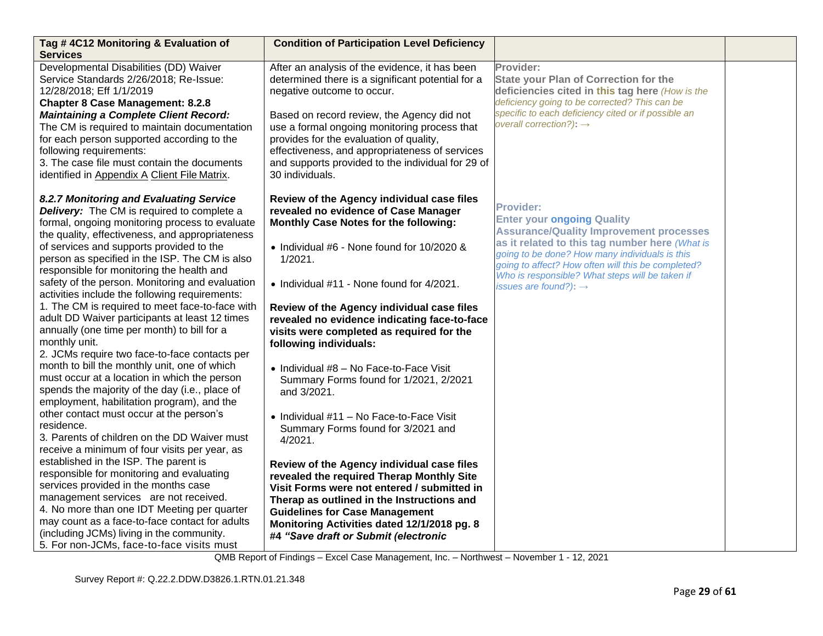| Tag #4C12 Monitoring & Evaluation of<br><b>Services</b>                                                                                                                                                                                                                                                                                                                                                                                                                                                                                                                                                                                                                                                                                                                                                                                                                                                                                                                                                                                                                                                                                                                                                                                                                                                                                                                                              | <b>Condition of Participation Level Deficiency</b>                                                                                                                                                                                                                                                                                                                                                                                                                                                                                                                                                                                                                                                                                                                                                                                                                                                                              |                                                                                                                                                                                                                                                                                                                                                           |  |
|------------------------------------------------------------------------------------------------------------------------------------------------------------------------------------------------------------------------------------------------------------------------------------------------------------------------------------------------------------------------------------------------------------------------------------------------------------------------------------------------------------------------------------------------------------------------------------------------------------------------------------------------------------------------------------------------------------------------------------------------------------------------------------------------------------------------------------------------------------------------------------------------------------------------------------------------------------------------------------------------------------------------------------------------------------------------------------------------------------------------------------------------------------------------------------------------------------------------------------------------------------------------------------------------------------------------------------------------------------------------------------------------------|---------------------------------------------------------------------------------------------------------------------------------------------------------------------------------------------------------------------------------------------------------------------------------------------------------------------------------------------------------------------------------------------------------------------------------------------------------------------------------------------------------------------------------------------------------------------------------------------------------------------------------------------------------------------------------------------------------------------------------------------------------------------------------------------------------------------------------------------------------------------------------------------------------------------------------|-----------------------------------------------------------------------------------------------------------------------------------------------------------------------------------------------------------------------------------------------------------------------------------------------------------------------------------------------------------|--|
| Developmental Disabilities (DD) Waiver<br>Service Standards 2/26/2018; Re-Issue:<br>12/28/2018; Eff 1/1/2019<br><b>Chapter 8 Case Management: 8.2.8</b><br><b>Maintaining a Complete Client Record:</b><br>The CM is required to maintain documentation<br>for each person supported according to the<br>following requirements:<br>3. The case file must contain the documents<br>identified in Appendix A Client File Matrix.                                                                                                                                                                                                                                                                                                                                                                                                                                                                                                                                                                                                                                                                                                                                                                                                                                                                                                                                                                      | After an analysis of the evidence, it has been<br>determined there is a significant potential for a<br>negative outcome to occur.<br>Based on record review, the Agency did not<br>use a formal ongoing monitoring process that<br>provides for the evaluation of quality,<br>effectiveness, and appropriateness of services<br>and supports provided to the individual for 29 of<br>30 individuals.                                                                                                                                                                                                                                                                                                                                                                                                                                                                                                                            | Provider:<br><b>State your Plan of Correction for the</b><br>deficiencies cited in this tag here (How is the<br>deficiency going to be corrected? This can be<br>specific to each deficiency cited or if possible an<br>overall correction?): $\rightarrow$                                                                                               |  |
| 8.2.7 Monitoring and Evaluating Service<br><b>Delivery:</b> The CM is required to complete a<br>formal, ongoing monitoring process to evaluate<br>the quality, effectiveness, and appropriateness<br>of services and supports provided to the<br>person as specified in the ISP. The CM is also<br>responsible for monitoring the health and<br>safety of the person. Monitoring and evaluation<br>activities include the following requirements:<br>1. The CM is required to meet face-to-face with<br>adult DD Waiver participants at least 12 times<br>annually (one time per month) to bill for a<br>monthly unit.<br>2. JCMs require two face-to-face contacts per<br>month to bill the monthly unit, one of which<br>must occur at a location in which the person<br>spends the majority of the day (i.e., place of<br>employment, habilitation program), and the<br>other contact must occur at the person's<br>residence.<br>3. Parents of children on the DD Waiver must<br>receive a minimum of four visits per year, as<br>established in the ISP. The parent is<br>responsible for monitoring and evaluating<br>services provided in the months case<br>management services are not received.<br>4. No more than one IDT Meeting per quarter<br>may count as a face-to-face contact for adults<br>(including JCMs) living in the community.<br>5. For non-JCMs, face-to-face visits must | Review of the Agency individual case files<br>revealed no evidence of Case Manager<br>Monthly Case Notes for the following:<br>• Individual #6 - None found for 10/2020 &<br>1/2021.<br>• Individual #11 - None found for 4/2021.<br>Review of the Agency individual case files<br>revealed no evidence indicating face-to-face<br>visits were completed as required for the<br>following individuals:<br>• Individual #8 - No Face-to-Face Visit<br>Summary Forms found for 1/2021, 2/2021<br>and 3/2021.<br>• Individual #11 - No Face-to-Face Visit<br>Summary Forms found for 3/2021 and<br>4/2021.<br>Review of the Agency individual case files<br>revealed the required Therap Monthly Site<br>Visit Forms were not entered / submitted in<br>Therap as outlined in the Instructions and<br><b>Guidelines for Case Management</b><br>Monitoring Activities dated 12/1/2018 pg. 8<br>#4 "Save draft or Submit (electronic | <b>Provider:</b><br><b>Enter your ongoing Quality</b><br><b>Assurance/Quality Improvement processes</b><br>as it related to this tag number here (What is<br>going to be done? How many individuals is this<br>going to affect? How often will this be completed?<br>Who is responsible? What steps will be taken if<br>issues are found?): $\rightarrow$ |  |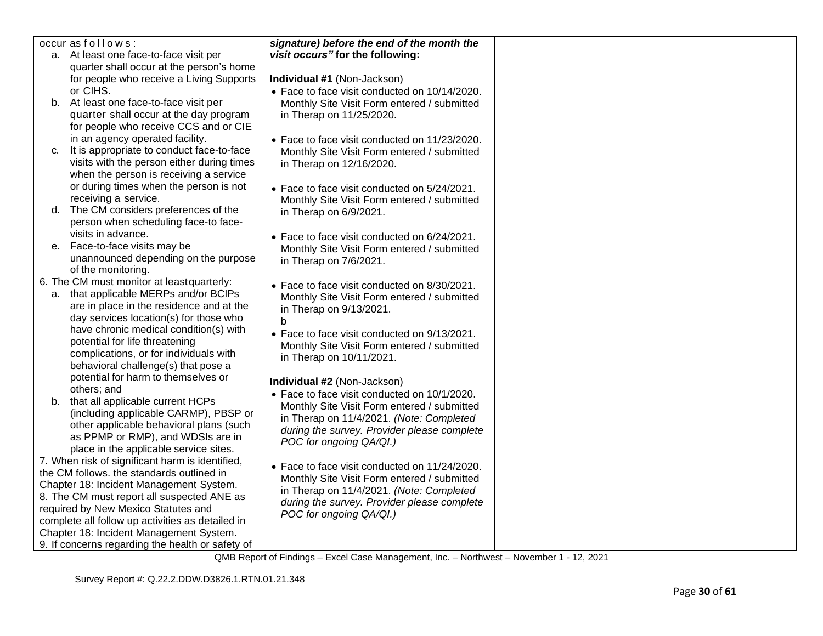|    | occur as follows:                                                        | signature) before the end of the month the                                                   |  |
|----|--------------------------------------------------------------------------|----------------------------------------------------------------------------------------------|--|
|    | a. At least one face-to-face visit per                                   | visit occurs" for the following:                                                             |  |
|    | quarter shall occur at the person's home                                 |                                                                                              |  |
|    | for people who receive a Living Supports                                 | Individual #1 (Non-Jackson)                                                                  |  |
|    | or CIHS.                                                                 | • Face to face visit conducted on 10/14/2020.                                                |  |
|    | b. At least one face-to-face visit per                                   | Monthly Site Visit Form entered / submitted                                                  |  |
|    | quarter shall occur at the day program                                   | in Therap on 11/25/2020.                                                                     |  |
|    | for people who receive CCS and or CIE                                    |                                                                                              |  |
|    | in an agency operated facility.                                          | • Face to face visit conducted on 11/23/2020.                                                |  |
| C. | It is appropriate to conduct face-to-face                                | Monthly Site Visit Form entered / submitted                                                  |  |
|    | visits with the person either during times                               | in Therap on 12/16/2020.                                                                     |  |
|    | when the person is receiving a service                                   |                                                                                              |  |
|    | or during times when the person is not                                   | • Face to face visit conducted on 5/24/2021.                                                 |  |
|    | receiving a service.                                                     | Monthly Site Visit Form entered / submitted                                                  |  |
| d. | The CM considers preferences of the                                      | in Therap on 6/9/2021.                                                                       |  |
|    | person when scheduling face-to face-                                     |                                                                                              |  |
|    | visits in advance.                                                       | • Face to face visit conducted on 6/24/2021.                                                 |  |
|    | e. Face-to-face visits may be                                            | Monthly Site Visit Form entered / submitted                                                  |  |
|    | unannounced depending on the purpose                                     | in Therap on 7/6/2021.                                                                       |  |
|    | of the monitoring.                                                       |                                                                                              |  |
|    | 6. The CM must monitor at least quarterly:                               | • Face to face visit conducted on 8/30/2021.                                                 |  |
|    | a. that applicable MERPs and/or BCIPs                                    | Monthly Site Visit Form entered / submitted                                                  |  |
|    | are in place in the residence and at the                                 | in Therap on 9/13/2021.                                                                      |  |
|    | day services location(s) for those who                                   | b                                                                                            |  |
|    | have chronic medical condition(s) with                                   | • Face to face visit conducted on 9/13/2021.                                                 |  |
|    | potential for life threatening<br>complications, or for individuals with | Monthly Site Visit Form entered / submitted                                                  |  |
|    | behavioral challenge(s) that pose a                                      | in Therap on 10/11/2021.                                                                     |  |
|    | potential for harm to themselves or                                      |                                                                                              |  |
|    | others; and                                                              | Individual #2 (Non-Jackson)                                                                  |  |
|    | b. that all applicable current HCPs                                      | • Face to face visit conducted on 10/1/2020.                                                 |  |
|    | (including applicable CARMP), PBSP or                                    | Monthly Site Visit Form entered / submitted                                                  |  |
|    | other applicable behavioral plans (such                                  | in Therap on 11/4/2021. (Note: Completed                                                     |  |
|    | as PPMP or RMP), and WDSIs are in                                        | during the survey. Provider please complete                                                  |  |
|    | place in the applicable service sites.                                   | POC for ongoing QA/QI.)                                                                      |  |
|    | 7. When risk of significant harm is identified,                          |                                                                                              |  |
|    | the CM follows. the standards outlined in                                | • Face to face visit conducted on 11/24/2020.<br>Monthly Site Visit Form entered / submitted |  |
|    | Chapter 18: Incident Management System.                                  | in Therap on 11/4/2021. (Note: Completed                                                     |  |
|    | 8. The CM must report all suspected ANE as                               | during the survey. Provider please complete                                                  |  |
|    | required by New Mexico Statutes and                                      | POC for ongoing QA/QI.)                                                                      |  |
|    | complete all follow up activities as detailed in                         |                                                                                              |  |
|    | Chapter 18: Incident Management System.                                  |                                                                                              |  |
|    | 9. If concerns regarding the health or safety of                         |                                                                                              |  |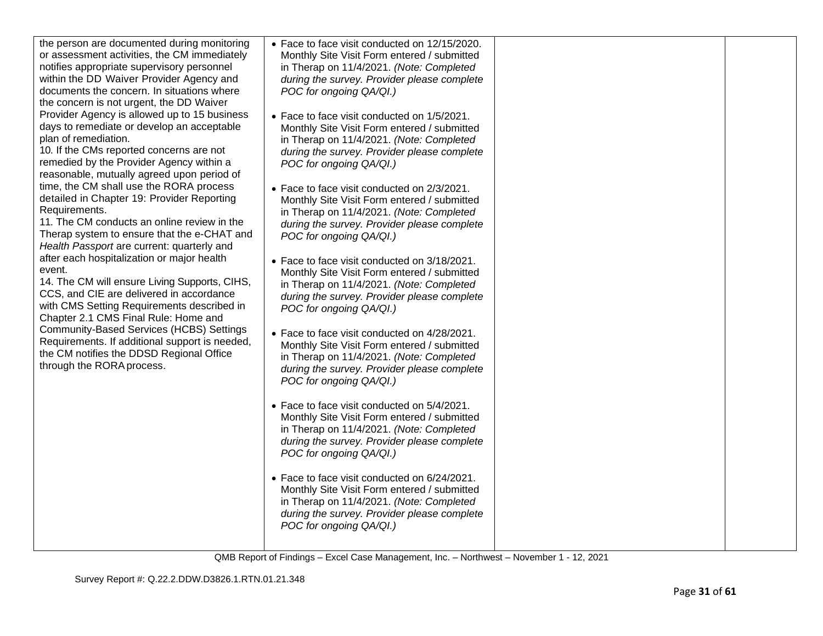| • Face to face visit conducted on 12/15/2020.<br>Monthly Site Visit Form entered / submitted<br>in Therap on 11/4/2021. (Note: Completed<br>during the survey. Provider please complete<br>POC for ongoing QA/QI.)<br>• Face to face visit conducted on 1/5/2021.<br>Monthly Site Visit Form entered / submitted<br>in Therap on 11/4/2021. (Note: Completed<br>during the survey. Provider please complete |                                                                                                                         |  |
|-------------------------------------------------------------------------------------------------------------------------------------------------------------------------------------------------------------------------------------------------------------------------------------------------------------------------------------------------------------------------------------------------------------|-------------------------------------------------------------------------------------------------------------------------|--|
| • Face to face visit conducted on 2/3/2021.<br>Monthly Site Visit Form entered / submitted<br>in Therap on 11/4/2021. (Note: Completed<br>during the survey. Provider please complete<br>POC for ongoing QA/QI.)                                                                                                                                                                                            |                                                                                                                         |  |
| Monthly Site Visit Form entered / submitted<br>in Therap on 11/4/2021. (Note: Completed<br>during the survey. Provider please complete<br>POC for ongoing QA/QI.)                                                                                                                                                                                                                                           |                                                                                                                         |  |
| Monthly Site Visit Form entered / submitted<br>in Therap on 11/4/2021. (Note: Completed<br>during the survey. Provider please complete<br>POC for ongoing QA/QI.)                                                                                                                                                                                                                                           |                                                                                                                         |  |
| • Face to face visit conducted on 5/4/2021.<br>Monthly Site Visit Form entered / submitted<br>in Therap on 11/4/2021. (Note: Completed<br>during the survey. Provider please complete<br>POC for ongoing QA/QI.)                                                                                                                                                                                            |                                                                                                                         |  |
| • Face to face visit conducted on 6/24/2021.<br>Monthly Site Visit Form entered / submitted<br>in Therap on 11/4/2021. (Note: Completed<br>during the survey. Provider please complete<br>POC for ongoing QA/QI.)                                                                                                                                                                                           |                                                                                                                         |  |
|                                                                                                                                                                                                                                                                                                                                                                                                             | POC for ongoing QA/QI.)<br>• Face to face visit conducted on 3/18/2021.<br>• Face to face visit conducted on 4/28/2021. |  |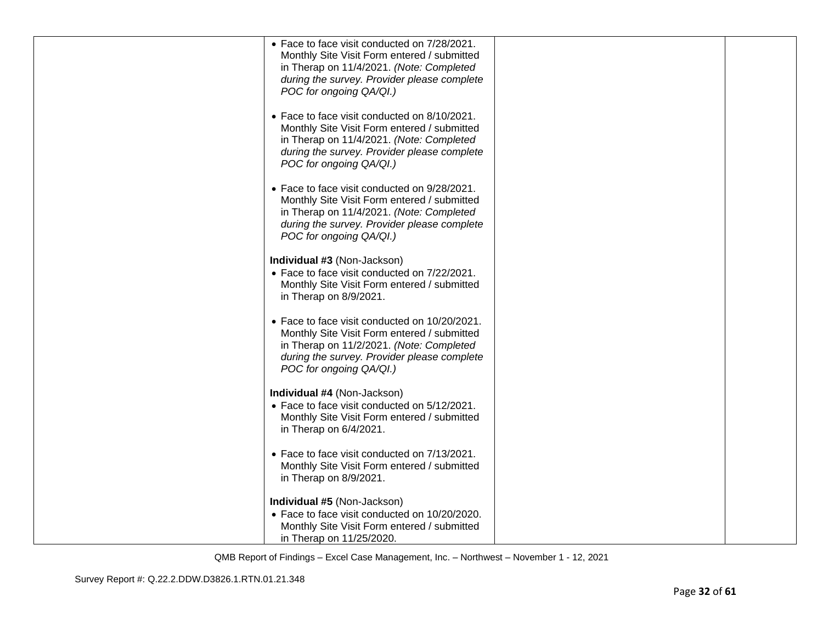| • Face to face visit conducted on 7/28/2021.<br>Monthly Site Visit Form entered / submitted<br>in Therap on 11/4/2021. (Note: Completed                                                                            |  |
|--------------------------------------------------------------------------------------------------------------------------------------------------------------------------------------------------------------------|--|
| during the survey. Provider please complete<br>POC for ongoing QA/QI.)                                                                                                                                             |  |
| • Face to face visit conducted on 8/10/2021.<br>Monthly Site Visit Form entered / submitted<br>in Therap on 11/4/2021. (Note: Completed<br>during the survey. Provider please complete<br>POC for ongoing QA/QI.)  |  |
| • Face to face visit conducted on 9/28/2021.<br>Monthly Site Visit Form entered / submitted<br>in Therap on 11/4/2021. (Note: Completed<br>during the survey. Provider please complete<br>POC for ongoing QA/QI.)  |  |
| Individual #3 (Non-Jackson)<br>• Face to face visit conducted on 7/22/2021.<br>Monthly Site Visit Form entered / submitted<br>in Therap on 8/9/2021.                                                               |  |
| • Face to face visit conducted on 10/20/2021.<br>Monthly Site Visit Form entered / submitted<br>in Therap on 11/2/2021. (Note: Completed<br>during the survey. Provider please complete<br>POC for ongoing QA/QI.) |  |
| Individual #4 (Non-Jackson)<br>• Face to face visit conducted on 5/12/2021.<br>Monthly Site Visit Form entered / submitted<br>in Therap on 6/4/2021.                                                               |  |
| • Face to face visit conducted on 7/13/2021.<br>Monthly Site Visit Form entered / submitted<br>in Therap on 8/9/2021.                                                                                              |  |
| Individual #5 (Non-Jackson)<br>• Face to face visit conducted on 10/20/2020.<br>Monthly Site Visit Form entered / submitted<br>in Therap on 11/25/2020.                                                            |  |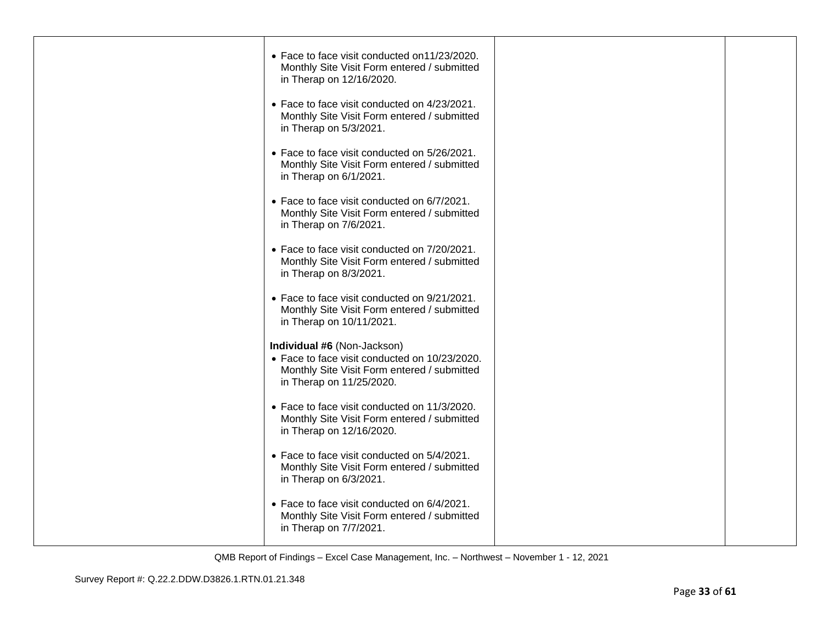| • Face to face visit conducted on 11/23/2020.<br>Monthly Site Visit Form entered / submitted<br>in Therap on 12/16/2020.                                |  |
|---------------------------------------------------------------------------------------------------------------------------------------------------------|--|
| • Face to face visit conducted on 4/23/2021.<br>Monthly Site Visit Form entered / submitted<br>in Therap on 5/3/2021.                                   |  |
| • Face to face visit conducted on 5/26/2021.<br>Monthly Site Visit Form entered / submitted<br>in Therap on 6/1/2021.                                   |  |
| • Face to face visit conducted on 6/7/2021.<br>Monthly Site Visit Form entered / submitted<br>in Therap on 7/6/2021.                                    |  |
| • Face to face visit conducted on 7/20/2021.<br>Monthly Site Visit Form entered / submitted<br>in Therap on 8/3/2021.                                   |  |
| • Face to face visit conducted on 9/21/2021.<br>Monthly Site Visit Form entered / submitted<br>in Therap on 10/11/2021.                                 |  |
| Individual #6 (Non-Jackson)<br>• Face to face visit conducted on 10/23/2020.<br>Monthly Site Visit Form entered / submitted<br>in Therap on 11/25/2020. |  |
| • Face to face visit conducted on 11/3/2020.<br>Monthly Site Visit Form entered / submitted<br>in Therap on 12/16/2020.                                 |  |
| • Face to face visit conducted on 5/4/2021.<br>Monthly Site Visit Form entered / submitted<br>in Therap on 6/3/2021.                                    |  |
| • Face to face visit conducted on 6/4/2021.<br>Monthly Site Visit Form entered / submitted<br>in Therap on 7/7/2021.                                    |  |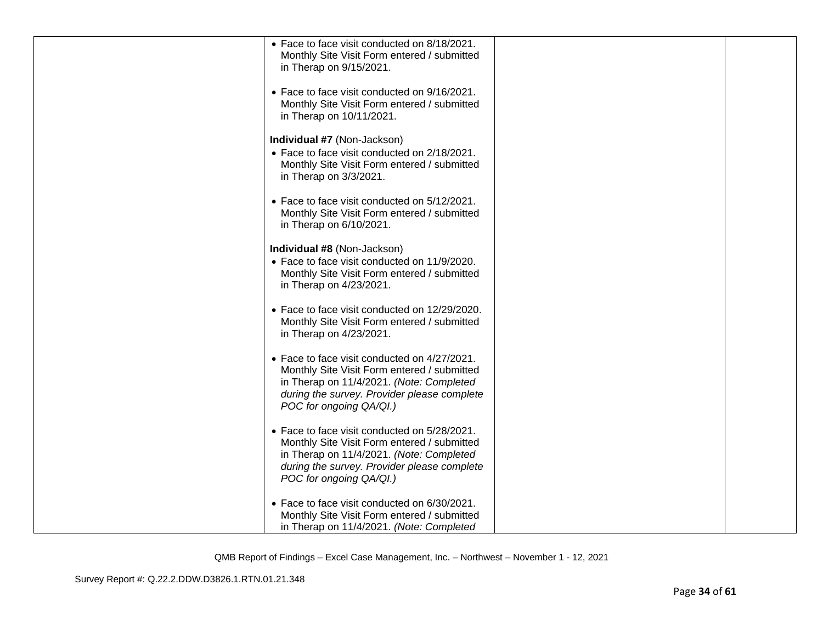| • Face to face visit conducted on 8/18/2021.<br>Monthly Site Visit Form entered / submitted<br>in Therap on 9/15/2021.                                                                                            |  |
|-------------------------------------------------------------------------------------------------------------------------------------------------------------------------------------------------------------------|--|
| • Face to face visit conducted on 9/16/2021.<br>Monthly Site Visit Form entered / submitted<br>in Therap on 10/11/2021.                                                                                           |  |
| Individual #7 (Non-Jackson)<br>• Face to face visit conducted on 2/18/2021.<br>Monthly Site Visit Form entered / submitted<br>in Therap on 3/3/2021.                                                              |  |
| • Face to face visit conducted on 5/12/2021.<br>Monthly Site Visit Form entered / submitted<br>in Therap on 6/10/2021.                                                                                            |  |
| Individual #8 (Non-Jackson)<br>• Face to face visit conducted on 11/9/2020.<br>Monthly Site Visit Form entered / submitted<br>in Therap on 4/23/2021.                                                             |  |
| • Face to face visit conducted on 12/29/2020.<br>Monthly Site Visit Form entered / submitted<br>in Therap on 4/23/2021.                                                                                           |  |
| • Face to face visit conducted on 4/27/2021.<br>Monthly Site Visit Form entered / submitted<br>in Therap on 11/4/2021. (Note: Completed<br>during the survey. Provider please complete<br>POC for ongoing QA/QI.) |  |
| • Face to face visit conducted on 5/28/2021.<br>Monthly Site Visit Form entered / submitted<br>in Therap on 11/4/2021. (Note: Completed<br>during the survey. Provider please complete<br>POC for ongoing QA/QI.) |  |
| • Face to face visit conducted on 6/30/2021.<br>Monthly Site Visit Form entered / submitted<br>in Therap on 11/4/2021. (Note: Completed                                                                           |  |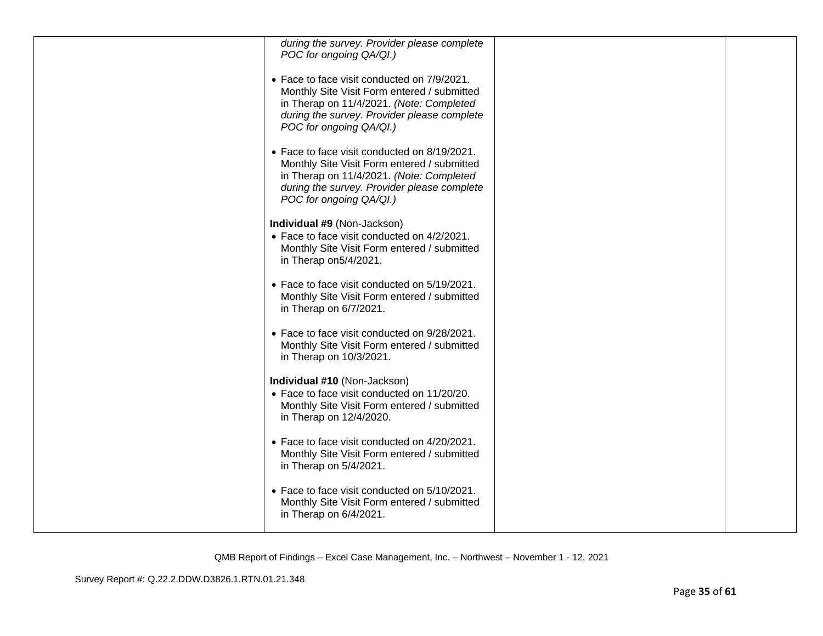| during the survey. Provider please complete<br>POC for ongoing QA/QI.)                                                                                                                                            |  |
|-------------------------------------------------------------------------------------------------------------------------------------------------------------------------------------------------------------------|--|
| • Face to face visit conducted on 7/9/2021.<br>Monthly Site Visit Form entered / submitted<br>in Therap on 11/4/2021. (Note: Completed<br>during the survey. Provider please complete<br>POC for ongoing QA/QI.)  |  |
| • Face to face visit conducted on 8/19/2021.<br>Monthly Site Visit Form entered / submitted<br>in Therap on 11/4/2021. (Note: Completed<br>during the survey. Provider please complete<br>POC for ongoing QA/QI.) |  |
| Individual #9 (Non-Jackson)<br>• Face to face visit conducted on 4/2/2021.<br>Monthly Site Visit Form entered / submitted<br>in Therap on 5/4/2021.                                                               |  |
| • Face to face visit conducted on 5/19/2021.<br>Monthly Site Visit Form entered / submitted<br>in Therap on 6/7/2021.                                                                                             |  |
| • Face to face visit conducted on 9/28/2021.<br>Monthly Site Visit Form entered / submitted<br>in Therap on 10/3/2021.                                                                                            |  |
| Individual #10 (Non-Jackson)<br>• Face to face visit conducted on 11/20/20.<br>Monthly Site Visit Form entered / submitted<br>in Therap on 12/4/2020.                                                             |  |
| • Face to face visit conducted on 4/20/2021.<br>Monthly Site Visit Form entered / submitted<br>in Therap on 5/4/2021.                                                                                             |  |
| • Face to face visit conducted on 5/10/2021.<br>Monthly Site Visit Form entered / submitted<br>in Therap on 6/4/2021.                                                                                             |  |
|                                                                                                                                                                                                                   |  |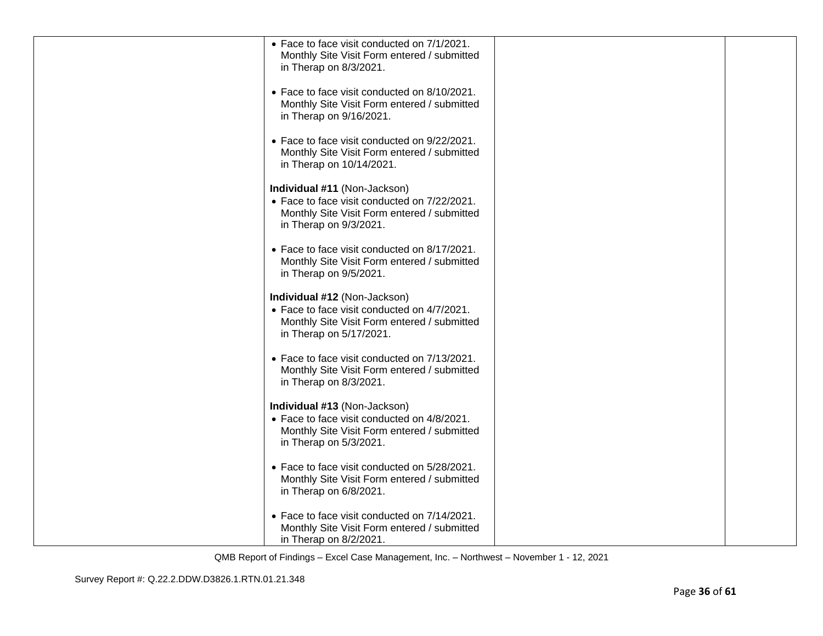| • Face to face visit conducted on 7/1/2021.<br>Monthly Site Visit Form entered / submitted                                 |  |
|----------------------------------------------------------------------------------------------------------------------------|--|
| in Therap on 8/3/2021.<br>• Face to face visit conducted on 8/10/2021.                                                     |  |
| Monthly Site Visit Form entered / submitted<br>in Therap on 9/16/2021.                                                     |  |
| • Face to face visit conducted on 9/22/2021.<br>Monthly Site Visit Form entered / submitted<br>in Therap on 10/14/2021.    |  |
| Individual #11 (Non-Jackson)<br>• Face to face visit conducted on 7/22/2021.                                               |  |
| Monthly Site Visit Form entered / submitted<br>in Therap on 9/3/2021.                                                      |  |
| • Face to face visit conducted on 8/17/2021.<br>Monthly Site Visit Form entered / submitted<br>in Therap on 9/5/2021.      |  |
| Individual #12 (Non-Jackson)<br>• Face to face visit conducted on 4/7/2021.<br>Monthly Site Visit Form entered / submitted |  |
| in Therap on 5/17/2021.                                                                                                    |  |
| • Face to face visit conducted on 7/13/2021.<br>Monthly Site Visit Form entered / submitted<br>in Therap on 8/3/2021.      |  |
| Individual #13 (Non-Jackson)<br>• Face to face visit conducted on 4/8/2021.                                                |  |
| Monthly Site Visit Form entered / submitted<br>in Therap on 5/3/2021.                                                      |  |
| • Face to face visit conducted on 5/28/2021.<br>Monthly Site Visit Form entered / submitted<br>in Therap on 6/8/2021.      |  |
| • Face to face visit conducted on 7/14/2021.<br>Monthly Site Visit Form entered / submitted<br>in Therap on 8/2/2021.      |  |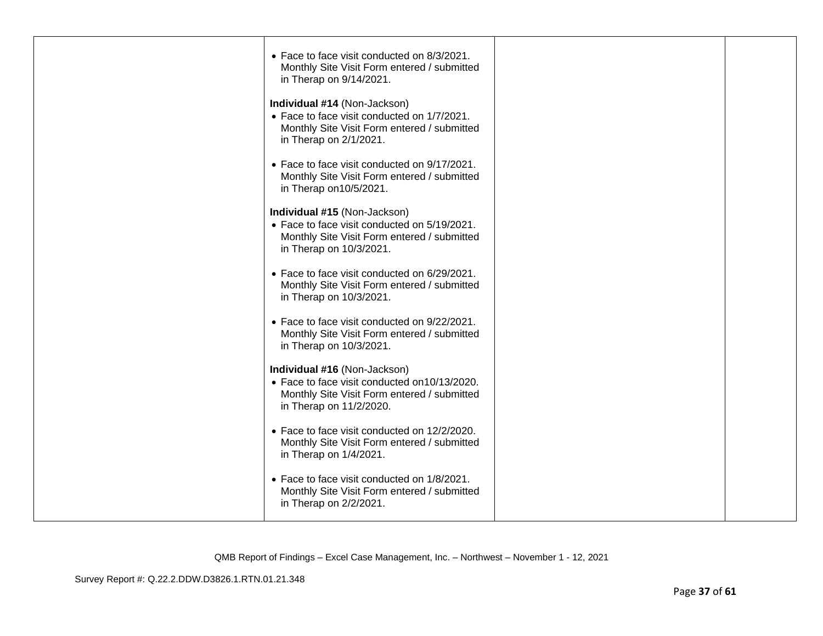| • Face to face visit conducted on 8/3/2021.<br>Monthly Site Visit Form entered / submitted<br>in Therap on 9/14/2021.                                  |  |
|--------------------------------------------------------------------------------------------------------------------------------------------------------|--|
| Individual #14 (Non-Jackson)<br>• Face to face visit conducted on 1/7/2021.<br>Monthly Site Visit Form entered / submitted<br>in Therap on 2/1/2021.   |  |
| • Face to face visit conducted on 9/17/2021.<br>Monthly Site Visit Form entered / submitted<br>in Therap on 10/5/2021.                                 |  |
| Individual #15 (Non-Jackson)<br>• Face to face visit conducted on 5/19/2021.<br>Monthly Site Visit Form entered / submitted<br>in Therap on 10/3/2021. |  |
| • Face to face visit conducted on 6/29/2021.<br>Monthly Site Visit Form entered / submitted<br>in Therap on 10/3/2021.                                 |  |
| • Face to face visit conducted on 9/22/2021.<br>Monthly Site Visit Form entered / submitted<br>in Therap on 10/3/2021.                                 |  |
| Individual #16 (Non-Jackson)<br>• Face to face visit conducted on10/13/2020.<br>Monthly Site Visit Form entered / submitted<br>in Therap on 11/2/2020. |  |
| • Face to face visit conducted on 12/2/2020.<br>Monthly Site Visit Form entered / submitted<br>in Therap on 1/4/2021.                                  |  |
| • Face to face visit conducted on 1/8/2021.<br>Monthly Site Visit Form entered / submitted<br>in Therap on 2/2/2021.                                   |  |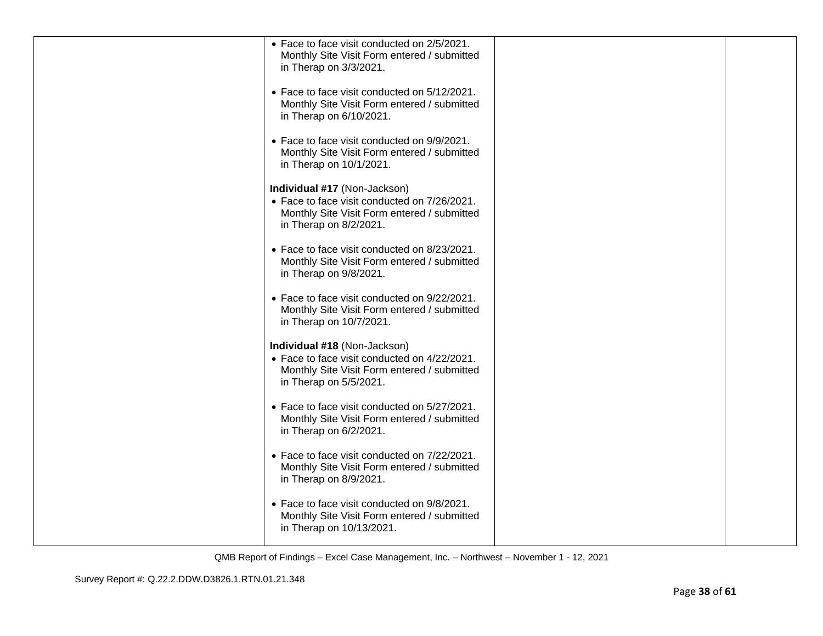| • Face to face visit conducted on 2/5/2021.<br>Monthly Site Visit Form entered / submitted<br>in Therap on 3/3/2021.                                  |  |
|-------------------------------------------------------------------------------------------------------------------------------------------------------|--|
| • Face to face visit conducted on 5/12/2021.<br>Monthly Site Visit Form entered / submitted<br>in Therap on 6/10/2021.                                |  |
| • Face to face visit conducted on 9/9/2021.<br>Monthly Site Visit Form entered / submitted<br>in Therap on 10/1/2021.                                 |  |
| Individual #17 (Non-Jackson)<br>• Face to face visit conducted on 7/26/2021.<br>Monthly Site Visit Form entered / submitted<br>in Therap on 8/2/2021. |  |
| • Face to face visit conducted on 8/23/2021.<br>Monthly Site Visit Form entered / submitted<br>in Therap on 9/8/2021.                                 |  |
| • Face to face visit conducted on 9/22/2021.<br>Monthly Site Visit Form entered / submitted<br>in Therap on 10/7/2021.                                |  |
| Individual #18 (Non-Jackson)<br>• Face to face visit conducted on 4/22/2021.<br>Monthly Site Visit Form entered / submitted<br>in Therap on 5/5/2021. |  |
| • Face to face visit conducted on 5/27/2021.<br>Monthly Site Visit Form entered / submitted<br>in Therap on 6/2/2021.                                 |  |
| • Face to face visit conducted on 7/22/2021.<br>Monthly Site Visit Form entered / submitted<br>in Therap on 8/9/2021.                                 |  |
| • Face to face visit conducted on 9/8/2021.<br>Monthly Site Visit Form entered / submitted<br>in Therap on 10/13/2021.                                |  |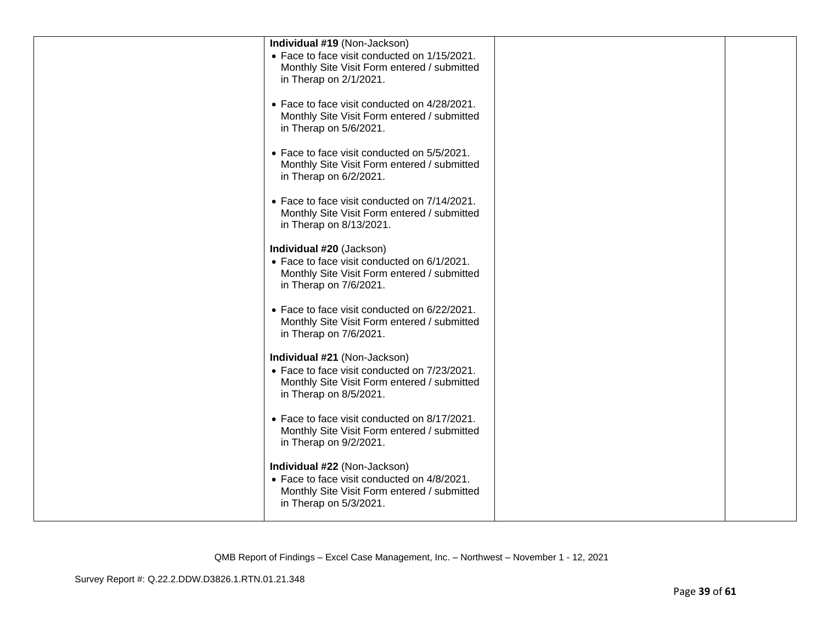| Individual #19 (Non-Jackson)                                                                                                                          |  |
|-------------------------------------------------------------------------------------------------------------------------------------------------------|--|
| • Face to face visit conducted on 1/15/2021.<br>Monthly Site Visit Form entered / submitted<br>in Therap on 2/1/2021.                                 |  |
| • Face to face visit conducted on 4/28/2021.<br>Monthly Site Visit Form entered / submitted<br>in Therap on 5/6/2021.                                 |  |
| • Face to face visit conducted on 5/5/2021.<br>Monthly Site Visit Form entered / submitted<br>in Therap on 6/2/2021.                                  |  |
| • Face to face visit conducted on 7/14/2021.<br>Monthly Site Visit Form entered / submitted<br>in Therap on 8/13/2021.                                |  |
| Individual #20 (Jackson)<br>• Face to face visit conducted on 6/1/2021.<br>Monthly Site Visit Form entered / submitted<br>in Therap on 7/6/2021.      |  |
| • Face to face visit conducted on 6/22/2021.<br>Monthly Site Visit Form entered / submitted<br>in Therap on 7/6/2021.                                 |  |
| Individual #21 (Non-Jackson)<br>• Face to face visit conducted on 7/23/2021.<br>Monthly Site Visit Form entered / submitted<br>in Therap on 8/5/2021. |  |
| • Face to face visit conducted on 8/17/2021.<br>Monthly Site Visit Form entered / submitted<br>in Therap on 9/2/2021.                                 |  |
| Individual #22 (Non-Jackson)<br>• Face to face visit conducted on 4/8/2021.<br>Monthly Site Visit Form entered / submitted<br>in Therap on 5/3/2021.  |  |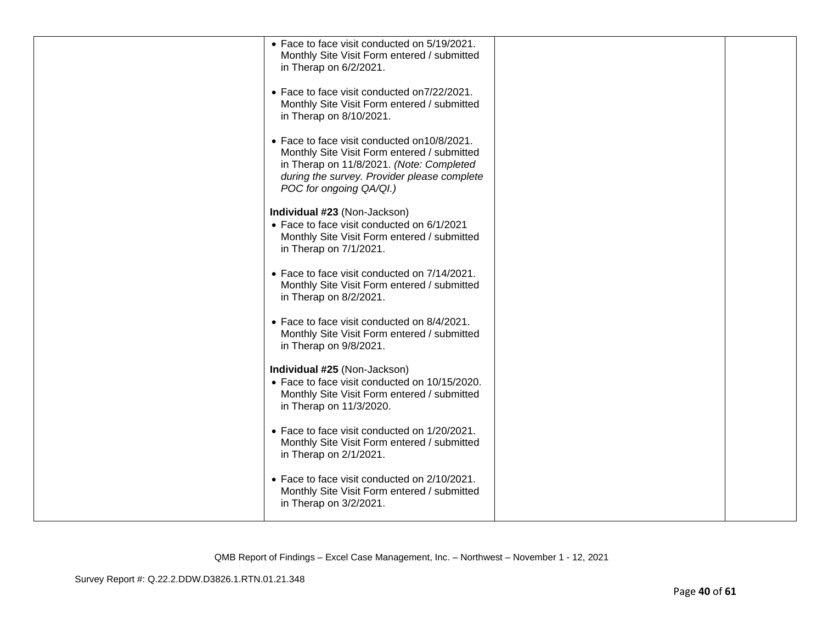| • Face to face visit conducted on 5/19/2021.<br>Monthly Site Visit Form entered / submitted<br>in Therap on 6/2/2021.                                                                                             |  |
|-------------------------------------------------------------------------------------------------------------------------------------------------------------------------------------------------------------------|--|
| • Face to face visit conducted on 7/22/2021.<br>Monthly Site Visit Form entered / submitted<br>in Therap on 8/10/2021.                                                                                            |  |
| • Face to face visit conducted on 10/8/2021.<br>Monthly Site Visit Form entered / submitted<br>in Therap on 11/8/2021. (Note: Completed<br>during the survey. Provider please complete<br>POC for ongoing QA/QI.) |  |
| Individual #23 (Non-Jackson)<br>• Face to face visit conducted on 6/1/2021<br>Monthly Site Visit Form entered / submitted<br>in Therap on 7/1/2021.                                                               |  |
| • Face to face visit conducted on 7/14/2021.<br>Monthly Site Visit Form entered / submitted<br>in Therap on 8/2/2021.                                                                                             |  |
| • Face to face visit conducted on 8/4/2021.<br>Monthly Site Visit Form entered / submitted<br>in Therap on 9/8/2021.                                                                                              |  |
| Individual #25 (Non-Jackson)<br>• Face to face visit conducted on 10/15/2020.<br>Monthly Site Visit Form entered / submitted<br>in Therap on 11/3/2020.                                                           |  |
| • Face to face visit conducted on 1/20/2021.<br>Monthly Site Visit Form entered / submitted<br>in Therap on 2/1/2021.                                                                                             |  |
| • Face to face visit conducted on 2/10/2021.<br>Monthly Site Visit Form entered / submitted<br>in Therap on 3/2/2021.                                                                                             |  |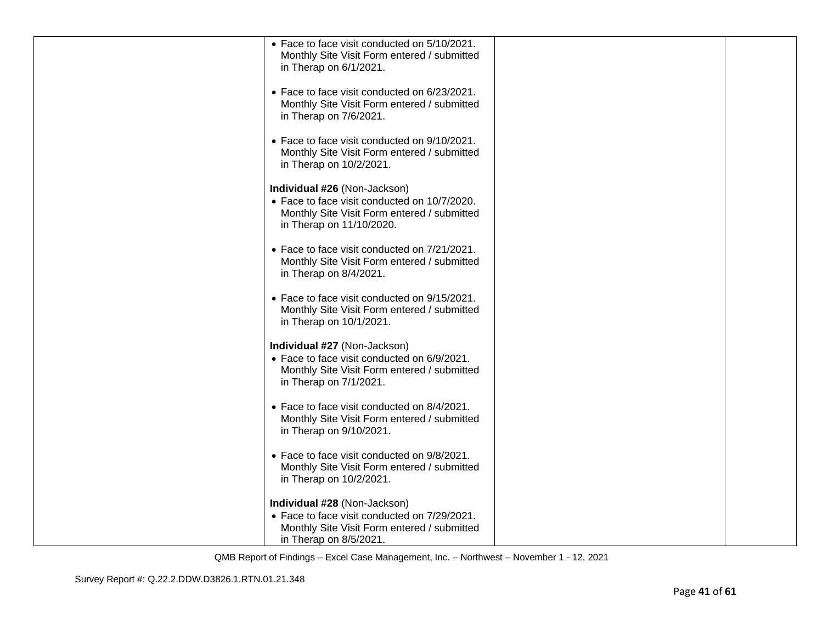| • Face to face visit conducted on 5/10/2021.<br>Monthly Site Visit Form entered / submitted<br>in Therap on 6/1/2021.<br>• Face to face visit conducted on 6/23/2021.<br>Monthly Site Visit Form entered / submitted<br>in Therap on 7/6/2021.<br>• Face to face visit conducted on 9/10/2021.<br>Monthly Site Visit Form entered / submitted<br>in Therap on 10/2/2021.<br>Individual #26 (Non-Jackson)<br>• Face to face visit conducted on 10/7/2020.<br>Monthly Site Visit Form entered / submitted<br>in Therap on 11/10/2020.<br>• Face to face visit conducted on 7/21/2021.<br>Monthly Site Visit Form entered / submitted<br>in Therap on 8/4/2021.<br>• Face to face visit conducted on 9/15/2021.<br>Monthly Site Visit Form entered / submitted<br>in Therap on 10/1/2021.<br>Individual #27 (Non-Jackson)<br>• Face to face visit conducted on 6/9/2021.<br>Monthly Site Visit Form entered / submitted<br>in Therap on 7/1/2021.<br>• Face to face visit conducted on 8/4/2021.<br>Monthly Site Visit Form entered / submitted<br>in Therap on 9/10/2021.<br>• Face to face visit conducted on 9/8/2021.<br>Monthly Site Visit Form entered / submitted<br>in Therap on 10/2/2021.<br>Individual #28 (Non-Jackson)<br>• Face to face visit conducted on 7/29/2021.<br>Monthly Site Visit Form entered / submitted |                        |  |
|---------------------------------------------------------------------------------------------------------------------------------------------------------------------------------------------------------------------------------------------------------------------------------------------------------------------------------------------------------------------------------------------------------------------------------------------------------------------------------------------------------------------------------------------------------------------------------------------------------------------------------------------------------------------------------------------------------------------------------------------------------------------------------------------------------------------------------------------------------------------------------------------------------------------------------------------------------------------------------------------------------------------------------------------------------------------------------------------------------------------------------------------------------------------------------------------------------------------------------------------------------------------------------------------------------------------------------|------------------------|--|
|                                                                                                                                                                                                                                                                                                                                                                                                                                                                                                                                                                                                                                                                                                                                                                                                                                                                                                                                                                                                                                                                                                                                                                                                                                                                                                                                 |                        |  |
|                                                                                                                                                                                                                                                                                                                                                                                                                                                                                                                                                                                                                                                                                                                                                                                                                                                                                                                                                                                                                                                                                                                                                                                                                                                                                                                                 |                        |  |
|                                                                                                                                                                                                                                                                                                                                                                                                                                                                                                                                                                                                                                                                                                                                                                                                                                                                                                                                                                                                                                                                                                                                                                                                                                                                                                                                 |                        |  |
|                                                                                                                                                                                                                                                                                                                                                                                                                                                                                                                                                                                                                                                                                                                                                                                                                                                                                                                                                                                                                                                                                                                                                                                                                                                                                                                                 |                        |  |
|                                                                                                                                                                                                                                                                                                                                                                                                                                                                                                                                                                                                                                                                                                                                                                                                                                                                                                                                                                                                                                                                                                                                                                                                                                                                                                                                 |                        |  |
|                                                                                                                                                                                                                                                                                                                                                                                                                                                                                                                                                                                                                                                                                                                                                                                                                                                                                                                                                                                                                                                                                                                                                                                                                                                                                                                                 |                        |  |
|                                                                                                                                                                                                                                                                                                                                                                                                                                                                                                                                                                                                                                                                                                                                                                                                                                                                                                                                                                                                                                                                                                                                                                                                                                                                                                                                 |                        |  |
|                                                                                                                                                                                                                                                                                                                                                                                                                                                                                                                                                                                                                                                                                                                                                                                                                                                                                                                                                                                                                                                                                                                                                                                                                                                                                                                                 |                        |  |
|                                                                                                                                                                                                                                                                                                                                                                                                                                                                                                                                                                                                                                                                                                                                                                                                                                                                                                                                                                                                                                                                                                                                                                                                                                                                                                                                 |                        |  |
|                                                                                                                                                                                                                                                                                                                                                                                                                                                                                                                                                                                                                                                                                                                                                                                                                                                                                                                                                                                                                                                                                                                                                                                                                                                                                                                                 |                        |  |
|                                                                                                                                                                                                                                                                                                                                                                                                                                                                                                                                                                                                                                                                                                                                                                                                                                                                                                                                                                                                                                                                                                                                                                                                                                                                                                                                 |                        |  |
|                                                                                                                                                                                                                                                                                                                                                                                                                                                                                                                                                                                                                                                                                                                                                                                                                                                                                                                                                                                                                                                                                                                                                                                                                                                                                                                                 |                        |  |
|                                                                                                                                                                                                                                                                                                                                                                                                                                                                                                                                                                                                                                                                                                                                                                                                                                                                                                                                                                                                                                                                                                                                                                                                                                                                                                                                 |                        |  |
|                                                                                                                                                                                                                                                                                                                                                                                                                                                                                                                                                                                                                                                                                                                                                                                                                                                                                                                                                                                                                                                                                                                                                                                                                                                                                                                                 |                        |  |
|                                                                                                                                                                                                                                                                                                                                                                                                                                                                                                                                                                                                                                                                                                                                                                                                                                                                                                                                                                                                                                                                                                                                                                                                                                                                                                                                 |                        |  |
|                                                                                                                                                                                                                                                                                                                                                                                                                                                                                                                                                                                                                                                                                                                                                                                                                                                                                                                                                                                                                                                                                                                                                                                                                                                                                                                                 |                        |  |
|                                                                                                                                                                                                                                                                                                                                                                                                                                                                                                                                                                                                                                                                                                                                                                                                                                                                                                                                                                                                                                                                                                                                                                                                                                                                                                                                 |                        |  |
|                                                                                                                                                                                                                                                                                                                                                                                                                                                                                                                                                                                                                                                                                                                                                                                                                                                                                                                                                                                                                                                                                                                                                                                                                                                                                                                                 |                        |  |
|                                                                                                                                                                                                                                                                                                                                                                                                                                                                                                                                                                                                                                                                                                                                                                                                                                                                                                                                                                                                                                                                                                                                                                                                                                                                                                                                 |                        |  |
|                                                                                                                                                                                                                                                                                                                                                                                                                                                                                                                                                                                                                                                                                                                                                                                                                                                                                                                                                                                                                                                                                                                                                                                                                                                                                                                                 |                        |  |
|                                                                                                                                                                                                                                                                                                                                                                                                                                                                                                                                                                                                                                                                                                                                                                                                                                                                                                                                                                                                                                                                                                                                                                                                                                                                                                                                 |                        |  |
|                                                                                                                                                                                                                                                                                                                                                                                                                                                                                                                                                                                                                                                                                                                                                                                                                                                                                                                                                                                                                                                                                                                                                                                                                                                                                                                                 |                        |  |
|                                                                                                                                                                                                                                                                                                                                                                                                                                                                                                                                                                                                                                                                                                                                                                                                                                                                                                                                                                                                                                                                                                                                                                                                                                                                                                                                 |                        |  |
|                                                                                                                                                                                                                                                                                                                                                                                                                                                                                                                                                                                                                                                                                                                                                                                                                                                                                                                                                                                                                                                                                                                                                                                                                                                                                                                                 |                        |  |
|                                                                                                                                                                                                                                                                                                                                                                                                                                                                                                                                                                                                                                                                                                                                                                                                                                                                                                                                                                                                                                                                                                                                                                                                                                                                                                                                 |                        |  |
|                                                                                                                                                                                                                                                                                                                                                                                                                                                                                                                                                                                                                                                                                                                                                                                                                                                                                                                                                                                                                                                                                                                                                                                                                                                                                                                                 |                        |  |
|                                                                                                                                                                                                                                                                                                                                                                                                                                                                                                                                                                                                                                                                                                                                                                                                                                                                                                                                                                                                                                                                                                                                                                                                                                                                                                                                 |                        |  |
|                                                                                                                                                                                                                                                                                                                                                                                                                                                                                                                                                                                                                                                                                                                                                                                                                                                                                                                                                                                                                                                                                                                                                                                                                                                                                                                                 |                        |  |
|                                                                                                                                                                                                                                                                                                                                                                                                                                                                                                                                                                                                                                                                                                                                                                                                                                                                                                                                                                                                                                                                                                                                                                                                                                                                                                                                 |                        |  |
|                                                                                                                                                                                                                                                                                                                                                                                                                                                                                                                                                                                                                                                                                                                                                                                                                                                                                                                                                                                                                                                                                                                                                                                                                                                                                                                                 |                        |  |
|                                                                                                                                                                                                                                                                                                                                                                                                                                                                                                                                                                                                                                                                                                                                                                                                                                                                                                                                                                                                                                                                                                                                                                                                                                                                                                                                 |                        |  |
|                                                                                                                                                                                                                                                                                                                                                                                                                                                                                                                                                                                                                                                                                                                                                                                                                                                                                                                                                                                                                                                                                                                                                                                                                                                                                                                                 |                        |  |
|                                                                                                                                                                                                                                                                                                                                                                                                                                                                                                                                                                                                                                                                                                                                                                                                                                                                                                                                                                                                                                                                                                                                                                                                                                                                                                                                 |                        |  |
|                                                                                                                                                                                                                                                                                                                                                                                                                                                                                                                                                                                                                                                                                                                                                                                                                                                                                                                                                                                                                                                                                                                                                                                                                                                                                                                                 |                        |  |
|                                                                                                                                                                                                                                                                                                                                                                                                                                                                                                                                                                                                                                                                                                                                                                                                                                                                                                                                                                                                                                                                                                                                                                                                                                                                                                                                 |                        |  |
|                                                                                                                                                                                                                                                                                                                                                                                                                                                                                                                                                                                                                                                                                                                                                                                                                                                                                                                                                                                                                                                                                                                                                                                                                                                                                                                                 |                        |  |
|                                                                                                                                                                                                                                                                                                                                                                                                                                                                                                                                                                                                                                                                                                                                                                                                                                                                                                                                                                                                                                                                                                                                                                                                                                                                                                                                 |                        |  |
|                                                                                                                                                                                                                                                                                                                                                                                                                                                                                                                                                                                                                                                                                                                                                                                                                                                                                                                                                                                                                                                                                                                                                                                                                                                                                                                                 |                        |  |
|                                                                                                                                                                                                                                                                                                                                                                                                                                                                                                                                                                                                                                                                                                                                                                                                                                                                                                                                                                                                                                                                                                                                                                                                                                                                                                                                 |                        |  |
|                                                                                                                                                                                                                                                                                                                                                                                                                                                                                                                                                                                                                                                                                                                                                                                                                                                                                                                                                                                                                                                                                                                                                                                                                                                                                                                                 |                        |  |
|                                                                                                                                                                                                                                                                                                                                                                                                                                                                                                                                                                                                                                                                                                                                                                                                                                                                                                                                                                                                                                                                                                                                                                                                                                                                                                                                 |                        |  |
|                                                                                                                                                                                                                                                                                                                                                                                                                                                                                                                                                                                                                                                                                                                                                                                                                                                                                                                                                                                                                                                                                                                                                                                                                                                                                                                                 |                        |  |
|                                                                                                                                                                                                                                                                                                                                                                                                                                                                                                                                                                                                                                                                                                                                                                                                                                                                                                                                                                                                                                                                                                                                                                                                                                                                                                                                 |                        |  |
|                                                                                                                                                                                                                                                                                                                                                                                                                                                                                                                                                                                                                                                                                                                                                                                                                                                                                                                                                                                                                                                                                                                                                                                                                                                                                                                                 |                        |  |
|                                                                                                                                                                                                                                                                                                                                                                                                                                                                                                                                                                                                                                                                                                                                                                                                                                                                                                                                                                                                                                                                                                                                                                                                                                                                                                                                 |                        |  |
|                                                                                                                                                                                                                                                                                                                                                                                                                                                                                                                                                                                                                                                                                                                                                                                                                                                                                                                                                                                                                                                                                                                                                                                                                                                                                                                                 |                        |  |
|                                                                                                                                                                                                                                                                                                                                                                                                                                                                                                                                                                                                                                                                                                                                                                                                                                                                                                                                                                                                                                                                                                                                                                                                                                                                                                                                 |                        |  |
|                                                                                                                                                                                                                                                                                                                                                                                                                                                                                                                                                                                                                                                                                                                                                                                                                                                                                                                                                                                                                                                                                                                                                                                                                                                                                                                                 |                        |  |
|                                                                                                                                                                                                                                                                                                                                                                                                                                                                                                                                                                                                                                                                                                                                                                                                                                                                                                                                                                                                                                                                                                                                                                                                                                                                                                                                 |                        |  |
|                                                                                                                                                                                                                                                                                                                                                                                                                                                                                                                                                                                                                                                                                                                                                                                                                                                                                                                                                                                                                                                                                                                                                                                                                                                                                                                                 |                        |  |
|                                                                                                                                                                                                                                                                                                                                                                                                                                                                                                                                                                                                                                                                                                                                                                                                                                                                                                                                                                                                                                                                                                                                                                                                                                                                                                                                 |                        |  |
|                                                                                                                                                                                                                                                                                                                                                                                                                                                                                                                                                                                                                                                                                                                                                                                                                                                                                                                                                                                                                                                                                                                                                                                                                                                                                                                                 |                        |  |
|                                                                                                                                                                                                                                                                                                                                                                                                                                                                                                                                                                                                                                                                                                                                                                                                                                                                                                                                                                                                                                                                                                                                                                                                                                                                                                                                 |                        |  |
|                                                                                                                                                                                                                                                                                                                                                                                                                                                                                                                                                                                                                                                                                                                                                                                                                                                                                                                                                                                                                                                                                                                                                                                                                                                                                                                                 |                        |  |
|                                                                                                                                                                                                                                                                                                                                                                                                                                                                                                                                                                                                                                                                                                                                                                                                                                                                                                                                                                                                                                                                                                                                                                                                                                                                                                                                 |                        |  |
|                                                                                                                                                                                                                                                                                                                                                                                                                                                                                                                                                                                                                                                                                                                                                                                                                                                                                                                                                                                                                                                                                                                                                                                                                                                                                                                                 |                        |  |
|                                                                                                                                                                                                                                                                                                                                                                                                                                                                                                                                                                                                                                                                                                                                                                                                                                                                                                                                                                                                                                                                                                                                                                                                                                                                                                                                 |                        |  |
|                                                                                                                                                                                                                                                                                                                                                                                                                                                                                                                                                                                                                                                                                                                                                                                                                                                                                                                                                                                                                                                                                                                                                                                                                                                                                                                                 |                        |  |
|                                                                                                                                                                                                                                                                                                                                                                                                                                                                                                                                                                                                                                                                                                                                                                                                                                                                                                                                                                                                                                                                                                                                                                                                                                                                                                                                 | in Therap on 8/5/2021. |  |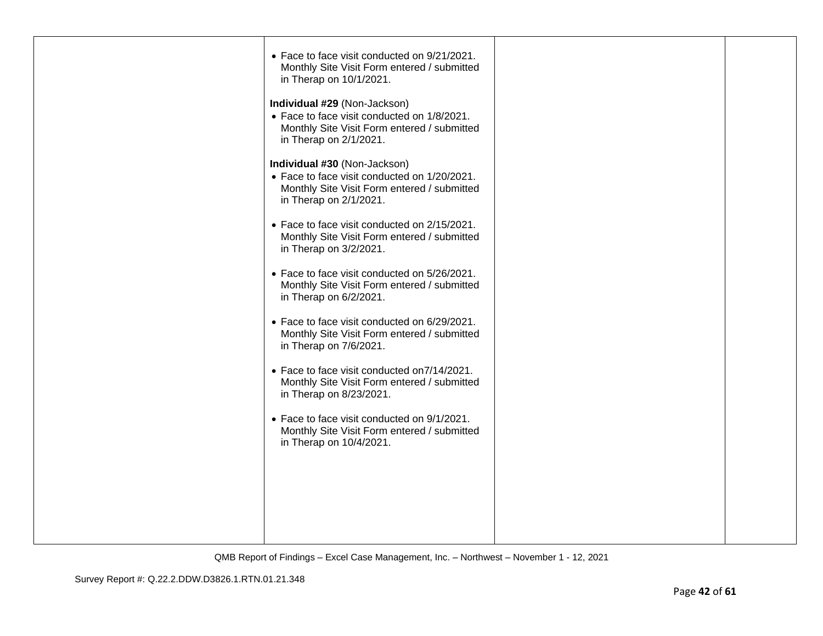| • Face to face visit conducted on 9/21/2021.<br>Monthly Site Visit Form entered / submitted<br>in Therap on 10/1/2021.                                |  |
|-------------------------------------------------------------------------------------------------------------------------------------------------------|--|
| Individual #29 (Non-Jackson)<br>• Face to face visit conducted on 1/8/2021.<br>Monthly Site Visit Form entered / submitted<br>in Therap on 2/1/2021.  |  |
| Individual #30 (Non-Jackson)<br>• Face to face visit conducted on 1/20/2021.<br>Monthly Site Visit Form entered / submitted<br>in Therap on 2/1/2021. |  |
| • Face to face visit conducted on 2/15/2021.<br>Monthly Site Visit Form entered / submitted<br>in Therap on 3/2/2021.                                 |  |
| • Face to face visit conducted on 5/26/2021.<br>Monthly Site Visit Form entered / submitted<br>in Therap on 6/2/2021.                                 |  |
| • Face to face visit conducted on 6/29/2021.<br>Monthly Site Visit Form entered / submitted<br>in Therap on 7/6/2021.                                 |  |
| • Face to face visit conducted on 7/14/2021.<br>Monthly Site Visit Form entered / submitted<br>in Therap on 8/23/2021.                                |  |
| • Face to face visit conducted on 9/1/2021.<br>Monthly Site Visit Form entered / submitted<br>in Therap on 10/4/2021.                                 |  |
|                                                                                                                                                       |  |
|                                                                                                                                                       |  |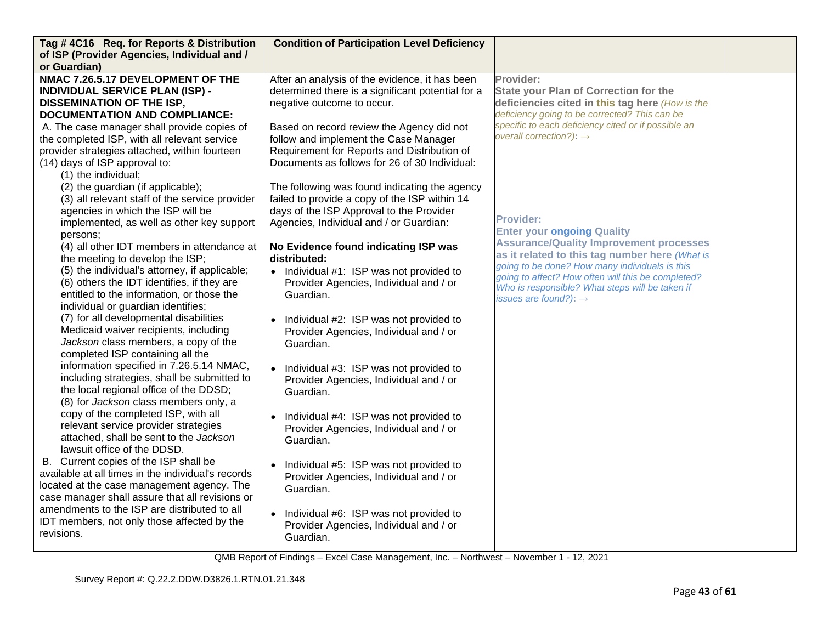| Tag #4C16 Req. for Reports & Distribution<br>of ISP (Provider Agencies, Individual and / | <b>Condition of Participation Level Deficiency</b>                               |                                                     |  |
|------------------------------------------------------------------------------------------|----------------------------------------------------------------------------------|-----------------------------------------------------|--|
| or Guardian)                                                                             |                                                                                  |                                                     |  |
| NMAC 7.26.5.17 DEVELOPMENT OF THE                                                        | After an analysis of the evidence, it has been                                   | Provider:                                           |  |
| <b>INDIVIDUAL SERVICE PLAN (ISP) -</b>                                                   | determined there is a significant potential for a                                | <b>State your Plan of Correction for the</b>        |  |
| <b>DISSEMINATION OF THE ISP,</b>                                                         | negative outcome to occur.                                                       | deficiencies cited in this tag here (How is the     |  |
| <b>DOCUMENTATION AND COMPLIANCE:</b>                                                     |                                                                                  | deficiency going to be corrected? This can be       |  |
| A. The case manager shall provide copies of                                              | Based on record review the Agency did not                                        | specific to each deficiency cited or if possible an |  |
| the completed ISP, with all relevant service                                             | follow and implement the Case Manager                                            | overall correction?): $\rightarrow$                 |  |
| provider strategies attached, within fourteen                                            | Requirement for Reports and Distribution of                                      |                                                     |  |
| (14) days of ISP approval to:                                                            | Documents as follows for 26 of 30 Individual:                                    |                                                     |  |
| (1) the individual;                                                                      |                                                                                  |                                                     |  |
| (2) the guardian (if applicable);                                                        | The following was found indicating the agency                                    |                                                     |  |
| (3) all relevant staff of the service provider                                           | failed to provide a copy of the ISP within 14                                    |                                                     |  |
| agencies in which the ISP will be                                                        | days of the ISP Approval to the Provider                                         | <b>Provider:</b>                                    |  |
| implemented, as well as other key support                                                | Agencies, Individual and / or Guardian:                                          | <b>Enter your ongoing Quality</b>                   |  |
| persons:                                                                                 |                                                                                  | <b>Assurance/Quality Improvement processes</b>      |  |
| (4) all other IDT members in attendance at                                               | No Evidence found indicating ISP was                                             | as it related to this tag number here (What is      |  |
| the meeting to develop the ISP;                                                          | distributed:                                                                     | going to be done? How many individuals is this      |  |
| (5) the individual's attorney, if applicable;                                            | • Individual #1: ISP was not provided to                                         | going to affect? How often will this be completed?  |  |
| (6) others the IDT identifies, if they are                                               | Provider Agencies, Individual and / or                                           | Who is responsible? What steps will be taken if     |  |
| entitled to the information, or those the<br>individual or guardian identifies;          | Guardian.                                                                        | issues are found?): $\rightarrow$                   |  |
| (7) for all developmental disabilities                                                   |                                                                                  |                                                     |  |
| Medicaid waiver recipients, including                                                    | Individual #2: ISP was not provided to<br>Provider Agencies, Individual and / or |                                                     |  |
| Jackson class members, a copy of the                                                     | Guardian.                                                                        |                                                     |  |
| completed ISP containing all the                                                         |                                                                                  |                                                     |  |
| information specified in 7.26.5.14 NMAC,                                                 | Individual #3: ISP was not provided to<br>$\bullet$                              |                                                     |  |
| including strategies, shall be submitted to                                              | Provider Agencies, Individual and / or                                           |                                                     |  |
| the local regional office of the DDSD;                                                   | Guardian.                                                                        |                                                     |  |
| (8) for Jackson class members only, a                                                    |                                                                                  |                                                     |  |
| copy of the completed ISP, with all                                                      | Individual #4: ISP was not provided to<br>$\bullet$                              |                                                     |  |
| relevant service provider strategies                                                     | Provider Agencies, Individual and / or                                           |                                                     |  |
| attached, shall be sent to the Jackson                                                   | Guardian.                                                                        |                                                     |  |
| lawsuit office of the DDSD.                                                              |                                                                                  |                                                     |  |
| B. Current copies of the ISP shall be                                                    | Individual #5: ISP was not provided to<br>$\bullet$                              |                                                     |  |
| available at all times in the individual's records                                       | Provider Agencies, Individual and / or                                           |                                                     |  |
| located at the case management agency. The                                               | Guardian.                                                                        |                                                     |  |
| case manager shall assure that all revisions or                                          |                                                                                  |                                                     |  |
| amendments to the ISP are distributed to all                                             | Individual #6: ISP was not provided to                                           |                                                     |  |
| IDT members, not only those affected by the<br>revisions.                                | Provider Agencies, Individual and / or                                           |                                                     |  |
|                                                                                          | Guardian.                                                                        |                                                     |  |
|                                                                                          |                                                                                  |                                                     |  |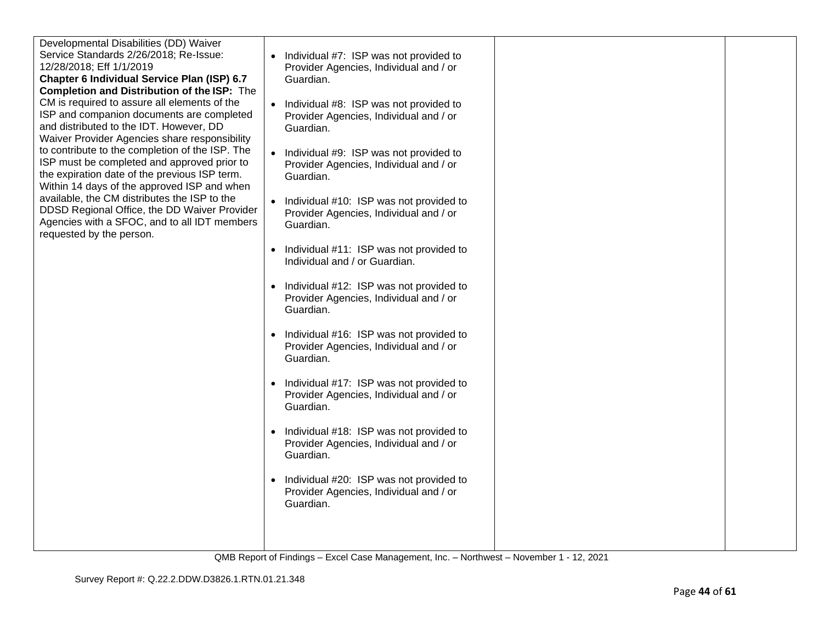| Developmental Disabilities (DD) Waiver<br>Service Standards 2/26/2018; Re-Issue:<br>12/28/2018; Eff 1/1/2019<br>Chapter 6 Individual Service Plan (ISP) 6.7<br>Completion and Distribution of the ISP: The<br>CM is required to assure all elements of the<br>ISP and companion documents are completed<br>and distributed to the IDT. However, DD<br>Waiver Provider Agencies share responsibility<br>to contribute to the completion of the ISP. The<br>ISP must be completed and approved prior to<br>the expiration date of the previous ISP term.<br>Within 14 days of the approved ISP and when<br>available, the CM distributes the ISP to the<br>DDSD Regional Office, the DD Waiver Provider<br>Agencies with a SFOC, and to all IDT members<br>requested by the person. | Individual #7: ISP was not provided to<br>Provider Agencies, Individual and / or<br>Guardian.<br>Individual #8: ISP was not provided to<br>Provider Agencies, Individual and / or<br>Guardian.<br>Individual #9: ISP was not provided to<br>Provider Agencies, Individual and / or<br>Guardian.<br>Individual #10: ISP was not provided to<br>Provider Agencies, Individual and / or<br>Guardian.<br>Individual #11: ISP was not provided to<br>Individual and / or Guardian.<br>Individual #12: ISP was not provided to<br>$\bullet$<br>Provider Agencies, Individual and / or<br>Guardian.<br>Individual #16: ISP was not provided to<br>$\bullet$<br>Provider Agencies, Individual and / or<br>Guardian.<br>Individual #17: ISP was not provided to<br>$\bullet$<br>Provider Agencies, Individual and / or<br>Guardian.<br>Individual #18: ISP was not provided to<br>Provider Agencies, Individual and / or<br>Guardian.<br>Individual #20: ISP was not provided to<br>$\bullet$<br>Provider Agencies, Individual and / or<br>Guardian. |  |
|-----------------------------------------------------------------------------------------------------------------------------------------------------------------------------------------------------------------------------------------------------------------------------------------------------------------------------------------------------------------------------------------------------------------------------------------------------------------------------------------------------------------------------------------------------------------------------------------------------------------------------------------------------------------------------------------------------------------------------------------------------------------------------------|---------------------------------------------------------------------------------------------------------------------------------------------------------------------------------------------------------------------------------------------------------------------------------------------------------------------------------------------------------------------------------------------------------------------------------------------------------------------------------------------------------------------------------------------------------------------------------------------------------------------------------------------------------------------------------------------------------------------------------------------------------------------------------------------------------------------------------------------------------------------------------------------------------------------------------------------------------------------------------------------------------------------------------------------|--|
|                                                                                                                                                                                                                                                                                                                                                                                                                                                                                                                                                                                                                                                                                                                                                                                   |                                                                                                                                                                                                                                                                                                                                                                                                                                                                                                                                                                                                                                                                                                                                                                                                                                                                                                                                                                                                                                             |  |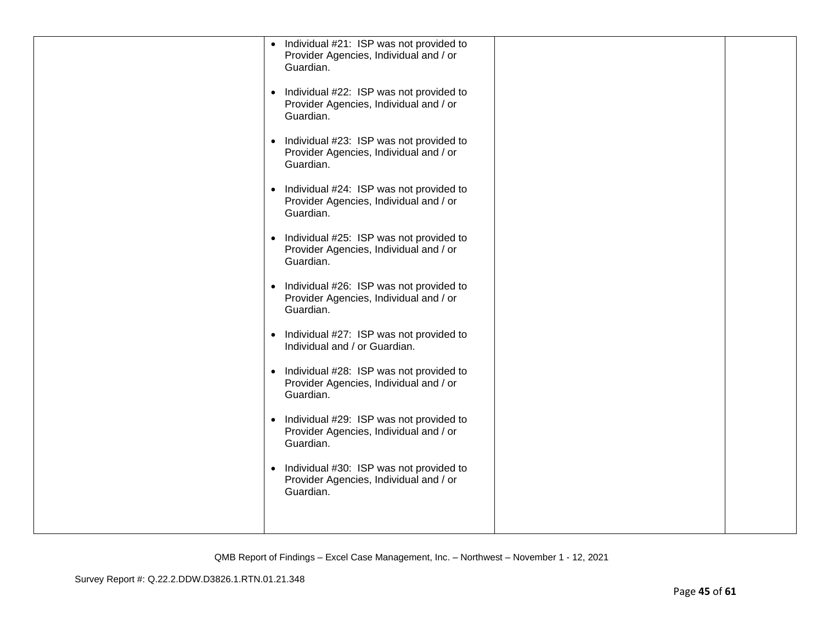| • Individual #21: ISP was not provided to<br>Provider Agencies, Individual and / or<br>Guardian.<br>• Individual #22: ISP was not provided to<br>Provider Agencies, Individual and / or<br>Guardian.<br>Individual #23: ISP was not provided to<br>$\bullet$<br>Provider Agencies, Individual and / or<br>Guardian.<br>Individual #24: ISP was not provided to<br>$\bullet$<br>Provider Agencies, Individual and / or<br>Guardian.<br>• Individual #25: ISP was not provided to<br>Provider Agencies, Individual and / or<br>Guardian.<br>Individual #26: ISP was not provided to<br>$\bullet$<br>Provider Agencies, Individual and / or<br>Guardian.<br>Individual #27: ISP was not provided to<br>$\bullet$<br>Individual and / or Guardian.<br>• Individual #28: ISP was not provided to<br>Provider Agencies, Individual and / or<br>Guardian.<br>Individual #29: ISP was not provided to<br>$\bullet$<br>Provider Agencies, Individual and / or<br>Guardian.<br>Individual #30: ISP was not provided to<br>$\bullet$<br>Provider Agencies, Individual and / or |  |
|---------------------------------------------------------------------------------------------------------------------------------------------------------------------------------------------------------------------------------------------------------------------------------------------------------------------------------------------------------------------------------------------------------------------------------------------------------------------------------------------------------------------------------------------------------------------------------------------------------------------------------------------------------------------------------------------------------------------------------------------------------------------------------------------------------------------------------------------------------------------------------------------------------------------------------------------------------------------------------------------------------------------------------------------------------------------|--|
| Guardian.                                                                                                                                                                                                                                                                                                                                                                                                                                                                                                                                                                                                                                                                                                                                                                                                                                                                                                                                                                                                                                                           |  |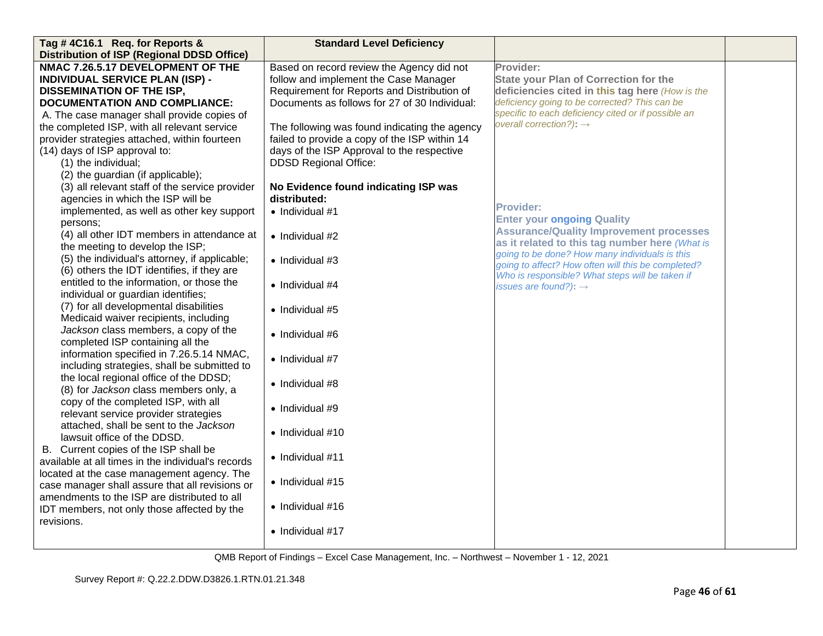| Tag #4C16.1 Req. for Reports &                                                  | <b>Standard Level Deficiency</b>              |                                                                                                  |  |
|---------------------------------------------------------------------------------|-----------------------------------------------|--------------------------------------------------------------------------------------------------|--|
| <b>Distribution of ISP (Regional DDSD Office)</b>                               |                                               |                                                                                                  |  |
| NMAC 7.26.5.17 DEVELOPMENT OF THE                                               | Based on record review the Agency did not     | Provider:                                                                                        |  |
| <b>INDIVIDUAL SERVICE PLAN (ISP) -</b>                                          | follow and implement the Case Manager         | <b>State your Plan of Correction for the</b>                                                     |  |
| <b>DISSEMINATION OF THE ISP,</b>                                                | Requirement for Reports and Distribution of   | deficiencies cited in this tag here (How is the                                                  |  |
| <b>DOCUMENTATION AND COMPLIANCE:</b>                                            | Documents as follows for 27 of 30 Individual: | deficiency going to be corrected? This can be                                                    |  |
| A. The case manager shall provide copies of                                     |                                               | specific to each deficiency cited or if possible an                                              |  |
| the completed ISP, with all relevant service                                    | The following was found indicating the agency | overall correction?): $\rightarrow$                                                              |  |
| provider strategies attached, within fourteen                                   | failed to provide a copy of the ISP within 14 |                                                                                                  |  |
| (14) days of ISP approval to:                                                   | days of the ISP Approval to the respective    |                                                                                                  |  |
| (1) the individual;                                                             | <b>DDSD Regional Office:</b>                  |                                                                                                  |  |
| (2) the guardian (if applicable);                                               |                                               |                                                                                                  |  |
| (3) all relevant staff of the service provider                                  | No Evidence found indicating ISP was          |                                                                                                  |  |
| agencies in which the ISP will be                                               | distributed:                                  |                                                                                                  |  |
| implemented, as well as other key support                                       | $\bullet$ Individual #1                       | <b>Provider:</b>                                                                                 |  |
| persons:                                                                        |                                               | <b>Enter your ongoing Quality</b>                                                                |  |
| (4) all other IDT members in attendance at                                      | • Individual #2                               | <b>Assurance/Quality Improvement processes</b>                                                   |  |
| the meeting to develop the ISP;                                                 |                                               | as it related to this tag number here (What is<br>going to be done? How many individuals is this |  |
| (5) the individual's attorney, if applicable;                                   | $\bullet$ Individual #3                       | going to affect? How often will this be completed?                                               |  |
| (6) others the IDT identifies, if they are                                      |                                               | Who is responsible? What steps will be taken if                                                  |  |
| entitled to the information, or those the                                       | $\bullet$ Individual #4                       | issues are found?): $\rightarrow$                                                                |  |
| individual or guardian identifies;                                              |                                               |                                                                                                  |  |
| (7) for all developmental disabilities                                          | $\bullet$ Individual #5                       |                                                                                                  |  |
| Medicaid waiver recipients, including                                           |                                               |                                                                                                  |  |
| Jackson class members, a copy of the                                            | • Individual #6                               |                                                                                                  |  |
| completed ISP containing all the                                                |                                               |                                                                                                  |  |
| information specified in 7.26.5.14 NMAC,                                        | $\bullet$ Individual #7                       |                                                                                                  |  |
| including strategies, shall be submitted to                                     |                                               |                                                                                                  |  |
| the local regional office of the DDSD;<br>(8) for Jackson class members only, a | • Individual #8                               |                                                                                                  |  |
| copy of the completed ISP, with all                                             |                                               |                                                                                                  |  |
| relevant service provider strategies                                            | • Individual #9                               |                                                                                                  |  |
| attached, shall be sent to the Jackson                                          |                                               |                                                                                                  |  |
| lawsuit office of the DDSD.                                                     | $\bullet$ Individual #10                      |                                                                                                  |  |
| B. Current copies of the ISP shall be                                           |                                               |                                                                                                  |  |
| available at all times in the individual's records                              | $\bullet$ Individual #11                      |                                                                                                  |  |
| located at the case management agency. The                                      |                                               |                                                                                                  |  |
| case manager shall assure that all revisions or                                 | $\bullet$ Individual #15                      |                                                                                                  |  |
| amendments to the ISP are distributed to all                                    |                                               |                                                                                                  |  |
| IDT members, not only those affected by the                                     | • Individual #16                              |                                                                                                  |  |
| revisions.                                                                      |                                               |                                                                                                  |  |
|                                                                                 | • Individual #17                              |                                                                                                  |  |
|                                                                                 |                                               |                                                                                                  |  |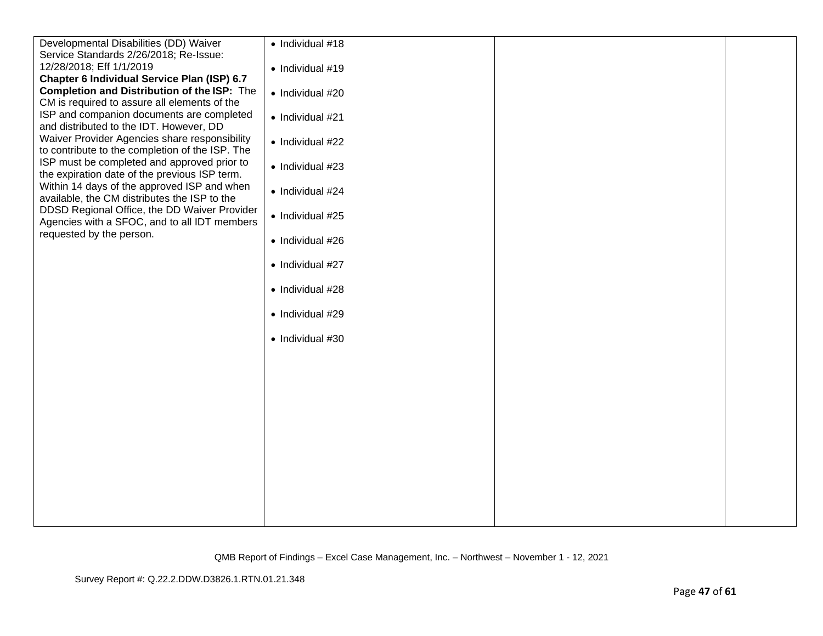| Developmental Disabilities (DD) Waiver             | $\bullet$ Individual #18 |  |
|----------------------------------------------------|--------------------------|--|
| Service Standards 2/26/2018; Re-Issue:             |                          |  |
| 12/28/2018; Eff 1/1/2019                           | $\bullet$ Individual #19 |  |
| Chapter 6 Individual Service Plan (ISP) 6.7        |                          |  |
| <b>Completion and Distribution of the ISP:</b> The | · Individual #20         |  |
| CM is required to assure all elements of the       |                          |  |
| ISP and companion documents are completed          | • Individual #21         |  |
| and distributed to the IDT. However, DD            |                          |  |
| Waiver Provider Agencies share responsibility      | • Individual #22         |  |
| to contribute to the completion of the ISP. The    |                          |  |
| ISP must be completed and approved prior to        | • Individual #23         |  |
| the expiration date of the previous ISP term.      |                          |  |
| Within 14 days of the approved ISP and when        | • Individual #24         |  |
| available, the CM distributes the ISP to the       |                          |  |
| DDSD Regional Office, the DD Waiver Provider       | • Individual #25         |  |
| Agencies with a SFOC, and to all IDT members       |                          |  |
| requested by the person.                           | • Individual #26         |  |
|                                                    |                          |  |
|                                                    | • Individual #27         |  |
|                                                    |                          |  |
|                                                    | • Individual #28         |  |
|                                                    |                          |  |
|                                                    | • Individual #29         |  |
|                                                    |                          |  |
|                                                    | • Individual #30         |  |
|                                                    |                          |  |
|                                                    |                          |  |
|                                                    |                          |  |
|                                                    |                          |  |
|                                                    |                          |  |
|                                                    |                          |  |
|                                                    |                          |  |
|                                                    |                          |  |
|                                                    |                          |  |
|                                                    |                          |  |
|                                                    |                          |  |
|                                                    |                          |  |
|                                                    |                          |  |
|                                                    |                          |  |
|                                                    |                          |  |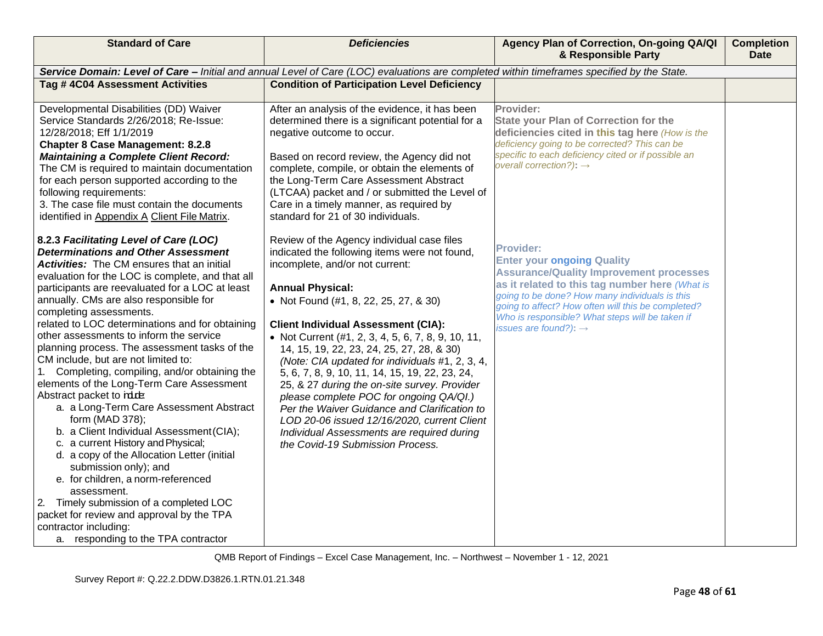| <b>Standard of Care</b>                                                                                                                                                                                                                                                                                                                                                                                                                                                                                                                                                                                                                                                                                                                                                                                                                                                       | <b>Deficiencies</b>                                                                                                                                                                                                                                                                                                                                                                                                                                                                                                                                                                                | Agency Plan of Correction, On-going QA/QI<br>& Responsible Party                                                                                                                                                                                                                                                                                                                                                         | <b>Completion</b><br><b>Date</b> |
|-------------------------------------------------------------------------------------------------------------------------------------------------------------------------------------------------------------------------------------------------------------------------------------------------------------------------------------------------------------------------------------------------------------------------------------------------------------------------------------------------------------------------------------------------------------------------------------------------------------------------------------------------------------------------------------------------------------------------------------------------------------------------------------------------------------------------------------------------------------------------------|----------------------------------------------------------------------------------------------------------------------------------------------------------------------------------------------------------------------------------------------------------------------------------------------------------------------------------------------------------------------------------------------------------------------------------------------------------------------------------------------------------------------------------------------------------------------------------------------------|--------------------------------------------------------------------------------------------------------------------------------------------------------------------------------------------------------------------------------------------------------------------------------------------------------------------------------------------------------------------------------------------------------------------------|----------------------------------|
|                                                                                                                                                                                                                                                                                                                                                                                                                                                                                                                                                                                                                                                                                                                                                                                                                                                                               | Service Domain: Level of Care - Initial and annual Level of Care (LOC) evaluations are completed within timeframes specified by the State.                                                                                                                                                                                                                                                                                                                                                                                                                                                         |                                                                                                                                                                                                                                                                                                                                                                                                                          |                                  |
| Tag #4C04 Assessment Activities                                                                                                                                                                                                                                                                                                                                                                                                                                                                                                                                                                                                                                                                                                                                                                                                                                               | <b>Condition of Participation Level Deficiency</b>                                                                                                                                                                                                                                                                                                                                                                                                                                                                                                                                                 |                                                                                                                                                                                                                                                                                                                                                                                                                          |                                  |
| Developmental Disabilities (DD) Waiver<br>Service Standards 2/26/2018; Re-Issue:<br>12/28/2018; Eff 1/1/2019<br><b>Chapter 8 Case Management: 8.2.8</b><br><b>Maintaining a Complete Client Record:</b><br>The CM is required to maintain documentation<br>for each person supported according to the<br>following requirements:<br>3. The case file must contain the documents<br>identified in Appendix A Client File Matrix.<br>8.2.3 Facilitating Level of Care (LOC)<br><b>Determinations and Other Assessment</b><br><b>Activities:</b> The CM ensures that an initial<br>evaluation for the LOC is complete, and that all                                                                                                                                                                                                                                              | After an analysis of the evidence, it has been<br>determined there is a significant potential for a<br>negative outcome to occur.<br>Based on record review, the Agency did not<br>complete, compile, or obtain the elements of<br>the Long-Term Care Assessment Abstract<br>(LTCAA) packet and / or submitted the Level of<br>Care in a timely manner, as required by<br>standard for 21 of 30 individuals.<br>Review of the Agency individual case files<br>indicated the following items were not found,<br>incomplete, and/or not current:                                                     | Provider:<br><b>State your Plan of Correction for the</b><br>deficiencies cited in this tag here (How is the<br>deficiency going to be corrected? This can be<br>specific to each deficiency cited or if possible an<br>overall correction?): $\rightarrow$<br><b>Provider:</b><br><b>Enter your ongoing Quality</b><br><b>Assurance/Quality Improvement processes</b><br>as it related to this tag number here (What is |                                  |
| participants are reevaluated for a LOC at least<br>annually. CMs are also responsible for<br>completing assessments.<br>related to LOC determinations and for obtaining<br>other assessments to inform the service<br>planning process. The assessment tasks of the<br>CM include, but are not limited to:<br>1. Completing, compiling, and/or obtaining the<br>elements of the Long-Term Care Assessment<br>Abstract packet to rd.re<br>a. a Long-Term Care Assessment Abstract<br>form (MAD 378);<br>b. a Client Individual Assessment (CIA);<br>c. a current History and Physical;<br>d. a copy of the Allocation Letter (initial<br>submission only); and<br>e. for children, a norm-referenced<br>assessment.<br>Timely submission of a completed LOC<br>2.<br>packet for review and approval by the TPA<br>contractor including:<br>a. responding to the TPA contractor | <b>Annual Physical:</b><br>• Not Found (#1, 8, 22, 25, 27, & 30)<br><b>Client Individual Assessment (CIA):</b><br>• Not Current (#1, 2, 3, 4, 5, 6, 7, 8, 9, 10, 11,<br>14, 15, 19, 22, 23, 24, 25, 27, 28, & 30)<br>(Note: CIA updated for individuals #1, 2, 3, 4,<br>5, 6, 7, 8, 9, 10, 11, 14, 15, 19, 22, 23, 24,<br>25, & 27 during the on-site survey. Provider<br>please complete POC for ongoing QA/QI.)<br>Per the Waiver Guidance and Clarification to<br>LOD 20-06 issued 12/16/2020, current Client<br>Individual Assessments are required during<br>the Covid-19 Submission Process. | going to be done? How many individuals is this<br>going to affect? How often will this be completed?<br>Who is responsible? What steps will be taken if<br>issues are found?): $\rightarrow$                                                                                                                                                                                                                             |                                  |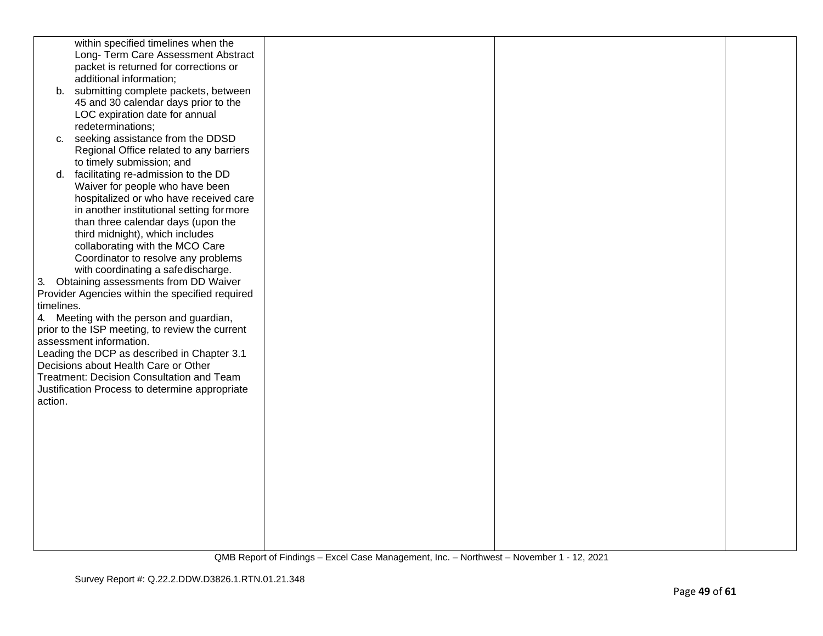|            | within specified timelines when the             |  |  |
|------------|-------------------------------------------------|--|--|
|            | Long- Term Care Assessment Abstract             |  |  |
|            | packet is returned for corrections or           |  |  |
|            |                                                 |  |  |
|            | additional information;                         |  |  |
|            | b. submitting complete packets, between         |  |  |
|            | 45 and 30 calendar days prior to the            |  |  |
|            | LOC expiration date for annual                  |  |  |
|            |                                                 |  |  |
|            | redeterminations;                               |  |  |
| c.         | seeking assistance from the DDSD                |  |  |
|            | Regional Office related to any barriers         |  |  |
|            | to timely submission; and                       |  |  |
|            | d. facilitating re-admission to the DD          |  |  |
|            | Waiver for people who have been                 |  |  |
|            |                                                 |  |  |
|            | hospitalized or who have received care          |  |  |
|            | in another institutional setting for more       |  |  |
|            | than three calendar days (upon the              |  |  |
|            | third midnight), which includes                 |  |  |
|            | collaborating with the MCO Care                 |  |  |
|            | Coordinator to resolve any problems             |  |  |
|            |                                                 |  |  |
|            | with coordinating a safedischarge.              |  |  |
|            | 3. Obtaining assessments from DD Waiver         |  |  |
|            | Provider Agencies within the specified required |  |  |
| timelines. |                                                 |  |  |
|            | 4. Meeting with the person and guardian,        |  |  |
|            | prior to the ISP meeting, to review the current |  |  |
|            | assessment information.                         |  |  |
|            |                                                 |  |  |
|            | Leading the DCP as described in Chapter 3.1     |  |  |
|            | Decisions about Health Care or Other            |  |  |
|            | Treatment: Decision Consultation and Team       |  |  |
|            | Justification Process to determine appropriate  |  |  |
| action.    |                                                 |  |  |
|            |                                                 |  |  |
|            |                                                 |  |  |
|            |                                                 |  |  |
|            |                                                 |  |  |
|            |                                                 |  |  |
|            |                                                 |  |  |
|            |                                                 |  |  |
|            |                                                 |  |  |
|            |                                                 |  |  |
|            |                                                 |  |  |
|            |                                                 |  |  |
|            |                                                 |  |  |
|            |                                                 |  |  |
|            |                                                 |  |  |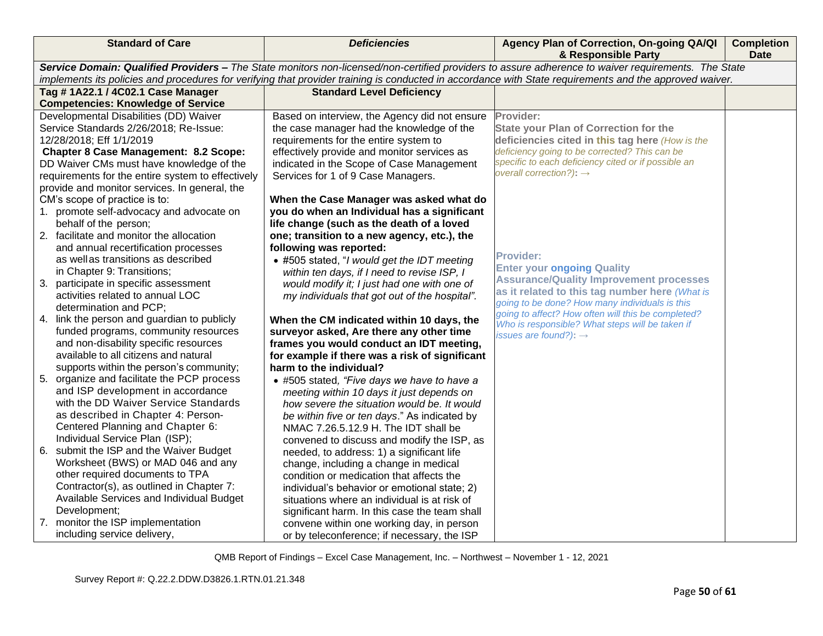| <b>Standard of Care</b>                                                               | <b>Deficiencies</b>                                                                                                                                 | Agency Plan of Correction, On-going QA/QI<br>& Responsible Party                                                                                        | <b>Completion</b><br><b>Date</b> |  |
|---------------------------------------------------------------------------------------|-----------------------------------------------------------------------------------------------------------------------------------------------------|---------------------------------------------------------------------------------------------------------------------------------------------------------|----------------------------------|--|
|                                                                                       | Service Domain: Qualified Providers - The State monitors non-licensed/non-certified providers to assure adherence to waiver requirements. The State |                                                                                                                                                         |                                  |  |
|                                                                                       |                                                                                                                                                     | implements its policies and procedures for verifying that provider training is conducted in accordance with State requirements and the approved waiver. |                                  |  |
| Tag # 1A22.1 / 4C02.1 Case Manager<br><b>Competencies: Knowledge of Service</b>       | <b>Standard Level Deficiency</b>                                                                                                                    |                                                                                                                                                         |                                  |  |
| Developmental Disabilities (DD) Waiver                                                | Based on interview, the Agency did not ensure                                                                                                       | Provider:                                                                                                                                               |                                  |  |
| Service Standards 2/26/2018; Re-Issue:                                                | the case manager had the knowledge of the                                                                                                           | <b>State your Plan of Correction for the</b>                                                                                                            |                                  |  |
| 12/28/2018; Eff 1/1/2019                                                              | requirements for the entire system to                                                                                                               | deficiencies cited in this tag here (How is the                                                                                                         |                                  |  |
| <b>Chapter 8 Case Management: 8.2 Scope:</b>                                          | effectively provide and monitor services as                                                                                                         | deficiency going to be corrected? This can be                                                                                                           |                                  |  |
| DD Waiver CMs must have knowledge of the                                              | indicated in the Scope of Case Management                                                                                                           | specific to each deficiency cited or if possible an                                                                                                     |                                  |  |
| requirements for the entire system to effectively                                     | Services for 1 of 9 Case Managers.                                                                                                                  | overall correction?): $\rightarrow$                                                                                                                     |                                  |  |
| provide and monitor services. In general, the                                         |                                                                                                                                                     |                                                                                                                                                         |                                  |  |
| CM's scope of practice is to:                                                         | When the Case Manager was asked what do                                                                                                             |                                                                                                                                                         |                                  |  |
| 1. promote self-advocacy and advocate on                                              | you do when an Individual has a significant                                                                                                         |                                                                                                                                                         |                                  |  |
| behalf of the person;                                                                 | life change (such as the death of a loved                                                                                                           |                                                                                                                                                         |                                  |  |
| 2. facilitate and monitor the allocation                                              | one; transition to a new agency, etc.), the                                                                                                         |                                                                                                                                                         |                                  |  |
| and annual recertification processes                                                  | following was reported:                                                                                                                             |                                                                                                                                                         |                                  |  |
| as well as transitions as described                                                   | • #505 stated, "I would get the IDT meeting                                                                                                         | <b>Provider:</b>                                                                                                                                        |                                  |  |
| in Chapter 9: Transitions;                                                            | within ten days, if I need to revise ISP, I                                                                                                         | <b>Enter your ongoing Quality</b>                                                                                                                       |                                  |  |
| 3. participate in specific assessment                                                 | would modify it; I just had one with one of                                                                                                         | <b>Assurance/Quality Improvement processes</b><br>as it related to this tag number here (What is                                                        |                                  |  |
| activities related to annual LOC                                                      | my individuals that got out of the hospital".                                                                                                       | going to be done? How many individuals is this                                                                                                          |                                  |  |
| determination and PCP;                                                                |                                                                                                                                                     | going to affect? How often will this be completed?                                                                                                      |                                  |  |
| 4. link the person and guardian to publicly                                           | When the CM indicated within 10 days, the                                                                                                           | Who is responsible? What steps will be taken if                                                                                                         |                                  |  |
| funded programs, community resources                                                  | surveyor asked, Are there any other time                                                                                                            | issues are found?): $\rightarrow$                                                                                                                       |                                  |  |
| and non-disability specific resources                                                 | frames you would conduct an IDT meeting,                                                                                                            |                                                                                                                                                         |                                  |  |
| available to all citizens and natural                                                 | for example if there was a risk of significant<br>harm to the individual?                                                                           |                                                                                                                                                         |                                  |  |
| supports within the person's community;<br>5. organize and facilitate the PCP process |                                                                                                                                                     |                                                                                                                                                         |                                  |  |
| and ISP development in accordance                                                     | • #505 stated, "Five days we have to have a                                                                                                         |                                                                                                                                                         |                                  |  |
| with the DD Waiver Service Standards                                                  | meeting within 10 days it just depends on<br>how severe the situation would be. It would                                                            |                                                                                                                                                         |                                  |  |
| as described in Chapter 4: Person-                                                    | be within five or ten days." As indicated by                                                                                                        |                                                                                                                                                         |                                  |  |
| Centered Planning and Chapter 6:                                                      | NMAC 7.26.5.12.9 H. The IDT shall be                                                                                                                |                                                                                                                                                         |                                  |  |
| Individual Service Plan (ISP);                                                        | convened to discuss and modify the ISP, as                                                                                                          |                                                                                                                                                         |                                  |  |
| 6. submit the ISP and the Waiver Budget                                               | needed, to address: 1) a significant life                                                                                                           |                                                                                                                                                         |                                  |  |
| Worksheet (BWS) or MAD 046 and any                                                    | change, including a change in medical                                                                                                               |                                                                                                                                                         |                                  |  |
| other required documents to TPA                                                       | condition or medication that affects the                                                                                                            |                                                                                                                                                         |                                  |  |
| Contractor(s), as outlined in Chapter 7:                                              | individual's behavior or emotional state; 2)                                                                                                        |                                                                                                                                                         |                                  |  |
| Available Services and Individual Budget                                              | situations where an individual is at risk of                                                                                                        |                                                                                                                                                         |                                  |  |
| Development;                                                                          | significant harm. In this case the team shall                                                                                                       |                                                                                                                                                         |                                  |  |
| 7. monitor the ISP implementation                                                     | convene within one working day, in person                                                                                                           |                                                                                                                                                         |                                  |  |
| including service delivery,                                                           | or by teleconference; if necessary, the ISP                                                                                                         |                                                                                                                                                         |                                  |  |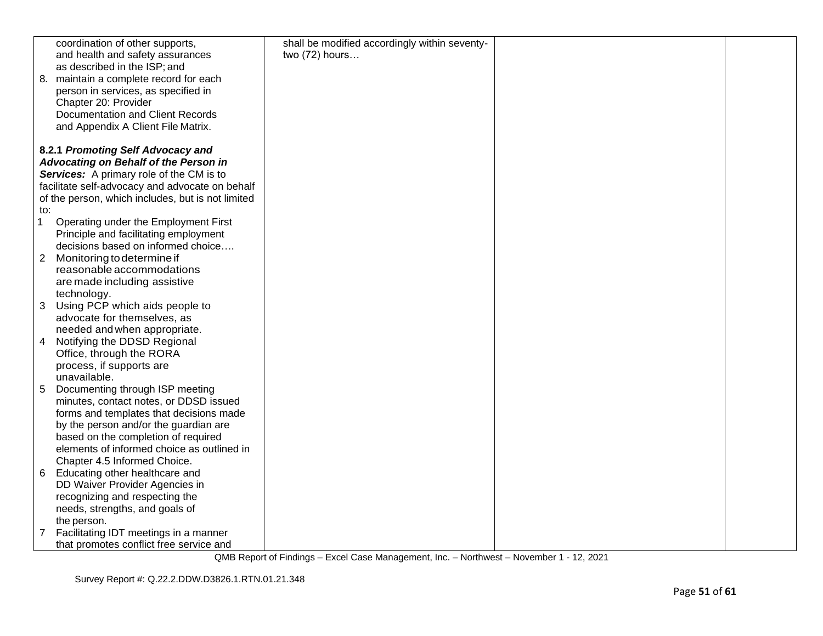|                | coordination of other supports,                   | shall be modified accordingly within seventy- |  |
|----------------|---------------------------------------------------|-----------------------------------------------|--|
|                | and health and safety assurances                  | two (72) hours                                |  |
|                | as described in the ISP; and                      |                                               |  |
|                | 8. maintain a complete record for each            |                                               |  |
|                | person in services, as specified in               |                                               |  |
|                | Chapter 20: Provider                              |                                               |  |
|                | <b>Documentation and Client Records</b>           |                                               |  |
|                | and Appendix A Client File Matrix.                |                                               |  |
|                |                                                   |                                               |  |
|                | 8.2.1 Promoting Self Advocacy and                 |                                               |  |
|                | Advocating on Behalf of the Person in             |                                               |  |
|                | Services: A primary role of the CM is to          |                                               |  |
|                | facilitate self-advocacy and advocate on behalf   |                                               |  |
|                | of the person, which includes, but is not limited |                                               |  |
| to:            |                                                   |                                               |  |
| 1              | Operating under the Employment First              |                                               |  |
|                | Principle and facilitating employment             |                                               |  |
|                | decisions based on informed choice                |                                               |  |
| $\overline{2}$ | Monitoring to determine if                        |                                               |  |
|                |                                                   |                                               |  |
|                | reasonable accommodations                         |                                               |  |
|                | are made including assistive                      |                                               |  |
|                | technology.                                       |                                               |  |
| 3              | Using PCP which aids people to                    |                                               |  |
|                | advocate for themselves, as                       |                                               |  |
|                | needed and when appropriate.                      |                                               |  |
| 4              | Notifying the DDSD Regional                       |                                               |  |
|                | Office, through the RORA                          |                                               |  |
|                | process, if supports are                          |                                               |  |
|                | unavailable.                                      |                                               |  |
| 5              | Documenting through ISP meeting                   |                                               |  |
|                | minutes, contact notes, or DDSD issued            |                                               |  |
|                | forms and templates that decisions made           |                                               |  |
|                | by the person and/or the guardian are             |                                               |  |
|                | based on the completion of required               |                                               |  |
|                | elements of informed choice as outlined in        |                                               |  |
|                | Chapter 4.5 Informed Choice.                      |                                               |  |
| 6              | Educating other healthcare and                    |                                               |  |
|                | DD Waiver Provider Agencies in                    |                                               |  |
|                | recognizing and respecting the                    |                                               |  |
|                | needs, strengths, and goals of                    |                                               |  |
|                | the person.                                       |                                               |  |
| 7              | Facilitating IDT meetings in a manner             |                                               |  |
|                | that promotes conflict free service and           |                                               |  |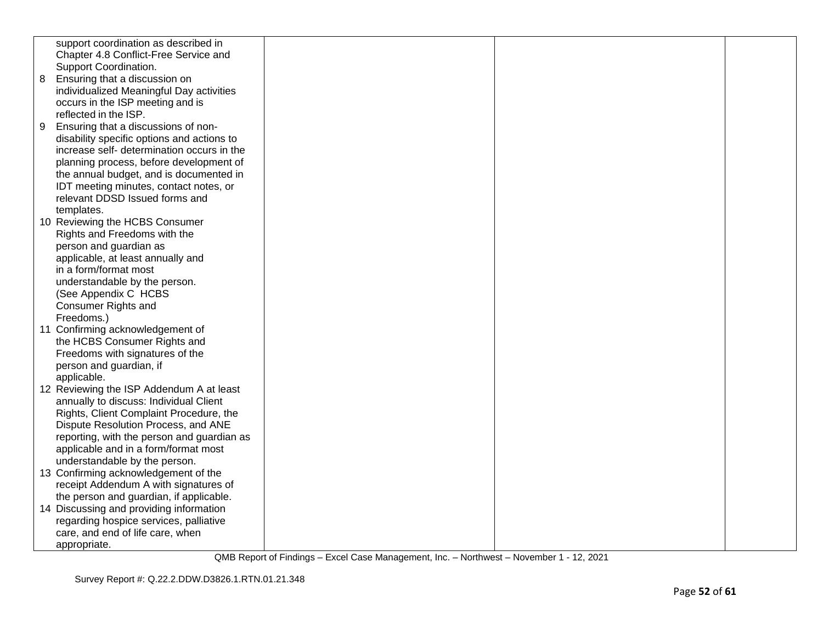|   | support coordination as described in       |  |  |
|---|--------------------------------------------|--|--|
|   | Chapter 4.8 Conflict-Free Service and      |  |  |
|   | Support Coordination.                      |  |  |
| 8 | Ensuring that a discussion on              |  |  |
|   | individualized Meaningful Day activities   |  |  |
|   | occurs in the ISP meeting and is           |  |  |
|   | reflected in the ISP.                      |  |  |
| 9 | Ensuring that a discussions of non-        |  |  |
|   | disability specific options and actions to |  |  |
|   | increase self- determination occurs in the |  |  |
|   | planning process, before development of    |  |  |
|   | the annual budget, and is documented in    |  |  |
|   | IDT meeting minutes, contact notes, or     |  |  |
|   | relevant DDSD Issued forms and             |  |  |
|   | templates.                                 |  |  |
|   | 10 Reviewing the HCBS Consumer             |  |  |
|   | Rights and Freedoms with the               |  |  |
|   | person and guardian as                     |  |  |
|   | applicable, at least annually and          |  |  |
|   | in a form/format most                      |  |  |
|   | understandable by the person.              |  |  |
|   | (See Appendix C HCBS                       |  |  |
|   | Consumer Rights and                        |  |  |
|   | Freedoms.)                                 |  |  |
|   | 11 Confirming acknowledgement of           |  |  |
|   | the HCBS Consumer Rights and               |  |  |
|   | Freedoms with signatures of the            |  |  |
|   | person and guardian, if                    |  |  |
|   | applicable.                                |  |  |
|   | 12 Reviewing the ISP Addendum A at least   |  |  |
|   | annually to discuss: Individual Client     |  |  |
|   | Rights, Client Complaint Procedure, the    |  |  |
|   | Dispute Resolution Process, and ANE        |  |  |
|   | reporting, with the person and guardian as |  |  |
|   | applicable and in a form/format most       |  |  |
|   | understandable by the person.              |  |  |
|   | 13 Confirming acknowledgement of the       |  |  |
|   | receipt Addendum A with signatures of      |  |  |
|   | the person and guardian, if applicable.    |  |  |
|   | 14 Discussing and providing information    |  |  |
|   | regarding hospice services, palliative     |  |  |
|   | care, and end of life care, when           |  |  |
|   | appropriate.                               |  |  |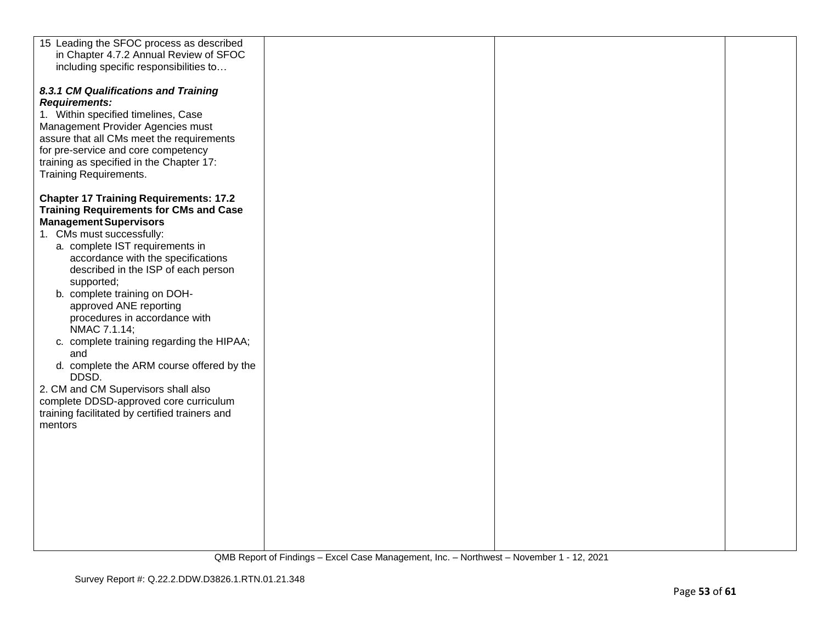| 15 Leading the SFOC process as described       |  |  |
|------------------------------------------------|--|--|
| in Chapter 4.7.2 Annual Review of SFOC         |  |  |
| including specific responsibilities to         |  |  |
|                                                |  |  |
| 8.3.1 CM Qualifications and Training           |  |  |
| <b>Requirements:</b>                           |  |  |
|                                                |  |  |
| 1. Within specified timelines, Case            |  |  |
| Management Provider Agencies must              |  |  |
| assure that all CMs meet the requirements      |  |  |
| for pre-service and core competency            |  |  |
| training as specified in the Chapter 17:       |  |  |
| <b>Training Requirements.</b>                  |  |  |
|                                                |  |  |
| <b>Chapter 17 Training Requirements: 17.2</b>  |  |  |
| <b>Training Requirements for CMs and Case</b>  |  |  |
| <b>Management Supervisors</b>                  |  |  |
| 1. CMs must successfully:                      |  |  |
|                                                |  |  |
| a. complete IST requirements in                |  |  |
| accordance with the specifications             |  |  |
| described in the ISP of each person            |  |  |
| supported;                                     |  |  |
| b. complete training on DOH-                   |  |  |
| approved ANE reporting                         |  |  |
| procedures in accordance with                  |  |  |
| NMAC 7.1.14;                                   |  |  |
| c. complete training regarding the HIPAA;      |  |  |
| and                                            |  |  |
| d. complete the ARM course offered by the      |  |  |
| DDSD.                                          |  |  |
|                                                |  |  |
| 2. CM and CM Supervisors shall also            |  |  |
| complete DDSD-approved core curriculum         |  |  |
| training facilitated by certified trainers and |  |  |
| mentors                                        |  |  |
|                                                |  |  |
|                                                |  |  |
|                                                |  |  |
|                                                |  |  |
|                                                |  |  |
|                                                |  |  |
|                                                |  |  |
|                                                |  |  |
|                                                |  |  |
|                                                |  |  |
|                                                |  |  |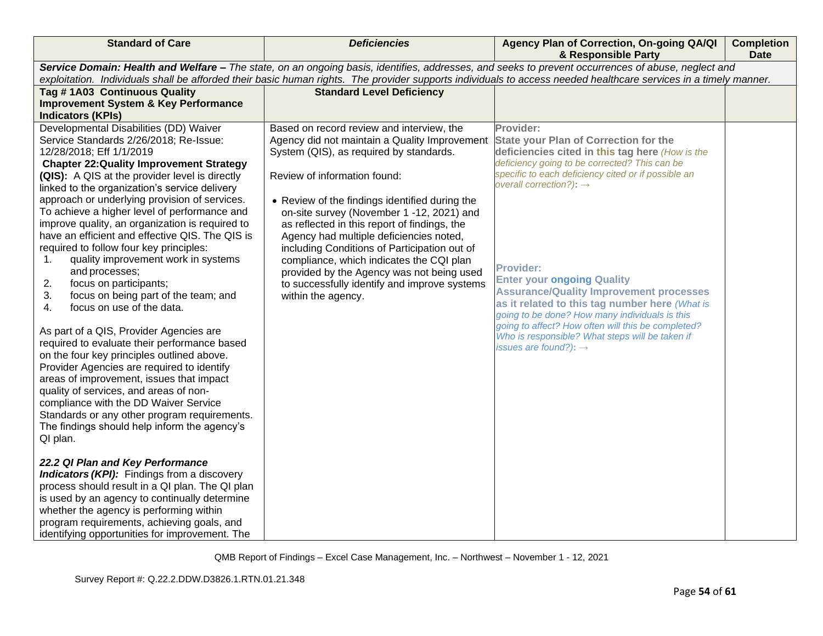| <b>Standard of Care</b>                                                                                                                                                                                                                                                                                                                                                                                                                                                                                                                                                                                                                                                                                                                                                                                                                                                                                                                                                                                                                                                                                                                                                                                                                                                                                                                                                                                                       | <b>Deficiencies</b>                                                                                                                                                                                                                                                                                                                                                                                                                                                                                                                                                            | Agency Plan of Correction, On-going QA/QI<br>& Responsible Party                                                                                                                                                                                                                                                                                                                                                                                                                                                                                                                                                         | <b>Completion</b><br><b>Date</b> |
|-------------------------------------------------------------------------------------------------------------------------------------------------------------------------------------------------------------------------------------------------------------------------------------------------------------------------------------------------------------------------------------------------------------------------------------------------------------------------------------------------------------------------------------------------------------------------------------------------------------------------------------------------------------------------------------------------------------------------------------------------------------------------------------------------------------------------------------------------------------------------------------------------------------------------------------------------------------------------------------------------------------------------------------------------------------------------------------------------------------------------------------------------------------------------------------------------------------------------------------------------------------------------------------------------------------------------------------------------------------------------------------------------------------------------------|--------------------------------------------------------------------------------------------------------------------------------------------------------------------------------------------------------------------------------------------------------------------------------------------------------------------------------------------------------------------------------------------------------------------------------------------------------------------------------------------------------------------------------------------------------------------------------|--------------------------------------------------------------------------------------------------------------------------------------------------------------------------------------------------------------------------------------------------------------------------------------------------------------------------------------------------------------------------------------------------------------------------------------------------------------------------------------------------------------------------------------------------------------------------------------------------------------------------|----------------------------------|
| Service Domain: Health and Welfare - The state, on an ongoing basis, identifies, addresses, and seeks to prevent occurrences of abuse, neglect and                                                                                                                                                                                                                                                                                                                                                                                                                                                                                                                                                                                                                                                                                                                                                                                                                                                                                                                                                                                                                                                                                                                                                                                                                                                                            |                                                                                                                                                                                                                                                                                                                                                                                                                                                                                                                                                                                |                                                                                                                                                                                                                                                                                                                                                                                                                                                                                                                                                                                                                          |                                  |
|                                                                                                                                                                                                                                                                                                                                                                                                                                                                                                                                                                                                                                                                                                                                                                                                                                                                                                                                                                                                                                                                                                                                                                                                                                                                                                                                                                                                                               |                                                                                                                                                                                                                                                                                                                                                                                                                                                                                                                                                                                | exploitation. Individuals shall be afforded their basic human rights. The provider supports individuals to access needed healthcare services in a timely manner.                                                                                                                                                                                                                                                                                                                                                                                                                                                         |                                  |
| Tag #1A03 Continuous Quality<br><b>Improvement System &amp; Key Performance</b>                                                                                                                                                                                                                                                                                                                                                                                                                                                                                                                                                                                                                                                                                                                                                                                                                                                                                                                                                                                                                                                                                                                                                                                                                                                                                                                                               | <b>Standard Level Deficiency</b>                                                                                                                                                                                                                                                                                                                                                                                                                                                                                                                                               |                                                                                                                                                                                                                                                                                                                                                                                                                                                                                                                                                                                                                          |                                  |
| <b>Indicators (KPIs)</b>                                                                                                                                                                                                                                                                                                                                                                                                                                                                                                                                                                                                                                                                                                                                                                                                                                                                                                                                                                                                                                                                                                                                                                                                                                                                                                                                                                                                      |                                                                                                                                                                                                                                                                                                                                                                                                                                                                                                                                                                                |                                                                                                                                                                                                                                                                                                                                                                                                                                                                                                                                                                                                                          |                                  |
| Developmental Disabilities (DD) Waiver<br>Service Standards 2/26/2018; Re-Issue:<br>12/28/2018; Eff 1/1/2019<br><b>Chapter 22: Quality Improvement Strategy</b><br>(QIS): A QIS at the provider level is directly<br>linked to the organization's service delivery<br>approach or underlying provision of services.<br>To achieve a higher level of performance and<br>improve quality, an organization is required to<br>have an efficient and effective QIS. The QIS is<br>required to follow four key principles:<br>quality improvement work in systems<br>1.<br>and processes;<br>focus on participants;<br>2.<br>3.<br>focus on being part of the team; and<br>focus on use of the data.<br>4.<br>As part of a QIS, Provider Agencies are<br>required to evaluate their performance based<br>on the four key principles outlined above.<br>Provider Agencies are required to identify<br>areas of improvement, issues that impact<br>quality of services, and areas of non-<br>compliance with the DD Waiver Service<br>Standards or any other program requirements.<br>The findings should help inform the agency's<br>QI plan.<br>22.2 QI Plan and Key Performance<br><b>Indicators (KPI):</b> Findings from a discovery<br>process should result in a QI plan. The QI plan<br>is used by an agency to continually determine<br>whether the agency is performing within<br>program requirements, achieving goals, and | Based on record review and interview, the<br>Agency did not maintain a Quality Improvement<br>System (QIS), as required by standards.<br>Review of information found:<br>• Review of the findings identified during the<br>on-site survey (November 1 -12, 2021) and<br>as reflected in this report of findings, the<br>Agency had multiple deficiencies noted,<br>including Conditions of Participation out of<br>compliance, which indicates the CQI plan<br>provided by the Agency was not being used<br>to successfully identify and improve systems<br>within the agency. | Provider:<br><b>State your Plan of Correction for the</b><br>deficiencies cited in this tag here (How is the<br>deficiency going to be corrected? This can be<br>specific to each deficiency cited or if possible an<br>overall correction?): $\rightarrow$<br><b>Provider:</b><br><b>Enter your ongoing Quality</b><br><b>Assurance/Quality Improvement processes</b><br>as it related to this tag number here (What is<br>going to be done? How many individuals is this<br>going to affect? How often will this be completed?<br>Who is responsible? What steps will be taken if<br>issues are found?): $\rightarrow$ |                                  |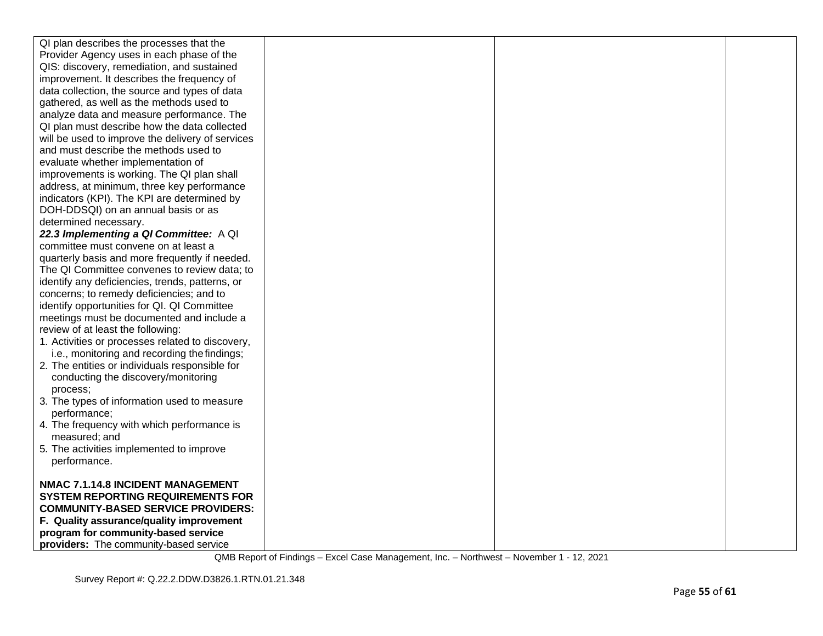| QI plan describes the processes that the                                                         |  |  |
|--------------------------------------------------------------------------------------------------|--|--|
| Provider Agency uses in each phase of the                                                        |  |  |
| QIS: discovery, remediation, and sustained                                                       |  |  |
| improvement. It describes the frequency of                                                       |  |  |
| data collection, the source and types of data                                                    |  |  |
| gathered, as well as the methods used to                                                         |  |  |
| analyze data and measure performance. The                                                        |  |  |
| QI plan must describe how the data collected                                                     |  |  |
| will be used to improve the delivery of services                                                 |  |  |
| and must describe the methods used to                                                            |  |  |
| evaluate whether implementation of                                                               |  |  |
| improvements is working. The QI plan shall                                                       |  |  |
| address, at minimum, three key performance                                                       |  |  |
| indicators (KPI). The KPI are determined by                                                      |  |  |
| DOH-DDSQI) on an annual basis or as                                                              |  |  |
| determined necessary.                                                                            |  |  |
| 22.3 Implementing a QI Committee: A QI                                                           |  |  |
| committee must convene on at least a                                                             |  |  |
| quarterly basis and more frequently if needed.                                                   |  |  |
| The QI Committee convenes to review data; to                                                     |  |  |
| identify any deficiencies, trends, patterns, or                                                  |  |  |
| concerns; to remedy deficiencies; and to                                                         |  |  |
| identify opportunities for QI. QI Committee                                                      |  |  |
| meetings must be documented and include a                                                        |  |  |
| review of at least the following:                                                                |  |  |
| 1. Activities or processes related to discovery,<br>i.e., monitoring and recording the findings; |  |  |
| 2. The entities or individuals responsible for                                                   |  |  |
| conducting the discovery/monitoring                                                              |  |  |
| process:                                                                                         |  |  |
| 3. The types of information used to measure                                                      |  |  |
| performance;                                                                                     |  |  |
| 4. The frequency with which performance is                                                       |  |  |
| measured; and                                                                                    |  |  |
| 5. The activities implemented to improve                                                         |  |  |
| performance.                                                                                     |  |  |
|                                                                                                  |  |  |
| NMAC 7.1.14.8 INCIDENT MANAGEMENT                                                                |  |  |
| <b>SYSTEM REPORTING REQUIREMENTS FOR</b>                                                         |  |  |
| <b>COMMUNITY-BASED SERVICE PROVIDERS:</b>                                                        |  |  |
| F. Quality assurance/quality improvement                                                         |  |  |
| program for community-based service                                                              |  |  |
| providers: The community-based service                                                           |  |  |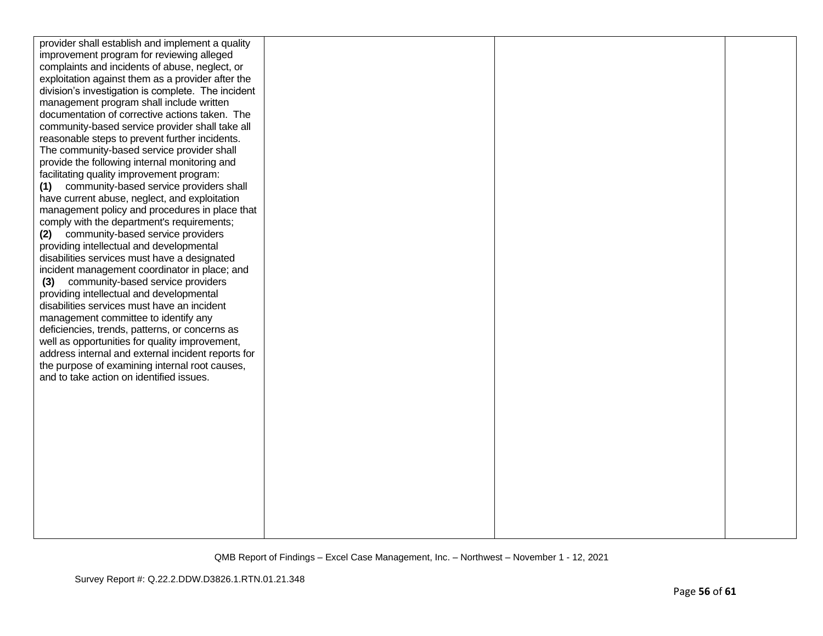| provider shall establish and implement a quality   |  |  |
|----------------------------------------------------|--|--|
| improvement program for reviewing alleged          |  |  |
| complaints and incidents of abuse, neglect, or     |  |  |
| exploitation against them as a provider after the  |  |  |
| division's investigation is complete. The incident |  |  |
| management program shall include written           |  |  |
| documentation of corrective actions taken. The     |  |  |
| community-based service provider shall take all    |  |  |
| reasonable steps to prevent further incidents.     |  |  |
| The community-based service provider shall         |  |  |
| provide the following internal monitoring and      |  |  |
| facilitating quality improvement program:          |  |  |
| community-based service providers shall<br>(1)     |  |  |
| have current abuse, neglect, and exploitation      |  |  |
| management policy and procedures in place that     |  |  |
| comply with the department's requirements;         |  |  |
| (2) community-based service providers              |  |  |
| providing intellectual and developmental           |  |  |
| disabilities services must have a designated       |  |  |
| incident management coordinator in place; and      |  |  |
| community-based service providers<br>(3)           |  |  |
| providing intellectual and developmental           |  |  |
| disabilities services must have an incident        |  |  |
| management committee to identify any               |  |  |
| deficiencies, trends, patterns, or concerns as     |  |  |
| well as opportunities for quality improvement,     |  |  |
| address internal and external incident reports for |  |  |
| the purpose of examining internal root causes,     |  |  |
| and to take action on identified issues.           |  |  |
|                                                    |  |  |
|                                                    |  |  |
|                                                    |  |  |
|                                                    |  |  |
|                                                    |  |  |
|                                                    |  |  |
|                                                    |  |  |
|                                                    |  |  |
|                                                    |  |  |
|                                                    |  |  |
|                                                    |  |  |
|                                                    |  |  |
|                                                    |  |  |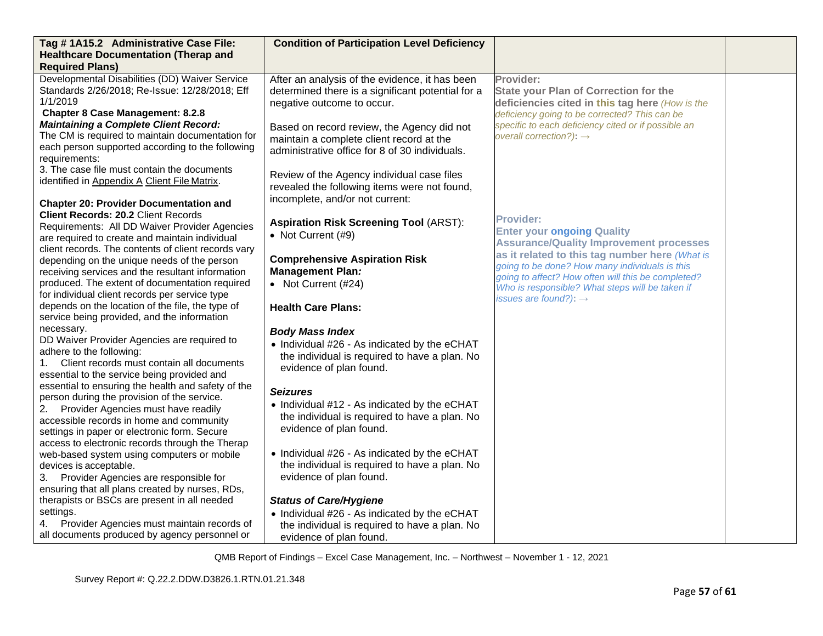| Tag #1A15.2 Administrative Case File:                                                              | <b>Condition of Participation Level Deficiency</b>                     |                                                                                            |  |
|----------------------------------------------------------------------------------------------------|------------------------------------------------------------------------|--------------------------------------------------------------------------------------------|--|
| <b>Healthcare Documentation (Therap and</b>                                                        |                                                                        |                                                                                            |  |
| <b>Required Plans)</b>                                                                             |                                                                        |                                                                                            |  |
| Developmental Disabilities (DD) Waiver Service                                                     | After an analysis of the evidence, it has been                         | Provider:                                                                                  |  |
| Standards 2/26/2018; Re-Issue: 12/28/2018; Eff                                                     | determined there is a significant potential for a                      | <b>State your Plan of Correction for the</b>                                               |  |
| 1/1/2019<br><b>Chapter 8 Case Management: 8.2.8</b>                                                | negative outcome to occur.                                             | deficiencies cited in this tag here (How is the                                            |  |
| <b>Maintaining a Complete Client Record:</b>                                                       |                                                                        | deficiency going to be corrected? This can be                                              |  |
| The CM is required to maintain documentation for                                                   | Based on record review, the Agency did not                             | specific to each deficiency cited or if possible an<br>overall correction?): $\rightarrow$ |  |
| each person supported according to the following                                                   | maintain a complete client record at the                               |                                                                                            |  |
| requirements:                                                                                      | administrative office for 8 of 30 individuals.                         |                                                                                            |  |
| 3. The case file must contain the documents                                                        |                                                                        |                                                                                            |  |
| identified in Appendix A Client File Matrix.                                                       | Review of the Agency individual case files                             |                                                                                            |  |
|                                                                                                    | revealed the following items were not found,                           |                                                                                            |  |
| <b>Chapter 20: Provider Documentation and</b>                                                      | incomplete, and/or not current:                                        |                                                                                            |  |
| <b>Client Records: 20.2 Client Records</b>                                                         |                                                                        | <b>Provider:</b>                                                                           |  |
| Requirements: All DD Waiver Provider Agencies                                                      | <b>Aspiration Risk Screening Tool (ARST):</b>                          | <b>Enter your ongoing Quality</b>                                                          |  |
| are required to create and maintain individual                                                     | • Not Current (#9)                                                     | <b>Assurance/Quality Improvement processes</b>                                             |  |
| client records. The contents of client records vary                                                |                                                                        | as it related to this tag number here (What is                                             |  |
| depending on the unique needs of the person                                                        | <b>Comprehensive Aspiration Risk</b>                                   | going to be done? How many individuals is this                                             |  |
| receiving services and the resultant information                                                   | <b>Management Plan:</b>                                                | going to affect? How often will this be completed?                                         |  |
| produced. The extent of documentation required                                                     | • Not Current (#24)                                                    | Who is responsible? What steps will be taken if                                            |  |
| for individual client records per service type<br>depends on the location of the file, the type of | <b>Health Care Plans:</b>                                              | issues are found?): $\rightarrow$                                                          |  |
| service being provided, and the information                                                        |                                                                        |                                                                                            |  |
| necessary.                                                                                         |                                                                        |                                                                                            |  |
| DD Waiver Provider Agencies are required to                                                        | <b>Body Mass Index</b><br>• Individual #26 - As indicated by the eCHAT |                                                                                            |  |
| adhere to the following:                                                                           | the individual is required to have a plan. No                          |                                                                                            |  |
| Client records must contain all documents<br>1.                                                    | evidence of plan found.                                                |                                                                                            |  |
| essential to the service being provided and                                                        |                                                                        |                                                                                            |  |
| essential to ensuring the health and safety of the                                                 | <b>Seizures</b>                                                        |                                                                                            |  |
| person during the provision of the service.                                                        | • Individual #12 - As indicated by the eCHAT                           |                                                                                            |  |
| Provider Agencies must have readily<br>2.                                                          | the individual is required to have a plan. No                          |                                                                                            |  |
| accessible records in home and community<br>settings in paper or electronic form. Secure           | evidence of plan found.                                                |                                                                                            |  |
| access to electronic records through the Therap                                                    |                                                                        |                                                                                            |  |
| web-based system using computers or mobile                                                         | • Individual #26 - As indicated by the eCHAT                           |                                                                                            |  |
| devices is acceptable.                                                                             | the individual is required to have a plan. No                          |                                                                                            |  |
| Provider Agencies are responsible for<br>3.                                                        | evidence of plan found.                                                |                                                                                            |  |
| ensuring that all plans created by nurses, RDs,                                                    |                                                                        |                                                                                            |  |
| therapists or BSCs are present in all needed                                                       | <b>Status of Care/Hygiene</b>                                          |                                                                                            |  |
| settings.                                                                                          | • Individual #26 - As indicated by the eCHAT                           |                                                                                            |  |
| 4. Provider Agencies must maintain records of                                                      | the individual is required to have a plan. No                          |                                                                                            |  |
| all documents produced by agency personnel or                                                      | evidence of plan found.                                                |                                                                                            |  |
|                                                                                                    |                                                                        |                                                                                            |  |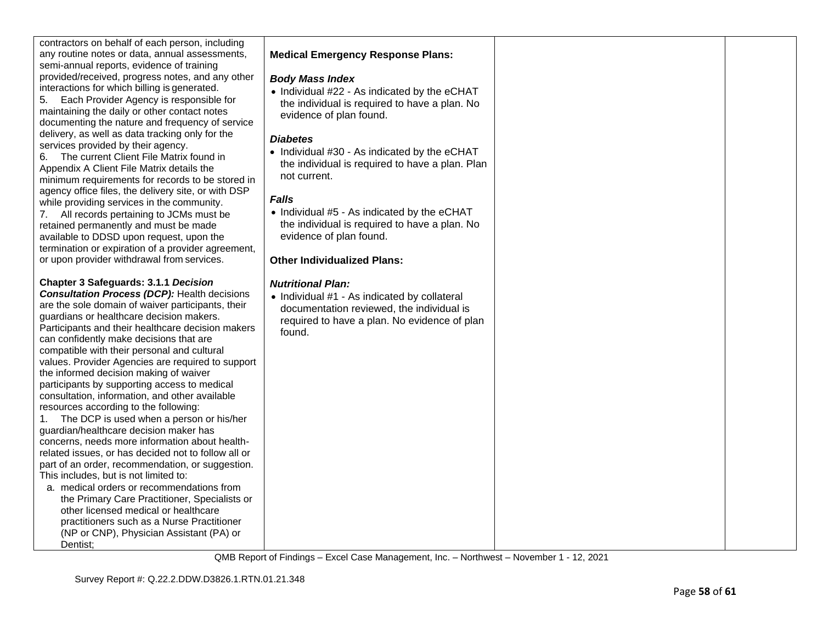| contractors on behalf of each person, including<br>any routine notes or data, annual assessments,<br>semi-annual reports, evidence of training<br>provided/received, progress notes, and any other<br>interactions for which billing is generated.<br>5. Each Provider Agency is responsible for<br>maintaining the daily or other contact notes<br>documenting the nature and frequency of service<br>delivery, as well as data tracking only for the<br>services provided by their agency.<br>6. The current Client File Matrix found in<br>Appendix A Client File Matrix details the<br>minimum requirements for records to be stored in<br>agency office files, the delivery site, or with DSP<br>while providing services in the community.<br>7. All records pertaining to JCMs must be<br>retained permanently and must be made<br>available to DDSD upon request, upon the<br>termination or expiration of a provider agreement,<br>or upon provider withdrawal from services.                                                                                                                                                     | <b>Medical Emergency Response Plans:</b><br><b>Body Mass Index</b><br>• Individual #22 - As indicated by the eCHAT<br>the individual is required to have a plan. No<br>evidence of plan found.<br><b>Diabetes</b><br>• Individual #30 - As indicated by the eCHAT<br>the individual is required to have a plan. Plan<br>not current.<br><b>Falls</b><br>• Individual #5 - As indicated by the eCHAT<br>the individual is required to have a plan. No<br>evidence of plan found.<br><b>Other Individualized Plans:</b> |  |
|--------------------------------------------------------------------------------------------------------------------------------------------------------------------------------------------------------------------------------------------------------------------------------------------------------------------------------------------------------------------------------------------------------------------------------------------------------------------------------------------------------------------------------------------------------------------------------------------------------------------------------------------------------------------------------------------------------------------------------------------------------------------------------------------------------------------------------------------------------------------------------------------------------------------------------------------------------------------------------------------------------------------------------------------------------------------------------------------------------------------------------------------|-----------------------------------------------------------------------------------------------------------------------------------------------------------------------------------------------------------------------------------------------------------------------------------------------------------------------------------------------------------------------------------------------------------------------------------------------------------------------------------------------------------------------|--|
| <b>Chapter 3 Safeguards: 3.1.1 Decision</b><br><b>Consultation Process (DCP): Health decisions</b><br>are the sole domain of waiver participants, their<br>guardians or healthcare decision makers.<br>Participants and their healthcare decision makers<br>can confidently make decisions that are<br>compatible with their personal and cultural<br>values. Provider Agencies are required to support<br>the informed decision making of waiver<br>participants by supporting access to medical<br>consultation, information, and other available<br>resources according to the following:<br>The DCP is used when a person or his/her<br>1.<br>guardian/healthcare decision maker has<br>concerns, needs more information about health-<br>related issues, or has decided not to follow all or<br>part of an order, recommendation, or suggestion.<br>This includes, but is not limited to:<br>a. medical orders or recommendations from<br>the Primary Care Practitioner, Specialists or<br>other licensed medical or healthcare<br>practitioners such as a Nurse Practitioner<br>(NP or CNP), Physician Assistant (PA) or<br>Dentist: | <b>Nutritional Plan:</b><br>• Individual #1 - As indicated by collateral<br>documentation reviewed, the individual is<br>required to have a plan. No evidence of plan<br>found.                                                                                                                                                                                                                                                                                                                                       |  |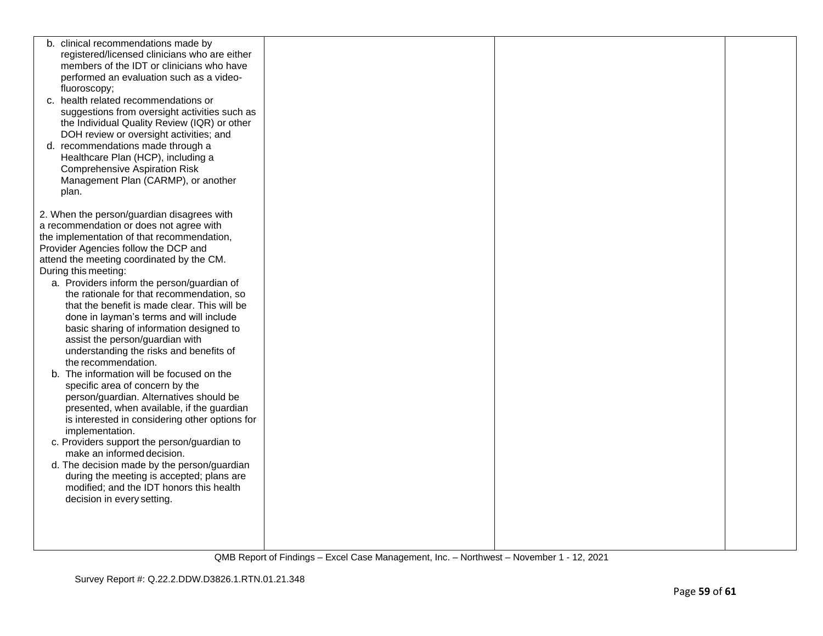| b. clinical recommendations made by<br>registered/licensed clinicians who are either<br>members of the IDT or clinicians who have<br>performed an evaluation such as a video-<br>fluoroscopy;<br>c. health related recommendations or<br>suggestions from oversight activities such as<br>the Individual Quality Review (IQR) or other<br>DOH review or oversight activities; and                                                                                                                                                                                                                                                                                                                                                                                                                                                                                                                                                                                 |  |  |
|-------------------------------------------------------------------------------------------------------------------------------------------------------------------------------------------------------------------------------------------------------------------------------------------------------------------------------------------------------------------------------------------------------------------------------------------------------------------------------------------------------------------------------------------------------------------------------------------------------------------------------------------------------------------------------------------------------------------------------------------------------------------------------------------------------------------------------------------------------------------------------------------------------------------------------------------------------------------|--|--|
| d. recommendations made through a<br>Healthcare Plan (HCP), including a<br><b>Comprehensive Aspiration Risk</b><br>Management Plan (CARMP), or another<br>plan.                                                                                                                                                                                                                                                                                                                                                                                                                                                                                                                                                                                                                                                                                                                                                                                                   |  |  |
| 2. When the person/guardian disagrees with<br>a recommendation or does not agree with<br>the implementation of that recommendation,<br>Provider Agencies follow the DCP and<br>attend the meeting coordinated by the CM.<br>During this meeting:<br>a. Providers inform the person/guardian of<br>the rationale for that recommendation, so<br>that the benefit is made clear. This will be<br>done in layman's terms and will include<br>basic sharing of information designed to<br>assist the person/guardian with<br>understanding the risks and benefits of<br>the recommendation.<br>b. The information will be focused on the<br>specific area of concern by the<br>person/guardian. Alternatives should be<br>presented, when available, if the guardian<br>is interested in considering other options for<br>implementation.<br>c. Providers support the person/guardian to<br>make an informed decision.<br>d. The decision made by the person/guardian |  |  |
| during the meeting is accepted; plans are<br>modified; and the IDT honors this health<br>decision in every setting.                                                                                                                                                                                                                                                                                                                                                                                                                                                                                                                                                                                                                                                                                                                                                                                                                                               |  |  |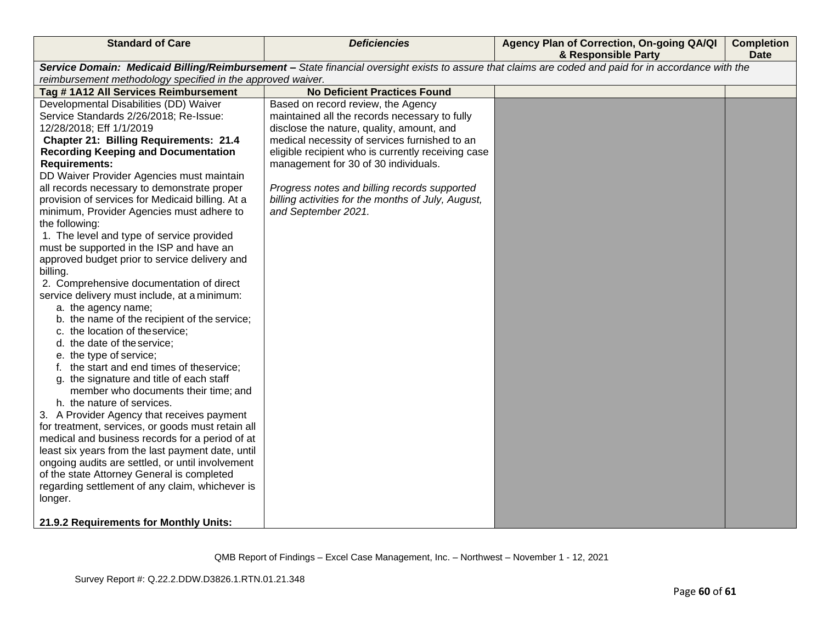| <b>Standard of Care</b>                                                                                                                               | <b>Deficiencies</b>                                | Agency Plan of Correction, On-going QA/QI<br>& Responsible Party | <b>Completion</b><br><b>Date</b> |  |
|-------------------------------------------------------------------------------------------------------------------------------------------------------|----------------------------------------------------|------------------------------------------------------------------|----------------------------------|--|
| Service Domain: Medicaid Billing/Reimbursement - State financial oversight exists to assure that claims are coded and paid for in accordance with the |                                                    |                                                                  |                                  |  |
| reimbursement methodology specified in the approved waiver.                                                                                           |                                                    |                                                                  |                                  |  |
| Tag #1A12 All Services Reimbursement                                                                                                                  | <b>No Deficient Practices Found</b>                |                                                                  |                                  |  |
| Developmental Disabilities (DD) Waiver                                                                                                                | Based on record review, the Agency                 |                                                                  |                                  |  |
| Service Standards 2/26/2018; Re-Issue:                                                                                                                | maintained all the records necessary to fully      |                                                                  |                                  |  |
| 12/28/2018; Eff 1/1/2019                                                                                                                              | disclose the nature, quality, amount, and          |                                                                  |                                  |  |
| <b>Chapter 21: Billing Requirements: 21.4</b>                                                                                                         | medical necessity of services furnished to an      |                                                                  |                                  |  |
| <b>Recording Keeping and Documentation</b>                                                                                                            | eligible recipient who is currently receiving case |                                                                  |                                  |  |
| <b>Requirements:</b>                                                                                                                                  | management for 30 of 30 individuals.               |                                                                  |                                  |  |
| DD Waiver Provider Agencies must maintain                                                                                                             |                                                    |                                                                  |                                  |  |
| all records necessary to demonstrate proper                                                                                                           | Progress notes and billing records supported       |                                                                  |                                  |  |
| provision of services for Medicaid billing. At a                                                                                                      | billing activities for the months of July, August, |                                                                  |                                  |  |
| minimum, Provider Agencies must adhere to                                                                                                             | and September 2021.                                |                                                                  |                                  |  |
| the following:                                                                                                                                        |                                                    |                                                                  |                                  |  |
| 1. The level and type of service provided                                                                                                             |                                                    |                                                                  |                                  |  |
| must be supported in the ISP and have an                                                                                                              |                                                    |                                                                  |                                  |  |
| approved budget prior to service delivery and                                                                                                         |                                                    |                                                                  |                                  |  |
| billing.                                                                                                                                              |                                                    |                                                                  |                                  |  |
| 2. Comprehensive documentation of direct                                                                                                              |                                                    |                                                                  |                                  |  |
| service delivery must include, at a minimum:                                                                                                          |                                                    |                                                                  |                                  |  |
| a. the agency name;                                                                                                                                   |                                                    |                                                                  |                                  |  |
| b. the name of the recipient of the service;                                                                                                          |                                                    |                                                                  |                                  |  |
| c. the location of theservice;                                                                                                                        |                                                    |                                                                  |                                  |  |
| d. the date of the service;                                                                                                                           |                                                    |                                                                  |                                  |  |
| e. the type of service;                                                                                                                               |                                                    |                                                                  |                                  |  |
| f. the start and end times of theservice;                                                                                                             |                                                    |                                                                  |                                  |  |
| g. the signature and title of each staff                                                                                                              |                                                    |                                                                  |                                  |  |
| member who documents their time; and                                                                                                                  |                                                    |                                                                  |                                  |  |
| h. the nature of services.                                                                                                                            |                                                    |                                                                  |                                  |  |
| 3. A Provider Agency that receives payment                                                                                                            |                                                    |                                                                  |                                  |  |
| for treatment, services, or goods must retain all                                                                                                     |                                                    |                                                                  |                                  |  |
| medical and business records for a period of at                                                                                                       |                                                    |                                                                  |                                  |  |
| least six years from the last payment date, until                                                                                                     |                                                    |                                                                  |                                  |  |
| ongoing audits are settled, or until involvement                                                                                                      |                                                    |                                                                  |                                  |  |
| of the state Attorney General is completed                                                                                                            |                                                    |                                                                  |                                  |  |
| regarding settlement of any claim, whichever is                                                                                                       |                                                    |                                                                  |                                  |  |
| longer.                                                                                                                                               |                                                    |                                                                  |                                  |  |
| 21.9.2 Requirements for Monthly Units:                                                                                                                |                                                    |                                                                  |                                  |  |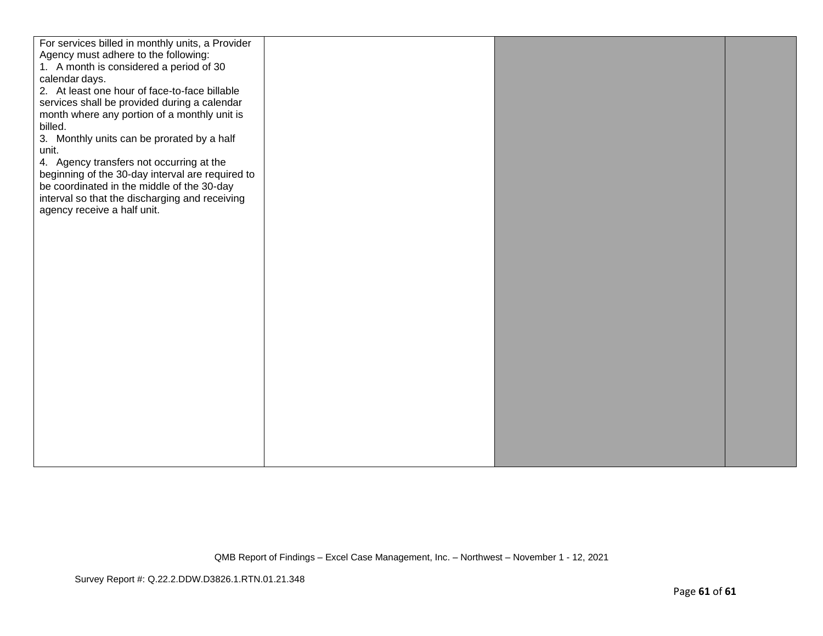| For services billed in monthly units, a Provider |  |  |
|--------------------------------------------------|--|--|
| Agency must adhere to the following:             |  |  |
| 1. A month is considered a period of 30          |  |  |
| calendar days.                                   |  |  |
| 2. At least one hour of face-to-face billable    |  |  |
|                                                  |  |  |
| services shall be provided during a calendar     |  |  |
| month where any portion of a monthly unit is     |  |  |
| billed.                                          |  |  |
| 3. Monthly units can be prorated by a half       |  |  |
| unit.                                            |  |  |
| 4. Agency transfers not occurring at the         |  |  |
| beginning of the 30-day interval are required to |  |  |
| be coordinated in the middle of the 30-day       |  |  |
| interval so that the discharging and receiving   |  |  |
| agency receive a half unit.                      |  |  |
|                                                  |  |  |
|                                                  |  |  |
|                                                  |  |  |
|                                                  |  |  |
|                                                  |  |  |
|                                                  |  |  |
|                                                  |  |  |
|                                                  |  |  |
|                                                  |  |  |
|                                                  |  |  |
|                                                  |  |  |
|                                                  |  |  |
|                                                  |  |  |
|                                                  |  |  |
|                                                  |  |  |
|                                                  |  |  |
|                                                  |  |  |
|                                                  |  |  |
|                                                  |  |  |
|                                                  |  |  |
|                                                  |  |  |